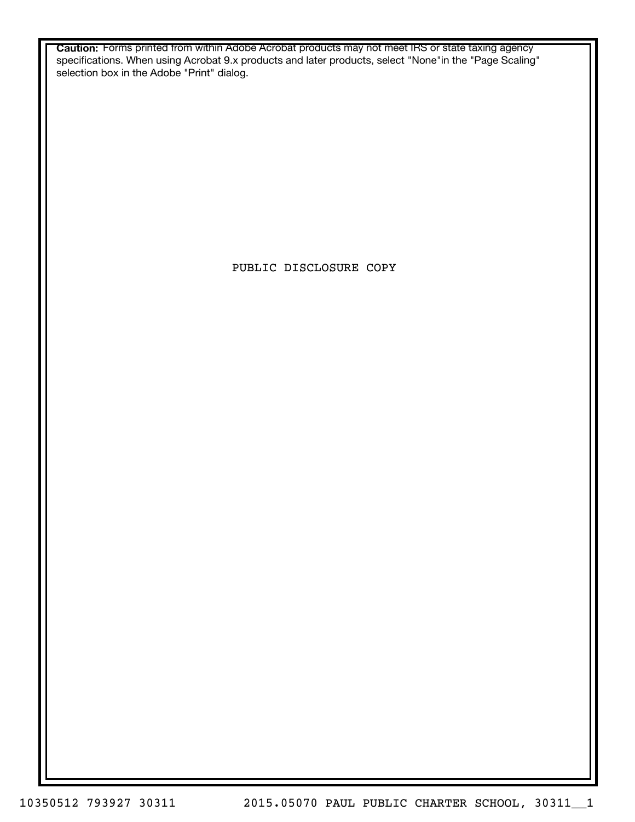**Caution:** Forms printed from within Adobe Acrobat products may not meet IRS or state taxing agency specifications. When using Acrobat 9.x products and later products, select "None"in the "Page Scaling" selection box in the Adobe "Print" dialog.

PUBLIC DISCLOSURE COPY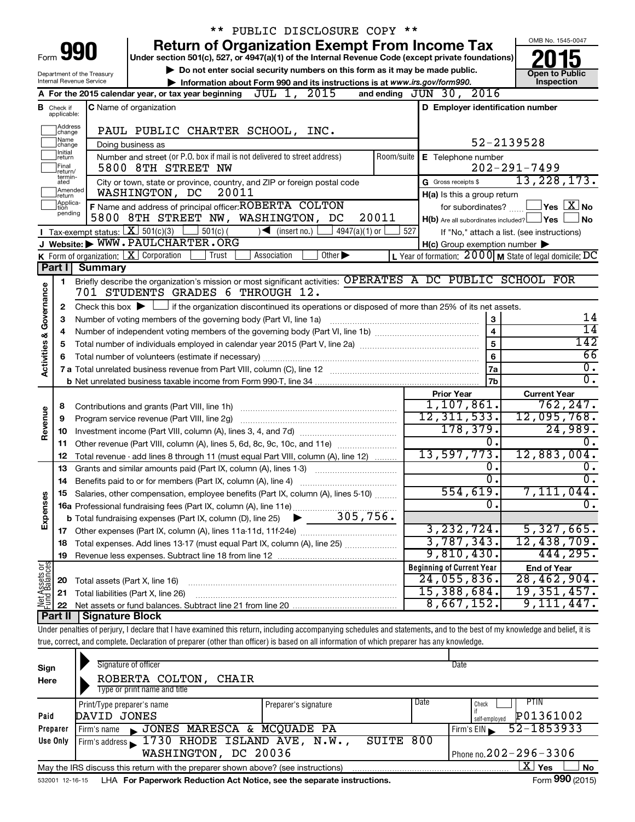|                         |                               |                                                                                                   | ** PUBLIC DISCLOSURE COPY **                                                                                                                                                |                                                     |                                                                   |  |  |  |  |  |
|-------------------------|-------------------------------|---------------------------------------------------------------------------------------------------|-----------------------------------------------------------------------------------------------------------------------------------------------------------------------------|-----------------------------------------------------|-------------------------------------------------------------------|--|--|--|--|--|
|                         |                               |                                                                                                   | <b>Return of Organization Exempt From Income Tax</b>                                                                                                                        |                                                     | OMB No. 1545-0047                                                 |  |  |  |  |  |
|                         |                               | Form <b>990</b>                                                                                   | Under section 501(c), 527, or 4947(a)(1) of the Internal Revenue Code (except private foundations)                                                                          |                                                     |                                                                   |  |  |  |  |  |
|                         |                               | Department of the Treasury                                                                        | Do not enter social security numbers on this form as it may be made public.                                                                                                 |                                                     | <b>Open to Public</b>                                             |  |  |  |  |  |
|                         |                               | Internal Revenue Service                                                                          | Information about Form 990 and its instructions is at www.irs.gov/form990.<br>and ending JUN 30, 2016<br>JUL 1, 2015<br>A For the 2015 calendar year, or tax year beginning |                                                     | Inspection                                                        |  |  |  |  |  |
|                         |                               |                                                                                                   |                                                                                                                                                                             |                                                     |                                                                   |  |  |  |  |  |
|                         | <b>B</b> Check if applicable: |                                                                                                   | <b>C</b> Name of organization                                                                                                                                               | D Employer identification number                    |                                                                   |  |  |  |  |  |
|                         | Address<br>change             |                                                                                                   | PAUL PUBLIC CHARTER SCHOOL, INC.                                                                                                                                            |                                                     |                                                                   |  |  |  |  |  |
|                         | Name<br>change                |                                                                                                   | Doing business as                                                                                                                                                           |                                                     | 52-2139528                                                        |  |  |  |  |  |
|                         | Initial<br>∣return            |                                                                                                   | Number and street (or P.O. box if mail is not delivered to street address)<br>Room/suite                                                                                    | E Telephone number                                  |                                                                   |  |  |  |  |  |
|                         | lFinal<br>return/             |                                                                                                   | 5800 8TH STREET NW                                                                                                                                                          |                                                     | $202 - 291 - 7499$                                                |  |  |  |  |  |
|                         | termin-<br>ated               |                                                                                                   | City or town, state or province, country, and ZIP or foreign postal code                                                                                                    | G Gross receipts \$                                 | 13, 228, 173.                                                     |  |  |  |  |  |
|                         | Amended<br>Ireturn            |                                                                                                   | 20011<br>WASHINGTON, DC                                                                                                                                                     | H(a) Is this a group return                         |                                                                   |  |  |  |  |  |
|                         | Applica-<br>ltion<br>pending  |                                                                                                   | F Name and address of principal officer: ROBERTA COLTON                                                                                                                     | for subordinates?                                   | $ Y$ es $ \overline{X} $ No                                       |  |  |  |  |  |
|                         |                               |                                                                                                   | 5800 8TH STREET NW, WASHINGTON, DC<br>20011                                                                                                                                 | $H(b)$ Are all subordinates included? $\Box$ Yes    | l No                                                              |  |  |  |  |  |
|                         |                               |                                                                                                   | Tax-exempt status: $X \overline{S}$ 501(c)(3) 501(c)(<br>$\sqrt{\frac{1}{1}}$ (insert no.)<br>$4947(a)(1)$ or<br>527                                                        |                                                     | If "No," attach a list. (see instructions)                        |  |  |  |  |  |
|                         |                               |                                                                                                   | J Website: WWW.PAULCHARTER.ORG                                                                                                                                              | $H(c)$ Group exemption number $\blacktriangleright$ |                                                                   |  |  |  |  |  |
|                         |                               | <b>Summary</b>                                                                                    | <b>K</b> Form of organization: $\boxed{\mathbf{X}}$ Corporation<br>Trust<br>Association<br>Other $\blacktriangleright$                                                      |                                                     | L Year of formation: $2000 \text{ M}$ State of legal domicile: DC |  |  |  |  |  |
|                         | Part I                        |                                                                                                   | Briefly describe the organization's mission or most significant activities: OPERATES A DC PUBLIC SCHOOL FOR                                                                 |                                                     |                                                                   |  |  |  |  |  |
|                         | 1                             |                                                                                                   | 701 STUDENTS GRADES 6 THROUGH 12.                                                                                                                                           |                                                     |                                                                   |  |  |  |  |  |
|                         |                               |                                                                                                   |                                                                                                                                                                             |                                                     |                                                                   |  |  |  |  |  |
| Governance              | 2<br>3                        |                                                                                                   | Check this box $\blacktriangleright \Box$ if the organization discontinued its operations or disposed of more than 25% of its net assets.                                   |                                                     | 14                                                                |  |  |  |  |  |
|                         | 4                             | Number of voting members of the governing body (Part VI, line 1a)<br>3<br>$\overline{\mathbf{4}}$ |                                                                                                                                                                             |                                                     |                                                                   |  |  |  |  |  |
|                         | 5                             |                                                                                                   | $\overline{14}$<br>142                                                                                                                                                      |                                                     |                                                                   |  |  |  |  |  |
|                         | 6                             |                                                                                                   |                                                                                                                                                                             | 5<br>6                                              | 66                                                                |  |  |  |  |  |
| <b>Activities &amp;</b> |                               |                                                                                                   |                                                                                                                                                                             | 7a                                                  | $\overline{0}$ .                                                  |  |  |  |  |  |
|                         |                               |                                                                                                   |                                                                                                                                                                             | <b>7b</b>                                           | $\overline{0}$ .                                                  |  |  |  |  |  |
|                         |                               |                                                                                                   |                                                                                                                                                                             | <b>Prior Year</b>                                   | <b>Current Year</b>                                               |  |  |  |  |  |
|                         | 8                             |                                                                                                   |                                                                                                                                                                             | 1,107,861.                                          | 762, 247.                                                         |  |  |  |  |  |
|                         | 9                             |                                                                                                   | Program service revenue (Part VIII, line 2g)                                                                                                                                | 12, 311, 533.                                       | 12,095,768.                                                       |  |  |  |  |  |
| Revenue                 | 10                            |                                                                                                   |                                                                                                                                                                             | 178, 379.                                           | 24,989.                                                           |  |  |  |  |  |
|                         | 11                            |                                                                                                   | Other revenue (Part VIII, column (A), lines 5, 6d, 8c, 9c, 10c, and 11e)                                                                                                    | 0.                                                  | 0.                                                                |  |  |  |  |  |
|                         | 12                            |                                                                                                   | Total revenue - add lines 8 through 11 (must equal Part VIII, column (A), line 12)                                                                                          | 13,597,773.                                         | 12,883,004.                                                       |  |  |  |  |  |
|                         | 13                            |                                                                                                   | Grants and similar amounts paid (Part IX, column (A), lines 1-3)                                                                                                            | 0.                                                  | 0.                                                                |  |  |  |  |  |
|                         |                               |                                                                                                   |                                                                                                                                                                             | $\overline{0}$ .                                    | $\overline{0}$ .                                                  |  |  |  |  |  |
|                         |                               |                                                                                                   | Salaries, other compensation, employee benefits (Part IX, column (A), lines 5-10)                                                                                           | 554,619.<br>$\overline{0}$ .                        | 7,111,044.                                                        |  |  |  |  |  |
| Expenses                |                               |                                                                                                   |                                                                                                                                                                             |                                                     | $\overline{0}$ .                                                  |  |  |  |  |  |
|                         |                               |                                                                                                   |                                                                                                                                                                             | 3, 232, 724.                                        | 5,327,665.                                                        |  |  |  |  |  |
|                         |                               |                                                                                                   | Total expenses. Add lines 13-17 (must equal Part IX, column (A), line 25)                                                                                                   | 3,787,343.                                          | 12,438,709.                                                       |  |  |  |  |  |
|                         | 18<br>19                      |                                                                                                   |                                                                                                                                                                             | 9,810,430.                                          | 444,295.                                                          |  |  |  |  |  |
|                         |                               |                                                                                                   |                                                                                                                                                                             | <b>Beginning of Current Year</b>                    | <b>End of Year</b>                                                |  |  |  |  |  |
| Net Assets or           | 20                            |                                                                                                   | Total assets (Part X, line 16)                                                                                                                                              | 24,055,836.                                         | 28,462,904.                                                       |  |  |  |  |  |
|                         | 21                            |                                                                                                   | Total liabilities (Part X, line 26)                                                                                                                                         | 15,388,684.                                         | 19, 351, 457.                                                     |  |  |  |  |  |
|                         | 22                            |                                                                                                   |                                                                                                                                                                             | 8,667,152.                                          | 9,111,447.                                                        |  |  |  |  |  |
|                         | Part II                       | <b>Signature Block</b>                                                                            |                                                                                                                                                                             |                                                     |                                                                   |  |  |  |  |  |
|                         |                               |                                                                                                   | Under penalties of perjury, I declare that I have examined this return, including accompanying schedules and statements, and to the best of my knowledge and belief, it is  |                                                     |                                                                   |  |  |  |  |  |
|                         |                               |                                                                                                   | true, correct, and complete. Declaration of preparer (other than officer) is based on all information of which preparer has any knowledge.                                  |                                                     |                                                                   |  |  |  |  |  |

| Sign<br>Here | Signature of officer<br>ROBERTA COLTON,<br>CHAIR<br>Type or print name and title  |                      | Date |                              |
|--------------|-----------------------------------------------------------------------------------|----------------------|------|------------------------------|
|              | Print/Type preparer's name                                                        | Preparer's signature | Date | <b>PTIN</b><br>Check         |
| Paid         | DAVID JONES                                                                       |                      |      | P01361002<br>self-emploved   |
| Preparer     | JONES MARESCA & MCQUADE PA<br>Firm's name<br>$\mathbf{K}$ .                       |                      |      | 52-1853933<br>Firm's EIN     |
| Use Only     | Firm's address 1730 RHODE ISLAND AVE, N.W.,                                       | SUITE 800            |      |                              |
|              | WASHINGTON, DC 20036                                                              |                      |      | Phone no. $202 - 296 - 3306$ |
|              | May the IRS discuss this return with the preparer shown above? (see instructions) |                      |      | $\mathbf{X}$<br>No<br>Yes    |
|              |                                                                                   |                      |      | $\mathbf{A}$                 |

532001 12-16-15 **For Paperwork Reduction Act Notice, see the separate instructions.** LHA Form (2015)

Form **990** (2015)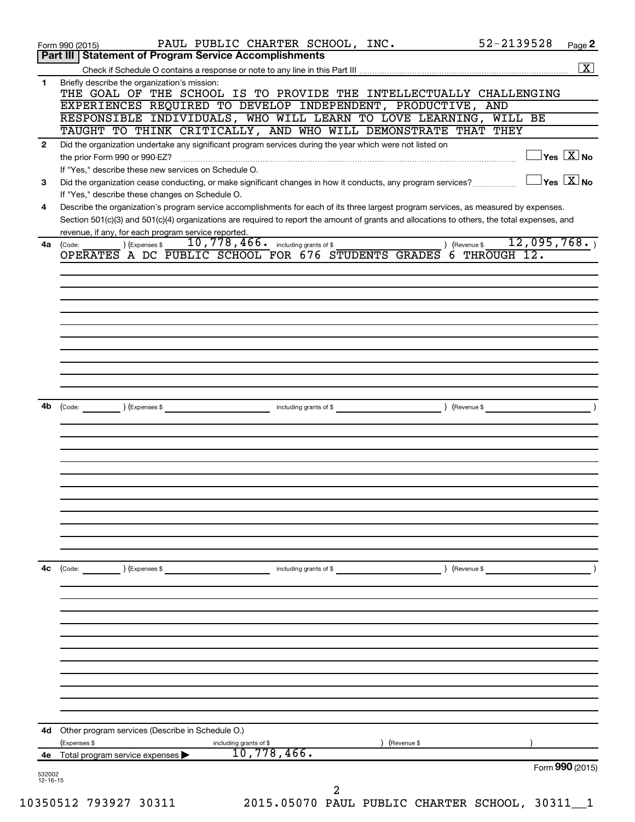|                          | 52-2139528<br>PAUL PUBLIC CHARTER SCHOOL, INC.<br>Form 990 (2015)                                                                                                                                   | Page 2                                           |
|--------------------------|-----------------------------------------------------------------------------------------------------------------------------------------------------------------------------------------------------|--------------------------------------------------|
|                          | Part III   Statement of Program Service Accomplishments                                                                                                                                             |                                                  |
| 1                        | Briefly describe the organization's mission:                                                                                                                                                        | $\overline{\mathbf{X}}$                          |
|                          | THE GOAL OF THE SCHOOL IS TO PROVIDE THE INTELLECTUALLY CHALLENGING                                                                                                                                 |                                                  |
|                          | EXPERIENCES REQUIRED TO DEVELOP INDEPENDENT, PRODUCTIVE, AND                                                                                                                                        |                                                  |
|                          | RESPONSIBLE INDIVIDUALS, WHO WILL LEARN TO LOVE LEARNING, WILL BE                                                                                                                                   |                                                  |
|                          | TAUGHT TO THINK CRITICALLY, AND WHO WILL DEMONSTRATE THAT THEY                                                                                                                                      |                                                  |
| $\mathbf{2}$             | Did the organization undertake any significant program services during the year which were not listed on<br>$\overline{\ }$ Yes $\overline{\rm \bf X}$ No<br>the prior Form 990 or 990-EZ?          |                                                  |
|                          | If "Yes," describe these new services on Schedule O.                                                                                                                                                |                                                  |
| 3                        | Did the organization cease conducting, or make significant changes in how it conducts, any program services?                                                                                        | $\overline{\ }$ Yes $\overline{\phantom{a}X}$ No |
|                          | If "Yes," describe these changes on Schedule O.                                                                                                                                                     |                                                  |
| 4                        | Describe the organization's program service accomplishments for each of its three largest program services, as measured by expenses.                                                                |                                                  |
|                          | Section 501(c)(3) and 501(c)(4) organizations are required to report the amount of grants and allocations to others, the total expenses, and<br>revenue, if any, for each program service reported. |                                                  |
| 4a                       | 10,778,466. including grants of \$<br>12,095,768.<br>) (Expenses \$<br>(Code:<br>) (Revenue \$                                                                                                      |                                                  |
|                          | OPERATES A DC PUBLIC SCHOOL FOR 676 STUDENTS GRADES<br>$6$ THROUGH 12.                                                                                                                              |                                                  |
|                          |                                                                                                                                                                                                     |                                                  |
|                          |                                                                                                                                                                                                     |                                                  |
|                          |                                                                                                                                                                                                     |                                                  |
|                          |                                                                                                                                                                                                     |                                                  |
|                          |                                                                                                                                                                                                     |                                                  |
|                          |                                                                                                                                                                                                     |                                                  |
|                          |                                                                                                                                                                                                     |                                                  |
|                          |                                                                                                                                                                                                     |                                                  |
|                          |                                                                                                                                                                                                     |                                                  |
| 4b                       | (Expenses \$<br>(Revenue \$<br>(Code:<br>including grants of \$                                                                                                                                     |                                                  |
|                          |                                                                                                                                                                                                     |                                                  |
|                          |                                                                                                                                                                                                     |                                                  |
|                          |                                                                                                                                                                                                     |                                                  |
|                          |                                                                                                                                                                                                     |                                                  |
|                          |                                                                                                                                                                                                     |                                                  |
|                          |                                                                                                                                                                                                     |                                                  |
|                          |                                                                                                                                                                                                     |                                                  |
|                          |                                                                                                                                                                                                     |                                                  |
|                          |                                                                                                                                                                                                     |                                                  |
|                          |                                                                                                                                                                                                     |                                                  |
| 4с                       | (Expenses \$<br>including grants of \$<br>) (Revenue \$<br>(Code:                                                                                                                                   |                                                  |
|                          |                                                                                                                                                                                                     |                                                  |
|                          |                                                                                                                                                                                                     |                                                  |
|                          |                                                                                                                                                                                                     |                                                  |
|                          |                                                                                                                                                                                                     |                                                  |
|                          |                                                                                                                                                                                                     |                                                  |
|                          |                                                                                                                                                                                                     |                                                  |
|                          |                                                                                                                                                                                                     |                                                  |
|                          |                                                                                                                                                                                                     |                                                  |
|                          |                                                                                                                                                                                                     |                                                  |
|                          |                                                                                                                                                                                                     |                                                  |
| 4d                       | Other program services (Describe in Schedule O.)                                                                                                                                                    |                                                  |
| 4е                       | (Expenses \$<br>including grants of \$<br>(Revenue \$<br>10,778,466.<br>Total program service expenses                                                                                              |                                                  |
|                          | Form 990 (2015)                                                                                                                                                                                     |                                                  |
| 532002<br>$12 - 16 - 15$ |                                                                                                                                                                                                     |                                                  |
|                          | 2                                                                                                                                                                                                   |                                                  |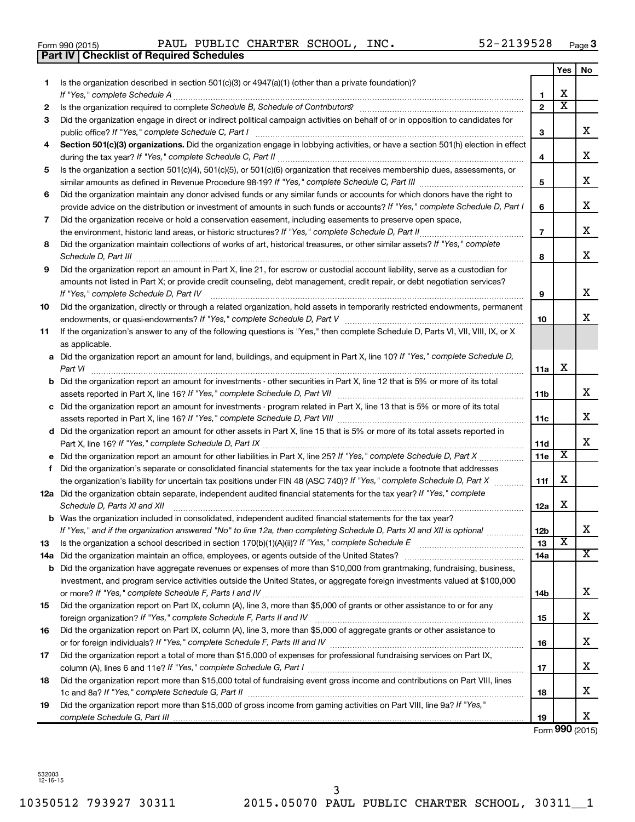|  | Form 990 (2015) |  |
|--|-----------------|--|
|  |                 |  |

Form 990 (2015) Page PAUL PUBLIC CHARTER SCHOOL, INC. 52-2139528

|     | <b>Part IV   Checklist of Required Schedules</b>                                                                                                                                                                                                      |                       |                         |    |
|-----|-------------------------------------------------------------------------------------------------------------------------------------------------------------------------------------------------------------------------------------------------------|-----------------------|-------------------------|----|
|     |                                                                                                                                                                                                                                                       |                       | Yes                     | No |
| 1   | Is the organization described in section $501(c)(3)$ or $4947(a)(1)$ (other than a private foundation)?                                                                                                                                               |                       |                         |    |
|     |                                                                                                                                                                                                                                                       | 1                     | х                       |    |
| 2   | Is the organization required to complete Schedule B, Schedule of Contributors? [11] The organization required to complete Schedule B, Schedule of Contributors?                                                                                       | $\mathbf{2}$          | $\overline{\textbf{X}}$ |    |
| 3   | Did the organization engage in direct or indirect political campaign activities on behalf of or in opposition to candidates for                                                                                                                       |                       |                         |    |
|     |                                                                                                                                                                                                                                                       | 3                     |                         | x  |
| 4   | Section 501(c)(3) organizations. Did the organization engage in lobbying activities, or have a section 501(h) election in effect                                                                                                                      |                       |                         |    |
|     |                                                                                                                                                                                                                                                       | 4                     |                         | x  |
| 5   | Is the organization a section 501(c)(4), 501(c)(5), or 501(c)(6) organization that receives membership dues, assessments, or                                                                                                                          |                       |                         |    |
|     |                                                                                                                                                                                                                                                       | 5                     |                         | x  |
| 6   | Did the organization maintain any donor advised funds or any similar funds or accounts for which donors have the right to                                                                                                                             |                       |                         |    |
|     | provide advice on the distribution or investment of amounts in such funds or accounts? If "Yes," complete Schedule D, Part I                                                                                                                          | 6                     |                         | х  |
| 7   | Did the organization receive or hold a conservation easement, including easements to preserve open space,                                                                                                                                             |                       |                         |    |
|     |                                                                                                                                                                                                                                                       | $\overline{7}$        |                         | х  |
| 8   | Did the organization maintain collections of works of art, historical treasures, or other similar assets? If "Yes," complete                                                                                                                          |                       |                         |    |
|     | Schedule D, Part III <b>Marting Constructs</b> 2014 11 2014 12:00 12:00 12:00 12:00 12:00 12:00 12:00 12:00 12:00 12:00 12:00 12:00 12:00 12:00 12:00 12:00 12:00 12:00 12:00 12:00 12:00 12:00 12:00 12:00 12:00 12:00 12:00 12:00                   | 8                     |                         | х  |
| 9   | Did the organization report an amount in Part X, line 21, for escrow or custodial account liability, serve as a custodian for                                                                                                                         |                       |                         |    |
|     | amounts not listed in Part X; or provide credit counseling, debt management, credit repair, or debt negotiation services?                                                                                                                             |                       |                         |    |
|     | If "Yes," complete Schedule D, Part IV                                                                                                                                                                                                                | 9                     |                         | x  |
| 10  | Did the organization, directly or through a related organization, hold assets in temporarily restricted endowments, permanent                                                                                                                         |                       |                         |    |
|     |                                                                                                                                                                                                                                                       | 10                    |                         | x  |
| 11  | If the organization's answer to any of the following questions is "Yes," then complete Schedule D, Parts VI, VII, VIII, IX, or X                                                                                                                      |                       |                         |    |
|     | as applicable.                                                                                                                                                                                                                                        |                       |                         |    |
|     | a Did the organization report an amount for land, buildings, and equipment in Part X, line 10? If "Yes," complete Schedule D,                                                                                                                         |                       |                         |    |
|     |                                                                                                                                                                                                                                                       | 11a                   | х                       |    |
|     | <b>b</b> Did the organization report an amount for investments - other securities in Part X, line 12 that is 5% or more of its total                                                                                                                  |                       |                         |    |
|     | assets reported in Part X, line 16? If "Yes," complete Schedule D, Part VII [11] [11] [12] [12] [12] [12] [13] [                                                                                                                                      | 11b                   |                         | х  |
|     | c Did the organization report an amount for investments - program related in Part X, line 13 that is 5% or more of its total                                                                                                                          |                       |                         |    |
|     |                                                                                                                                                                                                                                                       | 11c                   |                         | х  |
|     | d Did the organization report an amount for other assets in Part X, line 15 that is 5% or more of its total assets reported in                                                                                                                        |                       |                         |    |
|     |                                                                                                                                                                                                                                                       | <b>11d</b>            |                         | x  |
|     |                                                                                                                                                                                                                                                       | <b>11e</b>            | X                       |    |
| f.  | Did the organization's separate or consolidated financial statements for the tax year include a footnote that addresses                                                                                                                               |                       |                         |    |
|     | the organization's liability for uncertain tax positions under FIN 48 (ASC 740)? If "Yes," complete Schedule D, Part X                                                                                                                                | 11f                   | x                       |    |
|     | 12a Did the organization obtain separate, independent audited financial statements for the tax year? If "Yes," complete                                                                                                                               |                       |                         |    |
|     | Schedule D, Parts XI and XII                                                                                                                                                                                                                          | 12a                   | х                       |    |
|     | <b>b</b> Was the organization included in consolidated, independent audited financial statements for the tax year?                                                                                                                                    |                       |                         | х  |
|     | If "Yes," and if the organization answered "No" to line 12a, then completing Schedule D, Parts XI and XII is optional <i>www.www</i>                                                                                                                  | 12 <sub>b</sub><br>13 | $\overline{\mathbf{X}}$ |    |
| 13  |                                                                                                                                                                                                                                                       | 14a                   |                         | X  |
| 14a |                                                                                                                                                                                                                                                       |                       |                         |    |
| b   | Did the organization have aggregate revenues or expenses of more than \$10,000 from grantmaking, fundraising, business,<br>investment, and program service activities outside the United States, or aggregate foreign investments valued at \$100,000 |                       |                         |    |
|     |                                                                                                                                                                                                                                                       | 14b                   |                         | х  |
| 15  | Did the organization report on Part IX, column (A), line 3, more than \$5,000 of grants or other assistance to or for any                                                                                                                             |                       |                         |    |
|     |                                                                                                                                                                                                                                                       | 15                    |                         | х  |
| 16  | Did the organization report on Part IX, column (A), line 3, more than \$5,000 of aggregate grants or other assistance to                                                                                                                              |                       |                         |    |
|     |                                                                                                                                                                                                                                                       | 16                    |                         | х  |
| 17  | Did the organization report a total of more than \$15,000 of expenses for professional fundraising services on Part IX,                                                                                                                               |                       |                         |    |
|     |                                                                                                                                                                                                                                                       | 17                    |                         | х  |
| 18  | Did the organization report more than \$15,000 total of fundraising event gross income and contributions on Part VIII, lines                                                                                                                          |                       |                         |    |
|     |                                                                                                                                                                                                                                                       | 18                    |                         | х  |
| 19  | Did the organization report more than \$15,000 of gross income from gaming activities on Part VIII, line 9a? If "Yes,"                                                                                                                                |                       |                         |    |
|     |                                                                                                                                                                                                                                                       | 19                    |                         | x  |

Form **990** (2015)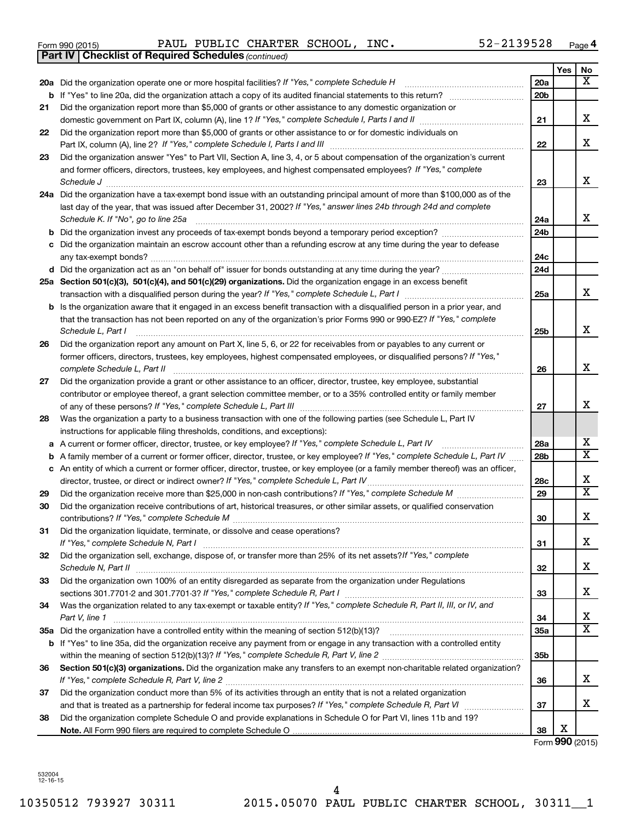|  | Form 990 (2015) |
|--|-----------------|
|  |                 |

*(continued)* **Part IV Checklist of Required Schedules**

Form 990 (2015) Page PAUL PUBLIC CHARTER SCHOOL, INC. 52-2139528

|    |                                                                                                                                 |                 | Yes | No                           |
|----|---------------------------------------------------------------------------------------------------------------------------------|-----------------|-----|------------------------------|
|    | 20a Did the organization operate one or more hospital facilities? If "Yes," complete Schedule H                                 | 20a             |     | x                            |
|    | <b>b</b> If "Yes" to line 20a, did the organization attach a copy of its audited financial statements to this return?           | 20 <sub>b</sub> |     |                              |
| 21 | Did the organization report more than \$5,000 of grants or other assistance to any domestic organization or                     |                 |     |                              |
|    |                                                                                                                                 | 21              |     | x                            |
| 22 | Did the organization report more than \$5,000 of grants or other assistance to or for domestic individuals on                   |                 |     |                              |
|    |                                                                                                                                 | 22              |     | x                            |
| 23 | Did the organization answer "Yes" to Part VII, Section A, line 3, 4, or 5 about compensation of the organization's current      |                 |     |                              |
|    | and former officers, directors, trustees, key employees, and highest compensated employees? If "Yes," complete                  |                 |     |                              |
|    |                                                                                                                                 | 23              |     | х                            |
|    | 24a Did the organization have a tax-exempt bond issue with an outstanding principal amount of more than \$100,000 as of the     |                 |     |                              |
|    | last day of the year, that was issued after December 31, 2002? If "Yes," answer lines 24b through 24d and complete              |                 |     | x                            |
|    | Schedule K. If "No", go to line 25a                                                                                             | 24a             |     |                              |
| b  |                                                                                                                                 | 24 <sub>b</sub> |     |                              |
| с  | Did the organization maintain an escrow account other than a refunding escrow at any time during the year to defease            | 24c             |     |                              |
|    | d Did the organization act as an "on behalf of" issuer for bonds outstanding at any time during the year?                       | 24d             |     |                              |
|    | 25a Section 501(c)(3), 501(c)(4), and 501(c)(29) organizations. Did the organization engage in an excess benefit                |                 |     |                              |
|    | transaction with a disqualified person during the year? If "Yes," complete Schedule L, Part I manumum                           | 25a             |     | x                            |
| b  | Is the organization aware that it engaged in an excess benefit transaction with a disqualified person in a prior year, and      |                 |     |                              |
|    | that the transaction has not been reported on any of the organization's prior Forms 990 or 990-EZ? If "Yes," complete           |                 |     |                              |
|    | Schedule L, Part I                                                                                                              | 25b             |     | х                            |
| 26 | Did the organization report any amount on Part X, line 5, 6, or 22 for receivables from or payables to any current or           |                 |     |                              |
|    | former officers, directors, trustees, key employees, highest compensated employees, or disqualified persons? If "Yes,"          |                 |     |                              |
|    | complete Schedule L, Part II                                                                                                    | 26              |     | х                            |
| 27 | Did the organization provide a grant or other assistance to an officer, director, trustee, key employee, substantial            |                 |     |                              |
|    | contributor or employee thereof, a grant selection committee member, or to a 35% controlled entity or family member             |                 |     |                              |
|    |                                                                                                                                 | 27              |     | x                            |
| 28 | Was the organization a party to a business transaction with one of the following parties (see Schedule L, Part IV               |                 |     |                              |
|    | instructions for applicable filing thresholds, conditions, and exceptions):                                                     |                 |     |                              |
| а  | A current or former officer, director, trustee, or key employee? If "Yes," complete Schedule L, Part IV                         | 28a             |     | х                            |
| b  | A family member of a current or former officer, director, trustee, or key employee? If "Yes," complete Schedule L, Part IV      | 28b             |     | $\overline{\text{X}}$        |
| с  | An entity of which a current or former officer, director, trustee, or key employee (or a family member thereof) was an officer, |                 |     |                              |
|    | director, trustee, or direct or indirect owner? If "Yes," complete Schedule L, Part IV                                          | 28c             |     | х<br>$\overline{\textbf{X}}$ |
| 29 |                                                                                                                                 | 29              |     |                              |
| 30 | Did the organization receive contributions of art, historical treasures, or other similar assets, or qualified conservation     | 30              |     | х                            |
| 31 | Did the organization liquidate, terminate, or dissolve and cease operations?                                                    |                 |     |                              |
|    | If "Yes," complete Schedule N, Part I                                                                                           | 31              |     | х                            |
| 32 | Did the organization sell, exchange, dispose of, or transfer more than 25% of its net assets? If "Yes," complete                |                 |     |                              |
|    | Schedule N, Part II                                                                                                             | 32              |     | х                            |
| 33 | Did the organization own 100% of an entity disregarded as separate from the organization under Regulations                      |                 |     |                              |
|    |                                                                                                                                 | 33              |     | х                            |
| 34 | Was the organization related to any tax-exempt or taxable entity? If "Yes," complete Schedule R, Part II, III, or IV, and       |                 |     |                              |
|    | Part V, line 1                                                                                                                  | 34              |     | x                            |
|    |                                                                                                                                 | 35a             |     | X                            |
|    | b If "Yes" to line 35a, did the organization receive any payment from or engage in any transaction with a controlled entity     |                 |     |                              |
|    |                                                                                                                                 | 35b             |     |                              |
| 36 | Section 501(c)(3) organizations. Did the organization make any transfers to an exempt non-charitable related organization?      |                 |     |                              |
|    |                                                                                                                                 | 36              |     | x                            |
| 37 | Did the organization conduct more than 5% of its activities through an entity that is not a related organization                |                 |     |                              |
|    |                                                                                                                                 | 37              |     | x                            |
| 38 | Did the organization complete Schedule O and provide explanations in Schedule O for Part VI, lines 11b and 19?                  |                 | х   |                              |
|    |                                                                                                                                 | 38              |     |                              |

Form **990** (2015)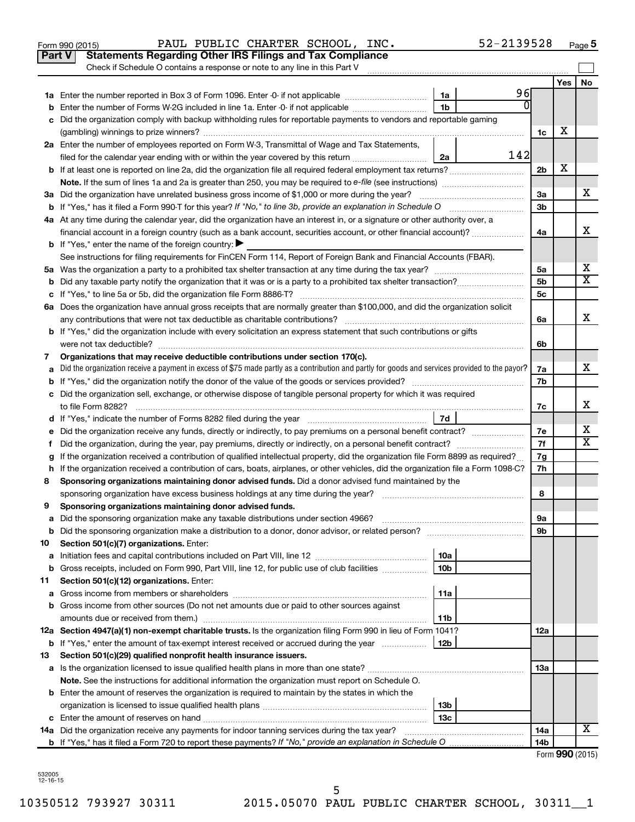| Check if Schedule O contains a response or note to any line in this Part V<br>Yes<br>96<br>1a<br>$\Omega$<br>1 <sub>b</sub><br>Enter the number of Forms W-2G included in line 1a. Enter -0- if not applicable<br>Did the organization comply with backup withholding rules for reportable payments to vendors and reportable gaming<br>х<br>1c<br>2a Enter the number of employees reported on Form W-3, Transmittal of Wage and Tax Statements,<br>142<br>filed for the calendar year ending with or within the year covered by this return <i>manumumumum</i><br>2a<br>х<br>b If at least one is reported on line 2a, did the organization file all required federal employment tax returns?<br>2 <sub>b</sub><br>3a Did the organization have unrelated business gross income of \$1,000 or more during the year?<br>За<br>3 <sub>b</sub><br>4a At any time during the calendar year, did the organization have an interest in, or a signature or other authority over, a<br>financial account in a foreign country (such as a bank account, securities account, or other financial account)?<br>4a<br><b>b</b> If "Yes," enter the name of the foreign country: $\blacktriangleright$<br>See instructions for filing requirements for FinCEN Form 114, Report of Foreign Bank and Financial Accounts (FBAR).<br>5а<br>5 <sub>b</sub><br>5c<br>6a Does the organization have annual gross receipts that are normally greater than \$100,000, and did the organization solicit<br>6a<br><b>b</b> If "Yes," did the organization include with every solicitation an express statement that such contributions or gifts<br>6b<br>Organizations that may receive deductible contributions under section 170(c).<br>7<br>Did the organization receive a payment in excess of \$75 made partly as a contribution and partly for goods and services provided to the payor?<br>7a | No |
|-------------------------------------------------------------------------------------------------------------------------------------------------------------------------------------------------------------------------------------------------------------------------------------------------------------------------------------------------------------------------------------------------------------------------------------------------------------------------------------------------------------------------------------------------------------------------------------------------------------------------------------------------------------------------------------------------------------------------------------------------------------------------------------------------------------------------------------------------------------------------------------------------------------------------------------------------------------------------------------------------------------------------------------------------------------------------------------------------------------------------------------------------------------------------------------------------------------------------------------------------------------------------------------------------------------------------------------------------------------------------------------------------------------------------------------------------------------------------------------------------------------------------------------------------------------------------------------------------------------------------------------------------------------------------------------------------------------------------------------------------------------------------------------------------------------------------------------------------------------------------------|----|
|                                                                                                                                                                                                                                                                                                                                                                                                                                                                                                                                                                                                                                                                                                                                                                                                                                                                                                                                                                                                                                                                                                                                                                                                                                                                                                                                                                                                                                                                                                                                                                                                                                                                                                                                                                                                                                                                               |    |
|                                                                                                                                                                                                                                                                                                                                                                                                                                                                                                                                                                                                                                                                                                                                                                                                                                                                                                                                                                                                                                                                                                                                                                                                                                                                                                                                                                                                                                                                                                                                                                                                                                                                                                                                                                                                                                                                               |    |
|                                                                                                                                                                                                                                                                                                                                                                                                                                                                                                                                                                                                                                                                                                                                                                                                                                                                                                                                                                                                                                                                                                                                                                                                                                                                                                                                                                                                                                                                                                                                                                                                                                                                                                                                                                                                                                                                               |    |
|                                                                                                                                                                                                                                                                                                                                                                                                                                                                                                                                                                                                                                                                                                                                                                                                                                                                                                                                                                                                                                                                                                                                                                                                                                                                                                                                                                                                                                                                                                                                                                                                                                                                                                                                                                                                                                                                               |    |
|                                                                                                                                                                                                                                                                                                                                                                                                                                                                                                                                                                                                                                                                                                                                                                                                                                                                                                                                                                                                                                                                                                                                                                                                                                                                                                                                                                                                                                                                                                                                                                                                                                                                                                                                                                                                                                                                               |    |
|                                                                                                                                                                                                                                                                                                                                                                                                                                                                                                                                                                                                                                                                                                                                                                                                                                                                                                                                                                                                                                                                                                                                                                                                                                                                                                                                                                                                                                                                                                                                                                                                                                                                                                                                                                                                                                                                               |    |
|                                                                                                                                                                                                                                                                                                                                                                                                                                                                                                                                                                                                                                                                                                                                                                                                                                                                                                                                                                                                                                                                                                                                                                                                                                                                                                                                                                                                                                                                                                                                                                                                                                                                                                                                                                                                                                                                               |    |
|                                                                                                                                                                                                                                                                                                                                                                                                                                                                                                                                                                                                                                                                                                                                                                                                                                                                                                                                                                                                                                                                                                                                                                                                                                                                                                                                                                                                                                                                                                                                                                                                                                                                                                                                                                                                                                                                               |    |
|                                                                                                                                                                                                                                                                                                                                                                                                                                                                                                                                                                                                                                                                                                                                                                                                                                                                                                                                                                                                                                                                                                                                                                                                                                                                                                                                                                                                                                                                                                                                                                                                                                                                                                                                                                                                                                                                               |    |
|                                                                                                                                                                                                                                                                                                                                                                                                                                                                                                                                                                                                                                                                                                                                                                                                                                                                                                                                                                                                                                                                                                                                                                                                                                                                                                                                                                                                                                                                                                                                                                                                                                                                                                                                                                                                                                                                               | х  |
|                                                                                                                                                                                                                                                                                                                                                                                                                                                                                                                                                                                                                                                                                                                                                                                                                                                                                                                                                                                                                                                                                                                                                                                                                                                                                                                                                                                                                                                                                                                                                                                                                                                                                                                                                                                                                                                                               |    |
|                                                                                                                                                                                                                                                                                                                                                                                                                                                                                                                                                                                                                                                                                                                                                                                                                                                                                                                                                                                                                                                                                                                                                                                                                                                                                                                                                                                                                                                                                                                                                                                                                                                                                                                                                                                                                                                                               |    |
|                                                                                                                                                                                                                                                                                                                                                                                                                                                                                                                                                                                                                                                                                                                                                                                                                                                                                                                                                                                                                                                                                                                                                                                                                                                                                                                                                                                                                                                                                                                                                                                                                                                                                                                                                                                                                                                                               | х  |
|                                                                                                                                                                                                                                                                                                                                                                                                                                                                                                                                                                                                                                                                                                                                                                                                                                                                                                                                                                                                                                                                                                                                                                                                                                                                                                                                                                                                                                                                                                                                                                                                                                                                                                                                                                                                                                                                               |    |
|                                                                                                                                                                                                                                                                                                                                                                                                                                                                                                                                                                                                                                                                                                                                                                                                                                                                                                                                                                                                                                                                                                                                                                                                                                                                                                                                                                                                                                                                                                                                                                                                                                                                                                                                                                                                                                                                               |    |
|                                                                                                                                                                                                                                                                                                                                                                                                                                                                                                                                                                                                                                                                                                                                                                                                                                                                                                                                                                                                                                                                                                                                                                                                                                                                                                                                                                                                                                                                                                                                                                                                                                                                                                                                                                                                                                                                               | X  |
|                                                                                                                                                                                                                                                                                                                                                                                                                                                                                                                                                                                                                                                                                                                                                                                                                                                                                                                                                                                                                                                                                                                                                                                                                                                                                                                                                                                                                                                                                                                                                                                                                                                                                                                                                                                                                                                                               | X  |
|                                                                                                                                                                                                                                                                                                                                                                                                                                                                                                                                                                                                                                                                                                                                                                                                                                                                                                                                                                                                                                                                                                                                                                                                                                                                                                                                                                                                                                                                                                                                                                                                                                                                                                                                                                                                                                                                               |    |
|                                                                                                                                                                                                                                                                                                                                                                                                                                                                                                                                                                                                                                                                                                                                                                                                                                                                                                                                                                                                                                                                                                                                                                                                                                                                                                                                                                                                                                                                                                                                                                                                                                                                                                                                                                                                                                                                               |    |
|                                                                                                                                                                                                                                                                                                                                                                                                                                                                                                                                                                                                                                                                                                                                                                                                                                                                                                                                                                                                                                                                                                                                                                                                                                                                                                                                                                                                                                                                                                                                                                                                                                                                                                                                                                                                                                                                               | х  |
|                                                                                                                                                                                                                                                                                                                                                                                                                                                                                                                                                                                                                                                                                                                                                                                                                                                                                                                                                                                                                                                                                                                                                                                                                                                                                                                                                                                                                                                                                                                                                                                                                                                                                                                                                                                                                                                                               |    |
|                                                                                                                                                                                                                                                                                                                                                                                                                                                                                                                                                                                                                                                                                                                                                                                                                                                                                                                                                                                                                                                                                                                                                                                                                                                                                                                                                                                                                                                                                                                                                                                                                                                                                                                                                                                                                                                                               |    |
|                                                                                                                                                                                                                                                                                                                                                                                                                                                                                                                                                                                                                                                                                                                                                                                                                                                                                                                                                                                                                                                                                                                                                                                                                                                                                                                                                                                                                                                                                                                                                                                                                                                                                                                                                                                                                                                                               |    |
|                                                                                                                                                                                                                                                                                                                                                                                                                                                                                                                                                                                                                                                                                                                                                                                                                                                                                                                                                                                                                                                                                                                                                                                                                                                                                                                                                                                                                                                                                                                                                                                                                                                                                                                                                                                                                                                                               | х  |
| 7b                                                                                                                                                                                                                                                                                                                                                                                                                                                                                                                                                                                                                                                                                                                                                                                                                                                                                                                                                                                                                                                                                                                                                                                                                                                                                                                                                                                                                                                                                                                                                                                                                                                                                                                                                                                                                                                                            |    |
| c Did the organization sell, exchange, or otherwise dispose of tangible personal property for which it was required                                                                                                                                                                                                                                                                                                                                                                                                                                                                                                                                                                                                                                                                                                                                                                                                                                                                                                                                                                                                                                                                                                                                                                                                                                                                                                                                                                                                                                                                                                                                                                                                                                                                                                                                                           |    |
| 7c                                                                                                                                                                                                                                                                                                                                                                                                                                                                                                                                                                                                                                                                                                                                                                                                                                                                                                                                                                                                                                                                                                                                                                                                                                                                                                                                                                                                                                                                                                                                                                                                                                                                                                                                                                                                                                                                            | х  |
| 7d                                                                                                                                                                                                                                                                                                                                                                                                                                                                                                                                                                                                                                                                                                                                                                                                                                                                                                                                                                                                                                                                                                                                                                                                                                                                                                                                                                                                                                                                                                                                                                                                                                                                                                                                                                                                                                                                            |    |
| Did the organization receive any funds, directly or indirectly, to pay premiums on a personal benefit contract?<br>7е<br>е                                                                                                                                                                                                                                                                                                                                                                                                                                                                                                                                                                                                                                                                                                                                                                                                                                                                                                                                                                                                                                                                                                                                                                                                                                                                                                                                                                                                                                                                                                                                                                                                                                                                                                                                                    | x  |
| 7f<br>Did the organization, during the year, pay premiums, directly or indirectly, on a personal benefit contract?<br>f.                                                                                                                                                                                                                                                                                                                                                                                                                                                                                                                                                                                                                                                                                                                                                                                                                                                                                                                                                                                                                                                                                                                                                                                                                                                                                                                                                                                                                                                                                                                                                                                                                                                                                                                                                      | х  |
| If the organization received a contribution of qualified intellectual property, did the organization file Form 8899 as required?<br>7g                                                                                                                                                                                                                                                                                                                                                                                                                                                                                                                                                                                                                                                                                                                                                                                                                                                                                                                                                                                                                                                                                                                                                                                                                                                                                                                                                                                                                                                                                                                                                                                                                                                                                                                                        |    |
| h If the organization received a contribution of cars, boats, airplanes, or other vehicles, did the organization file a Form 1098-C?<br>7h                                                                                                                                                                                                                                                                                                                                                                                                                                                                                                                                                                                                                                                                                                                                                                                                                                                                                                                                                                                                                                                                                                                                                                                                                                                                                                                                                                                                                                                                                                                                                                                                                                                                                                                                    |    |
| Sponsoring organizations maintaining donor advised funds. Did a donor advised fund maintained by the<br>8                                                                                                                                                                                                                                                                                                                                                                                                                                                                                                                                                                                                                                                                                                                                                                                                                                                                                                                                                                                                                                                                                                                                                                                                                                                                                                                                                                                                                                                                                                                                                                                                                                                                                                                                                                     |    |
| 8                                                                                                                                                                                                                                                                                                                                                                                                                                                                                                                                                                                                                                                                                                                                                                                                                                                                                                                                                                                                                                                                                                                                                                                                                                                                                                                                                                                                                                                                                                                                                                                                                                                                                                                                                                                                                                                                             |    |
| Sponsoring organizations maintaining donor advised funds.<br>9                                                                                                                                                                                                                                                                                                                                                                                                                                                                                                                                                                                                                                                                                                                                                                                                                                                                                                                                                                                                                                                                                                                                                                                                                                                                                                                                                                                                                                                                                                                                                                                                                                                                                                                                                                                                                |    |
| эа                                                                                                                                                                                                                                                                                                                                                                                                                                                                                                                                                                                                                                                                                                                                                                                                                                                                                                                                                                                                                                                                                                                                                                                                                                                                                                                                                                                                                                                                                                                                                                                                                                                                                                                                                                                                                                                                            |    |
| <b>b</b> Did the sponsoring organization make a distribution to a donor, donor advisor, or related person?<br>9b                                                                                                                                                                                                                                                                                                                                                                                                                                                                                                                                                                                                                                                                                                                                                                                                                                                                                                                                                                                                                                                                                                                                                                                                                                                                                                                                                                                                                                                                                                                                                                                                                                                                                                                                                              |    |
| Section 501(c)(7) organizations. Enter:<br>10                                                                                                                                                                                                                                                                                                                                                                                                                                                                                                                                                                                                                                                                                                                                                                                                                                                                                                                                                                                                                                                                                                                                                                                                                                                                                                                                                                                                                                                                                                                                                                                                                                                                                                                                                                                                                                 |    |
| 10a<br>а                                                                                                                                                                                                                                                                                                                                                                                                                                                                                                                                                                                                                                                                                                                                                                                                                                                                                                                                                                                                                                                                                                                                                                                                                                                                                                                                                                                                                                                                                                                                                                                                                                                                                                                                                                                                                                                                      |    |
| Gross receipts, included on Form 990, Part VIII, line 12, for public use of club facilities<br>10b<br>b                                                                                                                                                                                                                                                                                                                                                                                                                                                                                                                                                                                                                                                                                                                                                                                                                                                                                                                                                                                                                                                                                                                                                                                                                                                                                                                                                                                                                                                                                                                                                                                                                                                                                                                                                                       |    |
| Section 501(c)(12) organizations. Enter:<br>11                                                                                                                                                                                                                                                                                                                                                                                                                                                                                                                                                                                                                                                                                                                                                                                                                                                                                                                                                                                                                                                                                                                                                                                                                                                                                                                                                                                                                                                                                                                                                                                                                                                                                                                                                                                                                                |    |
| 11a<br>а                                                                                                                                                                                                                                                                                                                                                                                                                                                                                                                                                                                                                                                                                                                                                                                                                                                                                                                                                                                                                                                                                                                                                                                                                                                                                                                                                                                                                                                                                                                                                                                                                                                                                                                                                                                                                                                                      |    |
| <b>b</b> Gross income from other sources (Do not net amounts due or paid to other sources against                                                                                                                                                                                                                                                                                                                                                                                                                                                                                                                                                                                                                                                                                                                                                                                                                                                                                                                                                                                                                                                                                                                                                                                                                                                                                                                                                                                                                                                                                                                                                                                                                                                                                                                                                                             |    |
| amounts due or received from them.)<br>11b                                                                                                                                                                                                                                                                                                                                                                                                                                                                                                                                                                                                                                                                                                                                                                                                                                                                                                                                                                                                                                                                                                                                                                                                                                                                                                                                                                                                                                                                                                                                                                                                                                                                                                                                                                                                                                    |    |
| 12a Section 4947(a)(1) non-exempt charitable trusts. Is the organization filing Form 990 in lieu of Form 1041?<br>12a                                                                                                                                                                                                                                                                                                                                                                                                                                                                                                                                                                                                                                                                                                                                                                                                                                                                                                                                                                                                                                                                                                                                                                                                                                                                                                                                                                                                                                                                                                                                                                                                                                                                                                                                                         |    |
| 12 <sub>b</sub><br><b>b</b> If "Yes," enter the amount of tax-exempt interest received or accrued during the year                                                                                                                                                                                                                                                                                                                                                                                                                                                                                                                                                                                                                                                                                                                                                                                                                                                                                                                                                                                                                                                                                                                                                                                                                                                                                                                                                                                                                                                                                                                                                                                                                                                                                                                                                             |    |
| Section 501(c)(29) qualified nonprofit health insurance issuers.<br>13                                                                                                                                                                                                                                                                                                                                                                                                                                                                                                                                                                                                                                                                                                                                                                                                                                                                                                                                                                                                                                                                                                                                                                                                                                                                                                                                                                                                                                                                                                                                                                                                                                                                                                                                                                                                        |    |
| 13a                                                                                                                                                                                                                                                                                                                                                                                                                                                                                                                                                                                                                                                                                                                                                                                                                                                                                                                                                                                                                                                                                                                                                                                                                                                                                                                                                                                                                                                                                                                                                                                                                                                                                                                                                                                                                                                                           |    |
| Note. See the instructions for additional information the organization must report on Schedule O.                                                                                                                                                                                                                                                                                                                                                                                                                                                                                                                                                                                                                                                                                                                                                                                                                                                                                                                                                                                                                                                                                                                                                                                                                                                                                                                                                                                                                                                                                                                                                                                                                                                                                                                                                                             |    |
| <b>b</b> Enter the amount of reserves the organization is required to maintain by the states in which the                                                                                                                                                                                                                                                                                                                                                                                                                                                                                                                                                                                                                                                                                                                                                                                                                                                                                                                                                                                                                                                                                                                                                                                                                                                                                                                                                                                                                                                                                                                                                                                                                                                                                                                                                                     |    |
| 13b                                                                                                                                                                                                                                                                                                                                                                                                                                                                                                                                                                                                                                                                                                                                                                                                                                                                                                                                                                                                                                                                                                                                                                                                                                                                                                                                                                                                                                                                                                                                                                                                                                                                                                                                                                                                                                                                           |    |
| 13c                                                                                                                                                                                                                                                                                                                                                                                                                                                                                                                                                                                                                                                                                                                                                                                                                                                                                                                                                                                                                                                                                                                                                                                                                                                                                                                                                                                                                                                                                                                                                                                                                                                                                                                                                                                                                                                                           |    |
| 14a Did the organization receive any payments for indoor tanning services during the tax year?<br>14a                                                                                                                                                                                                                                                                                                                                                                                                                                                                                                                                                                                                                                                                                                                                                                                                                                                                                                                                                                                                                                                                                                                                                                                                                                                                                                                                                                                                                                                                                                                                                                                                                                                                                                                                                                         | х  |
| 14b<br>$000 \text{ m}$                                                                                                                                                                                                                                                                                                                                                                                                                                                                                                                                                                                                                                                                                                                                                                                                                                                                                                                                                                                                                                                                                                                                                                                                                                                                                                                                                                                                                                                                                                                                                                                                                                                                                                                                                                                                                                                        |    |

Form 990 (2015) Page PAUL PUBLIC CHARTER SCHOOL, INC. 52-2139528

Form (2015) **990**

**5**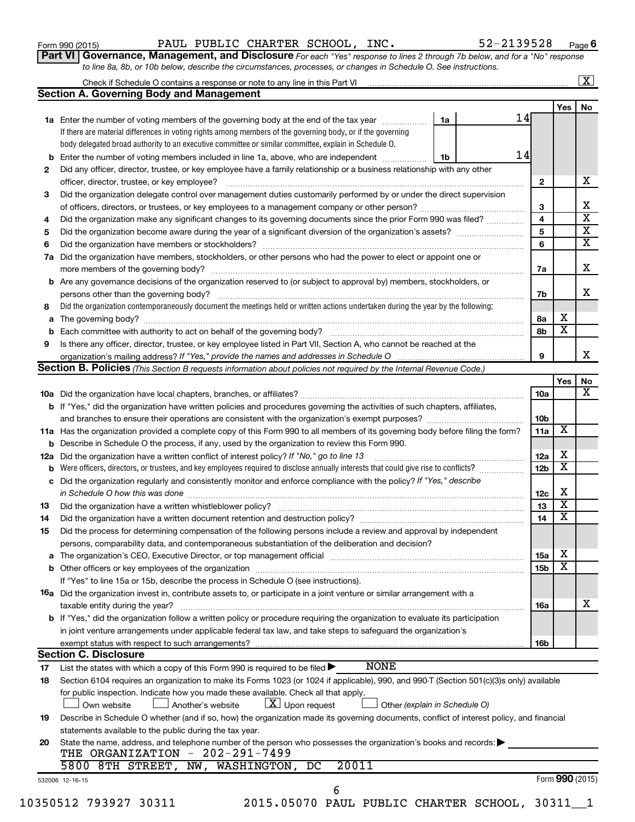Form 990 (2015) Page PAUL PUBLIC CHARTER SCHOOL, INC. 52-2139528

**6**

**Part VI** Governance, Management, and Disclosure For each "Yes" response to lines 2 through 7b below, and for a "No" response *to line 8a, 8b, or 10b below, describe the circumstances, processes, or changes in Schedule O. See instructions.*

| b<br>7a<br>b<br>а<br>b | <b>Section A. Governing Body and Management</b><br>1a Enter the number of voting members of the governing body at the end of the tax year<br>If there are material differences in voting rights among members of the governing body, or if the governing<br>body delegated broad authority to an executive committee or similar committee, explain in Schedule O.<br>Enter the number of voting members included in line 1a, above, who are independent <i>manumum</i><br>Did any officer, director, trustee, or key employee have a family relationship or a business relationship with any other<br>officer, director, trustee, or key employee?<br>Did the organization delegate control over management duties customarily performed by or under the direct supervision<br>Did the organization make any significant changes to its governing documents since the prior Form 990 was filed?<br>Did the organization have members, stockholders, or other persons who had the power to elect or appoint one or<br>Are any governance decisions of the organization reserved to (or subject to approval by) members, stockholders, or<br>Did the organization contemporaneously document the meetings held or written actions undertaken during the year by the following:<br>Is there any officer, director, trustee, or key employee listed in Part VII, Section A, who cannot be reached at the<br><b>Section B. Policies</b> (This Section B requests information about policies not required by the Internal Revenue Code.) | 1a<br>1b | 14<br>14 | $\mathbf{2}$<br>3<br>4<br>5<br>6<br>7a<br>7b<br>8а | Yes                     | No<br>x<br>х<br>$\overline{\textbf{x}}$<br>$\overline{\textbf{X}}$<br>$\overline{\textbf{x}}$<br>x<br>X |
|------------------------|------------------------------------------------------------------------------------------------------------------------------------------------------------------------------------------------------------------------------------------------------------------------------------------------------------------------------------------------------------------------------------------------------------------------------------------------------------------------------------------------------------------------------------------------------------------------------------------------------------------------------------------------------------------------------------------------------------------------------------------------------------------------------------------------------------------------------------------------------------------------------------------------------------------------------------------------------------------------------------------------------------------------------------------------------------------------------------------------------------------------------------------------------------------------------------------------------------------------------------------------------------------------------------------------------------------------------------------------------------------------------------------------------------------------------------------------------------------------------------------------------------------------------------|----------|----------|----------------------------------------------------|-------------------------|---------------------------------------------------------------------------------------------------------|
|                        |                                                                                                                                                                                                                                                                                                                                                                                                                                                                                                                                                                                                                                                                                                                                                                                                                                                                                                                                                                                                                                                                                                                                                                                                                                                                                                                                                                                                                                                                                                                                    |          |          |                                                    |                         |                                                                                                         |
|                        |                                                                                                                                                                                                                                                                                                                                                                                                                                                                                                                                                                                                                                                                                                                                                                                                                                                                                                                                                                                                                                                                                                                                                                                                                                                                                                                                                                                                                                                                                                                                    |          |          |                                                    |                         |                                                                                                         |
|                        |                                                                                                                                                                                                                                                                                                                                                                                                                                                                                                                                                                                                                                                                                                                                                                                                                                                                                                                                                                                                                                                                                                                                                                                                                                                                                                                                                                                                                                                                                                                                    |          |          |                                                    |                         |                                                                                                         |
|                        |                                                                                                                                                                                                                                                                                                                                                                                                                                                                                                                                                                                                                                                                                                                                                                                                                                                                                                                                                                                                                                                                                                                                                                                                                                                                                                                                                                                                                                                                                                                                    |          |          |                                                    |                         |                                                                                                         |
|                        |                                                                                                                                                                                                                                                                                                                                                                                                                                                                                                                                                                                                                                                                                                                                                                                                                                                                                                                                                                                                                                                                                                                                                                                                                                                                                                                                                                                                                                                                                                                                    |          |          |                                                    |                         |                                                                                                         |
|                        |                                                                                                                                                                                                                                                                                                                                                                                                                                                                                                                                                                                                                                                                                                                                                                                                                                                                                                                                                                                                                                                                                                                                                                                                                                                                                                                                                                                                                                                                                                                                    |          |          |                                                    |                         |                                                                                                         |
|                        |                                                                                                                                                                                                                                                                                                                                                                                                                                                                                                                                                                                                                                                                                                                                                                                                                                                                                                                                                                                                                                                                                                                                                                                                                                                                                                                                                                                                                                                                                                                                    |          |          |                                                    |                         |                                                                                                         |
|                        |                                                                                                                                                                                                                                                                                                                                                                                                                                                                                                                                                                                                                                                                                                                                                                                                                                                                                                                                                                                                                                                                                                                                                                                                                                                                                                                                                                                                                                                                                                                                    |          |          |                                                    |                         |                                                                                                         |
|                        |                                                                                                                                                                                                                                                                                                                                                                                                                                                                                                                                                                                                                                                                                                                                                                                                                                                                                                                                                                                                                                                                                                                                                                                                                                                                                                                                                                                                                                                                                                                                    |          |          |                                                    |                         |                                                                                                         |
|                        |                                                                                                                                                                                                                                                                                                                                                                                                                                                                                                                                                                                                                                                                                                                                                                                                                                                                                                                                                                                                                                                                                                                                                                                                                                                                                                                                                                                                                                                                                                                                    |          |          |                                                    |                         |                                                                                                         |
|                        |                                                                                                                                                                                                                                                                                                                                                                                                                                                                                                                                                                                                                                                                                                                                                                                                                                                                                                                                                                                                                                                                                                                                                                                                                                                                                                                                                                                                                                                                                                                                    |          |          |                                                    |                         |                                                                                                         |
|                        |                                                                                                                                                                                                                                                                                                                                                                                                                                                                                                                                                                                                                                                                                                                                                                                                                                                                                                                                                                                                                                                                                                                                                                                                                                                                                                                                                                                                                                                                                                                                    |          |          |                                                    |                         |                                                                                                         |
|                        |                                                                                                                                                                                                                                                                                                                                                                                                                                                                                                                                                                                                                                                                                                                                                                                                                                                                                                                                                                                                                                                                                                                                                                                                                                                                                                                                                                                                                                                                                                                                    |          |          |                                                    |                         |                                                                                                         |
|                        |                                                                                                                                                                                                                                                                                                                                                                                                                                                                                                                                                                                                                                                                                                                                                                                                                                                                                                                                                                                                                                                                                                                                                                                                                                                                                                                                                                                                                                                                                                                                    |          |          |                                                    |                         |                                                                                                         |
|                        |                                                                                                                                                                                                                                                                                                                                                                                                                                                                                                                                                                                                                                                                                                                                                                                                                                                                                                                                                                                                                                                                                                                                                                                                                                                                                                                                                                                                                                                                                                                                    |          |          |                                                    |                         |                                                                                                         |
|                        |                                                                                                                                                                                                                                                                                                                                                                                                                                                                                                                                                                                                                                                                                                                                                                                                                                                                                                                                                                                                                                                                                                                                                                                                                                                                                                                                                                                                                                                                                                                                    |          |          |                                                    |                         |                                                                                                         |
|                        |                                                                                                                                                                                                                                                                                                                                                                                                                                                                                                                                                                                                                                                                                                                                                                                                                                                                                                                                                                                                                                                                                                                                                                                                                                                                                                                                                                                                                                                                                                                                    |          |          |                                                    |                         |                                                                                                         |
|                        |                                                                                                                                                                                                                                                                                                                                                                                                                                                                                                                                                                                                                                                                                                                                                                                                                                                                                                                                                                                                                                                                                                                                                                                                                                                                                                                                                                                                                                                                                                                                    |          |          |                                                    |                         |                                                                                                         |
|                        |                                                                                                                                                                                                                                                                                                                                                                                                                                                                                                                                                                                                                                                                                                                                                                                                                                                                                                                                                                                                                                                                                                                                                                                                                                                                                                                                                                                                                                                                                                                                    |          |          |                                                    | х                       |                                                                                                         |
|                        |                                                                                                                                                                                                                                                                                                                                                                                                                                                                                                                                                                                                                                                                                                                                                                                                                                                                                                                                                                                                                                                                                                                                                                                                                                                                                                                                                                                                                                                                                                                                    |          |          |                                                    | $\overline{\mathbf{x}}$ |                                                                                                         |
|                        |                                                                                                                                                                                                                                                                                                                                                                                                                                                                                                                                                                                                                                                                                                                                                                                                                                                                                                                                                                                                                                                                                                                                                                                                                                                                                                                                                                                                                                                                                                                                    |          |          | 8b                                                 |                         |                                                                                                         |
|                        |                                                                                                                                                                                                                                                                                                                                                                                                                                                                                                                                                                                                                                                                                                                                                                                                                                                                                                                                                                                                                                                                                                                                                                                                                                                                                                                                                                                                                                                                                                                                    |          |          |                                                    |                         |                                                                                                         |
|                        |                                                                                                                                                                                                                                                                                                                                                                                                                                                                                                                                                                                                                                                                                                                                                                                                                                                                                                                                                                                                                                                                                                                                                                                                                                                                                                                                                                                                                                                                                                                                    |          |          | 9                                                  |                         | x                                                                                                       |
|                        |                                                                                                                                                                                                                                                                                                                                                                                                                                                                                                                                                                                                                                                                                                                                                                                                                                                                                                                                                                                                                                                                                                                                                                                                                                                                                                                                                                                                                                                                                                                                    |          |          |                                                    |                         |                                                                                                         |
|                        |                                                                                                                                                                                                                                                                                                                                                                                                                                                                                                                                                                                                                                                                                                                                                                                                                                                                                                                                                                                                                                                                                                                                                                                                                                                                                                                                                                                                                                                                                                                                    |          |          |                                                    | Yes                     | No                                                                                                      |
|                        |                                                                                                                                                                                                                                                                                                                                                                                                                                                                                                                                                                                                                                                                                                                                                                                                                                                                                                                                                                                                                                                                                                                                                                                                                                                                                                                                                                                                                                                                                                                                    |          |          | 10a                                                |                         | x                                                                                                       |
|                        | <b>b</b> If "Yes," did the organization have written policies and procedures governing the activities of such chapters, affiliates,                                                                                                                                                                                                                                                                                                                                                                                                                                                                                                                                                                                                                                                                                                                                                                                                                                                                                                                                                                                                                                                                                                                                                                                                                                                                                                                                                                                                |          |          |                                                    |                         |                                                                                                         |
|                        |                                                                                                                                                                                                                                                                                                                                                                                                                                                                                                                                                                                                                                                                                                                                                                                                                                                                                                                                                                                                                                                                                                                                                                                                                                                                                                                                                                                                                                                                                                                                    |          |          | 10 <sub>b</sub>                                    |                         |                                                                                                         |
|                        | 11a Has the organization provided a complete copy of this Form 990 to all members of its governing body before filing the form?                                                                                                                                                                                                                                                                                                                                                                                                                                                                                                                                                                                                                                                                                                                                                                                                                                                                                                                                                                                                                                                                                                                                                                                                                                                                                                                                                                                                    |          |          | 11a                                                | х                       |                                                                                                         |
|                        | <b>b</b> Describe in Schedule O the process, if any, used by the organization to review this Form 990.                                                                                                                                                                                                                                                                                                                                                                                                                                                                                                                                                                                                                                                                                                                                                                                                                                                                                                                                                                                                                                                                                                                                                                                                                                                                                                                                                                                                                             |          |          |                                                    |                         |                                                                                                         |
| 12a                    | Did the organization have a written conflict of interest policy? If "No," go to line 13                                                                                                                                                                                                                                                                                                                                                                                                                                                                                                                                                                                                                                                                                                                                                                                                                                                                                                                                                                                                                                                                                                                                                                                                                                                                                                                                                                                                                                            |          |          | 12a                                                | х                       |                                                                                                         |
| b                      | Were officers, directors, or trustees, and key employees required to disclose annually interests that could give rise to conflicts?                                                                                                                                                                                                                                                                                                                                                                                                                                                                                                                                                                                                                                                                                                                                                                                                                                                                                                                                                                                                                                                                                                                                                                                                                                                                                                                                                                                                |          |          | 12 <sub>b</sub>                                    | х                       |                                                                                                         |
| с                      | Did the organization regularly and consistently monitor and enforce compliance with the policy? If "Yes," describe                                                                                                                                                                                                                                                                                                                                                                                                                                                                                                                                                                                                                                                                                                                                                                                                                                                                                                                                                                                                                                                                                                                                                                                                                                                                                                                                                                                                                 |          |          |                                                    |                         |                                                                                                         |
|                        |                                                                                                                                                                                                                                                                                                                                                                                                                                                                                                                                                                                                                                                                                                                                                                                                                                                                                                                                                                                                                                                                                                                                                                                                                                                                                                                                                                                                                                                                                                                                    |          |          | 12c                                                | X                       |                                                                                                         |
|                        |                                                                                                                                                                                                                                                                                                                                                                                                                                                                                                                                                                                                                                                                                                                                                                                                                                                                                                                                                                                                                                                                                                                                                                                                                                                                                                                                                                                                                                                                                                                                    |          |          | 13                                                 | $\overline{\textbf{x}}$ |                                                                                                         |
|                        | Did the organization have a written document retention and destruction policy? [11] manufaction manufaction in                                                                                                                                                                                                                                                                                                                                                                                                                                                                                                                                                                                                                                                                                                                                                                                                                                                                                                                                                                                                                                                                                                                                                                                                                                                                                                                                                                                                                     |          |          | 14                                                 | $\overline{\mathbf{X}}$ |                                                                                                         |
|                        | Did the process for determining compensation of the following persons include a review and approval by independent                                                                                                                                                                                                                                                                                                                                                                                                                                                                                                                                                                                                                                                                                                                                                                                                                                                                                                                                                                                                                                                                                                                                                                                                                                                                                                                                                                                                                 |          |          |                                                    |                         |                                                                                                         |
|                        | persons, comparability data, and contemporaneous substantiation of the deliberation and decision?                                                                                                                                                                                                                                                                                                                                                                                                                                                                                                                                                                                                                                                                                                                                                                                                                                                                                                                                                                                                                                                                                                                                                                                                                                                                                                                                                                                                                                  |          |          |                                                    |                         |                                                                                                         |
| а                      | The organization's CEO, Executive Director, or top management official [111] [12] manument content or organization's CEO, Executive Director, or top management official [11] manument content or or or or or or or or or or o                                                                                                                                                                                                                                                                                                                                                                                                                                                                                                                                                                                                                                                                                                                                                                                                                                                                                                                                                                                                                                                                                                                                                                                                                                                                                                     |          |          | 15a                                                | х                       |                                                                                                         |
|                        |                                                                                                                                                                                                                                                                                                                                                                                                                                                                                                                                                                                                                                                                                                                                                                                                                                                                                                                                                                                                                                                                                                                                                                                                                                                                                                                                                                                                                                                                                                                                    |          |          | 15 <sub>b</sub>                                    | х                       |                                                                                                         |
|                        | If "Yes" to line 15a or 15b, describe the process in Schedule O (see instructions).                                                                                                                                                                                                                                                                                                                                                                                                                                                                                                                                                                                                                                                                                                                                                                                                                                                                                                                                                                                                                                                                                                                                                                                                                                                                                                                                                                                                                                                |          |          |                                                    |                         |                                                                                                         |
|                        | 16a Did the organization invest in, contribute assets to, or participate in a joint venture or similar arrangement with a                                                                                                                                                                                                                                                                                                                                                                                                                                                                                                                                                                                                                                                                                                                                                                                                                                                                                                                                                                                                                                                                                                                                                                                                                                                                                                                                                                                                          |          |          |                                                    |                         |                                                                                                         |
|                        |                                                                                                                                                                                                                                                                                                                                                                                                                                                                                                                                                                                                                                                                                                                                                                                                                                                                                                                                                                                                                                                                                                                                                                                                                                                                                                                                                                                                                                                                                                                                    |          |          |                                                    |                         | х                                                                                                       |
|                        | taxable entity during the year?<br>b If "Yes," did the organization follow a written policy or procedure requiring the organization to evaluate its participation                                                                                                                                                                                                                                                                                                                                                                                                                                                                                                                                                                                                                                                                                                                                                                                                                                                                                                                                                                                                                                                                                                                                                                                                                                                                                                                                                                  |          |          | 16a                                                |                         |                                                                                                         |
|                        |                                                                                                                                                                                                                                                                                                                                                                                                                                                                                                                                                                                                                                                                                                                                                                                                                                                                                                                                                                                                                                                                                                                                                                                                                                                                                                                                                                                                                                                                                                                                    |          |          |                                                    |                         |                                                                                                         |
|                        | in joint venture arrangements under applicable federal tax law, and take steps to safeguard the organization's                                                                                                                                                                                                                                                                                                                                                                                                                                                                                                                                                                                                                                                                                                                                                                                                                                                                                                                                                                                                                                                                                                                                                                                                                                                                                                                                                                                                                     |          |          |                                                    |                         |                                                                                                         |
|                        | exempt status with respect to such arrangements?                                                                                                                                                                                                                                                                                                                                                                                                                                                                                                                                                                                                                                                                                                                                                                                                                                                                                                                                                                                                                                                                                                                                                                                                                                                                                                                                                                                                                                                                                   |          |          | 16b                                                |                         |                                                                                                         |
|                        | <b>Section C. Disclosure</b>                                                                                                                                                                                                                                                                                                                                                                                                                                                                                                                                                                                                                                                                                                                                                                                                                                                                                                                                                                                                                                                                                                                                                                                                                                                                                                                                                                                                                                                                                                       |          |          |                                                    |                         |                                                                                                         |
|                        | <b>NONE</b><br>List the states with which a copy of this Form 990 is required to be filed $\blacktriangleright$                                                                                                                                                                                                                                                                                                                                                                                                                                                                                                                                                                                                                                                                                                                                                                                                                                                                                                                                                                                                                                                                                                                                                                                                                                                                                                                                                                                                                    |          |          |                                                    |                         |                                                                                                         |
|                        | Section 6104 requires an organization to make its Forms 1023 (or 1024 if applicable), 990, and 990-T (Section 501(c)(3)s only) available                                                                                                                                                                                                                                                                                                                                                                                                                                                                                                                                                                                                                                                                                                                                                                                                                                                                                                                                                                                                                                                                                                                                                                                                                                                                                                                                                                                           |          |          |                                                    |                         |                                                                                                         |
|                        | for public inspection. Indicate how you made these available. Check all that apply.                                                                                                                                                                                                                                                                                                                                                                                                                                                                                                                                                                                                                                                                                                                                                                                                                                                                                                                                                                                                                                                                                                                                                                                                                                                                                                                                                                                                                                                |          |          |                                                    |                         |                                                                                                         |
|                        | $\lfloor x \rfloor$ Upon request<br>Another's website<br>Other (explain in Schedule O)<br>Own website                                                                                                                                                                                                                                                                                                                                                                                                                                                                                                                                                                                                                                                                                                                                                                                                                                                                                                                                                                                                                                                                                                                                                                                                                                                                                                                                                                                                                              |          |          |                                                    |                         |                                                                                                         |
|                        | Describe in Schedule O whether (and if so, how) the organization made its governing documents, conflict of interest policy, and financial                                                                                                                                                                                                                                                                                                                                                                                                                                                                                                                                                                                                                                                                                                                                                                                                                                                                                                                                                                                                                                                                                                                                                                                                                                                                                                                                                                                          |          |          |                                                    |                         |                                                                                                         |
|                        | statements available to the public during the tax year.                                                                                                                                                                                                                                                                                                                                                                                                                                                                                                                                                                                                                                                                                                                                                                                                                                                                                                                                                                                                                                                                                                                                                                                                                                                                                                                                                                                                                                                                            |          |          |                                                    |                         |                                                                                                         |
| 20                     | State the name, address, and telephone number of the person who possesses the organization's books and records:                                                                                                                                                                                                                                                                                                                                                                                                                                                                                                                                                                                                                                                                                                                                                                                                                                                                                                                                                                                                                                                                                                                                                                                                                                                                                                                                                                                                                    |          |          |                                                    |                         |                                                                                                         |
|                        | THE ORGANIZATION - 202-291-7499                                                                                                                                                                                                                                                                                                                                                                                                                                                                                                                                                                                                                                                                                                                                                                                                                                                                                                                                                                                                                                                                                                                                                                                                                                                                                                                                                                                                                                                                                                    |          |          |                                                    |                         |                                                                                                         |
|                        | 20011<br>5800 8TH STREET,<br>NW, WASHINGTON,<br>DC                                                                                                                                                                                                                                                                                                                                                                                                                                                                                                                                                                                                                                                                                                                                                                                                                                                                                                                                                                                                                                                                                                                                                                                                                                                                                                                                                                                                                                                                                 |          |          |                                                    |                         |                                                                                                         |
| 532006 12-16-15        |                                                                                                                                                                                                                                                                                                                                                                                                                                                                                                                                                                                                                                                                                                                                                                                                                                                                                                                                                                                                                                                                                                                                                                                                                                                                                                                                                                                                                                                                                                                                    |          |          |                                                    | Form 990 (2015)         |                                                                                                         |
|                        | 6                                                                                                                                                                                                                                                                                                                                                                                                                                                                                                                                                                                                                                                                                                                                                                                                                                                                                                                                                                                                                                                                                                                                                                                                                                                                                                                                                                                                                                                                                                                                  |          |          |                                                    |                         |                                                                                                         |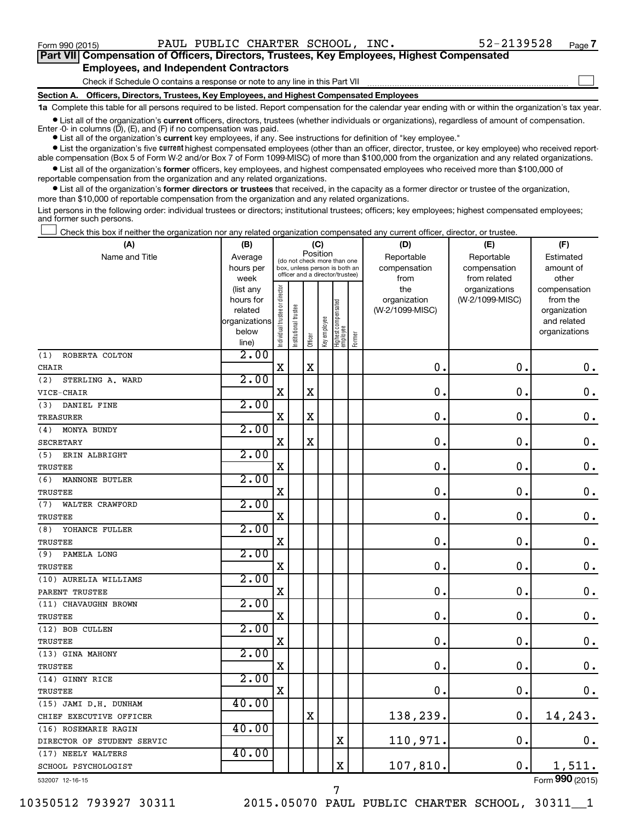$\Box$ 

| Part VII Compensation of Officers, Directors, Trustees, Key Employees, Highest Compensated |
|--------------------------------------------------------------------------------------------|
| <b>Employees, and Independent Contractors</b>                                              |

Check if Schedule O contains a response or note to any line in this Part VII

**Section A. Officers, Directors, Trustees, Key Employees, and Highest Compensated Employees**

**1a**  Complete this table for all persons required to be listed. Report compensation for the calendar year ending with or within the organization's tax year.

**•** List all of the organization's current officers, directors, trustees (whether individuals or organizations), regardless of amount of compensation. Enter -0- in columns  $(D)$ ,  $(E)$ , and  $(F)$  if no compensation was paid.

**•** List all of the organization's **current** key employees, if any. See instructions for definition of "key employee."

**•** List the organization's five current highest compensated employees (other than an officer, director, trustee, or key employee) who received reportable compensation (Box 5 of Form W-2 and/or Box 7 of Form 1099-MISC) of more than \$100,000 from the organization and any related organizations.

**•** List all of the organization's former officers, key employees, and highest compensated employees who received more than \$100,000 of reportable compensation from the organization and any related organizations.

**•** List all of the organization's former directors or trustees that received, in the capacity as a former director or trustee of the organization, more than \$10,000 of reportable compensation from the organization and any related organizations.

List persons in the following order: individual trustees or directors; institutional trustees; officers; key employees; highest compensated employees; and former such persons.

Check this box if neither the organization nor any related organization compensated any current officer, director, or trustee.  $\Box$ 

| (A)                          | (B)                                                                          |                                |                                                                                                 | (C)         |              |                                   |        | (D)                                            | (E)                                              | (F)                                                                               |
|------------------------------|------------------------------------------------------------------------------|--------------------------------|-------------------------------------------------------------------------------------------------|-------------|--------------|-----------------------------------|--------|------------------------------------------------|--------------------------------------------------|-----------------------------------------------------------------------------------|
| Name and Title               | Average<br>hours per                                                         |                                | (do not check more than one<br>box, unless person is both an<br>officer and a director/trustee) | Position    |              |                                   |        | Reportable<br>compensation                     | Reportable<br>compensation                       | Estimated<br>amount of                                                            |
|                              | week<br>(list any<br>hours for<br>related<br>organizations<br>below<br>line) | Individual trustee or director | trustee<br>Institutional t                                                                      | Officer     | Key employee | Highest compensated<br>  employee | Former | from<br>the<br>organization<br>(W-2/1099-MISC) | from related<br>organizations<br>(W-2/1099-MISC) | other<br>compensation<br>from the<br>organization<br>and related<br>organizations |
| ROBERTA COLTON<br>(1)        | 2.00                                                                         |                                |                                                                                                 |             |              |                                   |        |                                                |                                                  |                                                                                   |
| <b>CHAIR</b>                 |                                                                              | X                              |                                                                                                 | $\mathbf X$ |              |                                   |        | $\mathbf 0$ .                                  | $\mathbf 0$ .                                    | $\mathbf 0$ .                                                                     |
| (2)<br>STERLING A. WARD      | 2.00                                                                         |                                |                                                                                                 |             |              |                                   |        |                                                |                                                  |                                                                                   |
| VICE-CHAIR                   |                                                                              | $\mathbf X$                    |                                                                                                 | X           |              |                                   |        | 0.                                             | $\mathbf 0$ .                                    | $\mathbf 0$ .                                                                     |
| (3)<br>DANIEL FINE           | 2.00                                                                         |                                |                                                                                                 |             |              |                                   |        |                                                |                                                  |                                                                                   |
| <b>TREASURER</b>             |                                                                              | $\mathbf X$                    |                                                                                                 | X           |              |                                   |        | 0.                                             | $\mathbf 0$ .                                    | $\mathbf 0$ .                                                                     |
| (4)<br>MONYA BUNDY           | 2.00                                                                         |                                |                                                                                                 |             |              |                                   |        |                                                |                                                  |                                                                                   |
| <b>SECRETARY</b>             |                                                                              | $\mathbf X$                    |                                                                                                 | X           |              |                                   |        | $\mathbf 0$ .                                  | $\mathbf 0$ .                                    | $\mathbf 0$ .                                                                     |
| (5)<br>ERIN ALBRIGHT         | 2.00                                                                         |                                |                                                                                                 |             |              |                                   |        |                                                |                                                  |                                                                                   |
| <b>TRUSTEE</b>               |                                                                              | X                              |                                                                                                 |             |              |                                   |        | $\mathbf 0$ .                                  | $\mathbf 0$ .                                    | $\mathbf 0$ .                                                                     |
| (6)<br><b>MANNONE BUTLER</b> | 2.00                                                                         |                                |                                                                                                 |             |              |                                   |        |                                                |                                                  |                                                                                   |
| <b>TRUSTEE</b>               |                                                                              | $\mathbf X$                    |                                                                                                 |             |              |                                   |        | $\mathbf 0$ .                                  | $\mathbf 0$ .                                    | 0.                                                                                |
| (7)<br>WALTER CRAWFORD       | 2.00                                                                         |                                |                                                                                                 |             |              |                                   |        |                                                |                                                  |                                                                                   |
| <b>TRUSTEE</b>               |                                                                              | $\mathbf X$                    |                                                                                                 |             |              |                                   |        | $\mathbf 0$ .                                  | $\mathbf 0$ .                                    | $\mathbf 0$ .                                                                     |
| YOHANCE FULLER<br>(8)        | 2.00                                                                         |                                |                                                                                                 |             |              |                                   |        |                                                |                                                  |                                                                                   |
| TRUSTEE                      |                                                                              | $\mathbf X$                    |                                                                                                 |             |              |                                   |        | 0.                                             | $\mathbf 0$ .                                    | $\mathbf 0$ .                                                                     |
| PAMELA LONG<br>(9)           | 2.00                                                                         |                                |                                                                                                 |             |              |                                   |        |                                                |                                                  |                                                                                   |
| <b>TRUSTEE</b>               |                                                                              | $\mathbf X$                    |                                                                                                 |             |              |                                   |        | $\mathbf 0$ .                                  | $\mathbf 0$ .                                    | $\mathbf 0$ .                                                                     |
| (10) AURELIA WILLIAMS        | 2.00                                                                         |                                |                                                                                                 |             |              |                                   |        |                                                |                                                  |                                                                                   |
| PARENT TRUSTEE               |                                                                              | $\mathbf X$                    |                                                                                                 |             |              |                                   |        | $\mathbf 0$ .                                  | $\mathbf 0$ .                                    | $\mathbf 0$ .                                                                     |
| (11) CHAVAUGHN BROWN         | 2.00                                                                         |                                |                                                                                                 |             |              |                                   |        |                                                |                                                  |                                                                                   |
| TRUSTEE                      |                                                                              | $\mathbf X$                    |                                                                                                 |             |              |                                   |        | $\mathbf 0$ .                                  | $\mathbf 0$ .                                    | 0.                                                                                |
| (12) BOB CULLEN              | 2.00                                                                         |                                |                                                                                                 |             |              |                                   |        |                                                |                                                  |                                                                                   |
| TRUSTEE                      |                                                                              | $\overline{\mathbf{X}}$        |                                                                                                 |             |              |                                   |        | $\mathbf 0$ .                                  | $\mathbf 0$ .                                    | $\mathbf 0$ .                                                                     |
| (13) GINA MAHONY             | 2.00                                                                         |                                |                                                                                                 |             |              |                                   |        |                                                |                                                  |                                                                                   |
| TRUSTEE                      |                                                                              | X                              |                                                                                                 |             |              |                                   |        | $\mathbf 0$ .                                  | $\mathbf 0$ .                                    | $\mathbf 0$ .                                                                     |
| (14) GINNY RICE              | 2.00                                                                         |                                |                                                                                                 |             |              |                                   |        |                                                |                                                  |                                                                                   |
| TRUSTEE                      |                                                                              | $\mathbf X$                    |                                                                                                 |             |              |                                   |        | $\mathbf 0$ .                                  | $\mathbf 0$ .                                    | 0.                                                                                |
| (15) JAMI D.H. DUNHAM        | 40.00                                                                        |                                |                                                                                                 |             |              |                                   |        |                                                |                                                  |                                                                                   |
| CHIEF EXECUTIVE OFFICER      |                                                                              |                                |                                                                                                 | $\mathbf X$ |              |                                   |        | 138,239.                                       | $\mathbf 0$ .                                    | 14,243.                                                                           |
| (16) ROSEMARIE RAGIN         | 40.00                                                                        |                                |                                                                                                 |             |              |                                   |        |                                                |                                                  |                                                                                   |
| DIRECTOR OF STUDENT SERVIC   |                                                                              |                                |                                                                                                 |             |              | $\mathbf X$                       |        | 110,971.                                       | $\mathbf 0$ .                                    | $0$ .                                                                             |
| (17) NEELY WALTERS           | 40.00                                                                        |                                |                                                                                                 |             |              |                                   |        |                                                |                                                  |                                                                                   |
| SCHOOL PSYCHOLOGIST          |                                                                              |                                |                                                                                                 |             |              | $\mathbf X$                       |        | 107,810.                                       | $\mathbf 0$ .                                    | 1,511.                                                                            |

532007 12-16-15

10350512 793927 30311 2015.05070 PAUL PUBLIC CHARTER SCHOOL, 30311\_\_1

7

Form (2015) **990**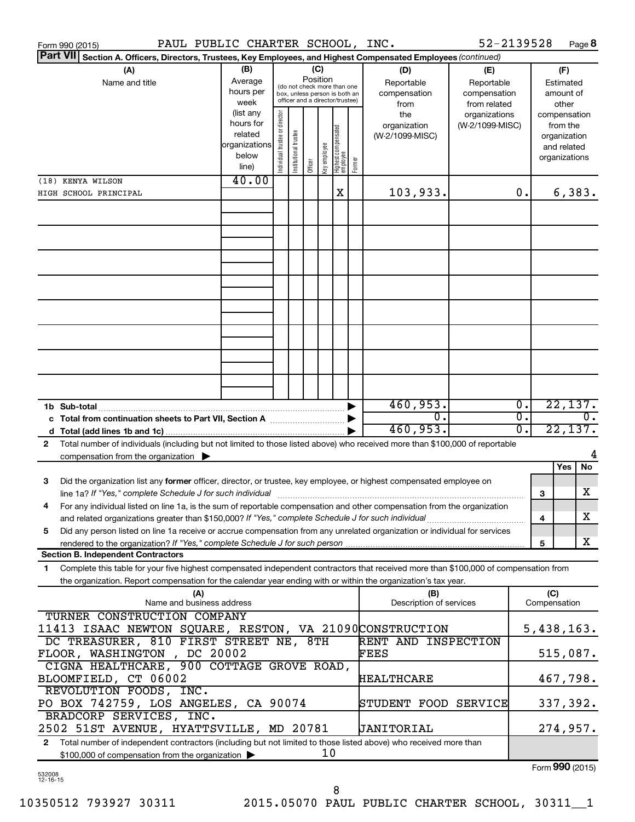| <b>Part VII</b><br>Section A. Officers, Directors, Trustees, Key Employees, and Highest Compensated Employees (continued)<br>(B)<br>(A)<br>(C)<br>(D)<br>(E)<br>Position<br>Average<br>Name and title<br>Reportable<br>Reportable<br>(do not check more than one<br>hours per<br>compensation<br>compensation<br>box, unless person is both an<br>officer and a director/trustee)<br>week<br>from<br>from related<br>(list any<br>Individual trustee or director<br>the<br>organizations<br>hours for<br>organization<br>(W-2/1099-MISC)<br>  Highest compensated<br>  employee<br>Institutional trustee<br>related<br>(W-2/1099-MISC)<br>organizations<br>Key employee<br>below<br>Former<br>Officer<br>line)<br>40.00<br>(18) KENYA WILSON<br>103,933.<br>X<br>0.<br>HIGH SCHOOL PRINCIPAL | (F)<br>Estimated<br>amount of<br>other<br>compensation<br>from the<br>organization<br>and related<br>organizations<br>6,383. |
|----------------------------------------------------------------------------------------------------------------------------------------------------------------------------------------------------------------------------------------------------------------------------------------------------------------------------------------------------------------------------------------------------------------------------------------------------------------------------------------------------------------------------------------------------------------------------------------------------------------------------------------------------------------------------------------------------------------------------------------------------------------------------------------------|------------------------------------------------------------------------------------------------------------------------------|
|                                                                                                                                                                                                                                                                                                                                                                                                                                                                                                                                                                                                                                                                                                                                                                                              |                                                                                                                              |
|                                                                                                                                                                                                                                                                                                                                                                                                                                                                                                                                                                                                                                                                                                                                                                                              |                                                                                                                              |
|                                                                                                                                                                                                                                                                                                                                                                                                                                                                                                                                                                                                                                                                                                                                                                                              |                                                                                                                              |
|                                                                                                                                                                                                                                                                                                                                                                                                                                                                                                                                                                                                                                                                                                                                                                                              |                                                                                                                              |
|                                                                                                                                                                                                                                                                                                                                                                                                                                                                                                                                                                                                                                                                                                                                                                                              |                                                                                                                              |
|                                                                                                                                                                                                                                                                                                                                                                                                                                                                                                                                                                                                                                                                                                                                                                                              |                                                                                                                              |
|                                                                                                                                                                                                                                                                                                                                                                                                                                                                                                                                                                                                                                                                                                                                                                                              |                                                                                                                              |
|                                                                                                                                                                                                                                                                                                                                                                                                                                                                                                                                                                                                                                                                                                                                                                                              |                                                                                                                              |
|                                                                                                                                                                                                                                                                                                                                                                                                                                                                                                                                                                                                                                                                                                                                                                                              |                                                                                                                              |
| 460,953.<br>$\overline{0}$ .<br>1b Sub-total                                                                                                                                                                                                                                                                                                                                                                                                                                                                                                                                                                                                                                                                                                                                                 | 22,137.                                                                                                                      |
| $\overline{0}$ .<br>σ.<br>c Total from continuation sheets to Part VII, Section A manus and the set of the Section A<br>460,953.<br>0.                                                                                                                                                                                                                                                                                                                                                                                                                                                                                                                                                                                                                                                       | $\overline{0}$ .<br>22,137.                                                                                                  |
| Total number of individuals (including but not limited to those listed above) who received more than \$100,000 of reportable<br>2<br>compensation from the organization $\blacktriangleright$                                                                                                                                                                                                                                                                                                                                                                                                                                                                                                                                                                                                | 4                                                                                                                            |
|                                                                                                                                                                                                                                                                                                                                                                                                                                                                                                                                                                                                                                                                                                                                                                                              | Yes<br>No                                                                                                                    |
| 3<br>Did the organization list any former officer, director, or trustee, key employee, or highest compensated employee on<br>line 1a? If "Yes," complete Schedule J for such individual [11] manufacture manufacture in the set of the set o<br>З                                                                                                                                                                                                                                                                                                                                                                                                                                                                                                                                            | х                                                                                                                            |
| For any individual listed on line 1a, is the sum of reportable compensation and other compensation from the organization<br>and related organizations greater than \$150,000? If "Yes," complete Schedule J for such individual<br>4                                                                                                                                                                                                                                                                                                                                                                                                                                                                                                                                                         | х                                                                                                                            |
| Did any person listed on line 1a receive or accrue compensation from any unrelated organization or individual for services<br>5                                                                                                                                                                                                                                                                                                                                                                                                                                                                                                                                                                                                                                                              |                                                                                                                              |
| 5<br><b>Section B. Independent Contractors</b>                                                                                                                                                                                                                                                                                                                                                                                                                                                                                                                                                                                                                                                                                                                                               | x                                                                                                                            |
| Complete this table for your five highest compensated independent contractors that received more than \$100,000 of compensation from<br>1.                                                                                                                                                                                                                                                                                                                                                                                                                                                                                                                                                                                                                                                   |                                                                                                                              |
| the organization. Report compensation for the calendar year ending with or within the organization's tax year.<br>(C)<br>(A)<br>(B)<br>Description of services<br>Name and business address<br>Compensation                                                                                                                                                                                                                                                                                                                                                                                                                                                                                                                                                                                  |                                                                                                                              |
| TURNER CONSTRUCTION COMPANY                                                                                                                                                                                                                                                                                                                                                                                                                                                                                                                                                                                                                                                                                                                                                                  |                                                                                                                              |
| 11413 ISAAC NEWTON SQUARE, RESTON, VA 21090CONSTRUCTION<br>DC TREASURER, 810 FIRST STREET NE, 8TH<br>RENT AND INSPECTION                                                                                                                                                                                                                                                                                                                                                                                                                                                                                                                                                                                                                                                                     | 5,438,163.                                                                                                                   |
| FLOOR, WASHINGTON, DC 20002<br>FEES                                                                                                                                                                                                                                                                                                                                                                                                                                                                                                                                                                                                                                                                                                                                                          |                                                                                                                              |
| CIGNA HEALTHCARE, 900 COTTAGE GROVE ROAD,<br>BLOOMFIELD, CT 06002<br>HEALTHCARE                                                                                                                                                                                                                                                                                                                                                                                                                                                                                                                                                                                                                                                                                                              | 515,087.                                                                                                                     |
| REVOLUTION FOODS, INC.<br>PO BOX 742759, LOS ANGELES, CA 90074<br>STUDENT FOOD SERVICE<br>BRADCORP SERVICES, INC.                                                                                                                                                                                                                                                                                                                                                                                                                                                                                                                                                                                                                                                                            | 467,798.                                                                                                                     |
| 2502 51ST AVENUE, HYATTSVILLE, MD 20781<br>UANITORIAL                                                                                                                                                                                                                                                                                                                                                                                                                                                                                                                                                                                                                                                                                                                                        | 337,392.                                                                                                                     |
| Total number of independent contractors (including but not limited to those listed above) who received more than<br>2<br>10<br>\$100,000 of compensation from the organization<br>Form 990 (2015)                                                                                                                                                                                                                                                                                                                                                                                                                                                                                                                                                                                            | 274,957.                                                                                                                     |

532008 12-16-15

Form (2015) **990**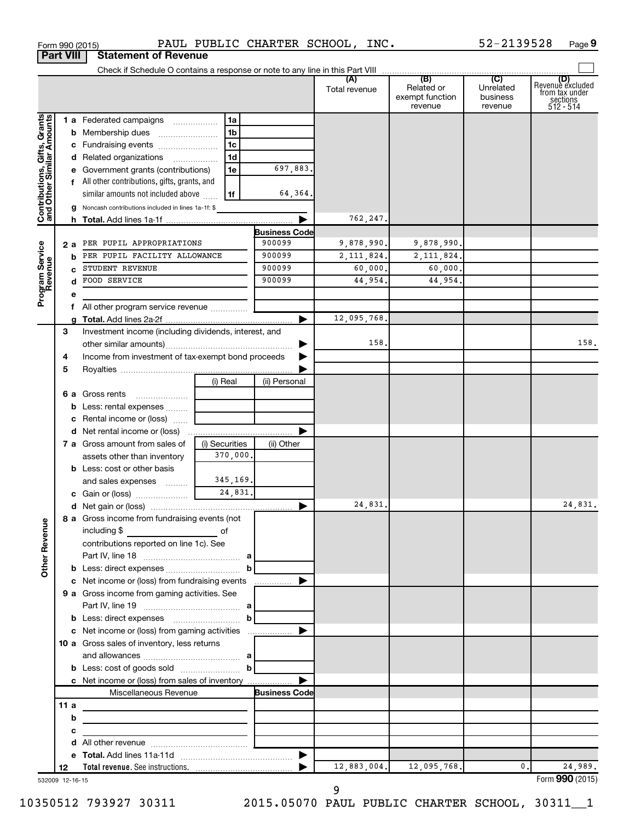|                                                           | <b>Part VIII</b> | <b>Statement of Revenue</b>                              |                                 |                      |                      |                                                 |                                         |                                                                    |
|-----------------------------------------------------------|------------------|----------------------------------------------------------|---------------------------------|----------------------|----------------------|-------------------------------------------------|-----------------------------------------|--------------------------------------------------------------------|
|                                                           |                  |                                                          |                                 |                      |                      |                                                 |                                         |                                                                    |
|                                                           |                  |                                                          |                                 |                      | (A)<br>Total revenue | (B)<br>Related or<br>exempt function<br>revenue | (C)<br>Unrelated<br>business<br>revenue | (D)<br>Revenue excluded<br>trom tax under<br>sections<br>512 - 514 |
|                                                           |                  | <b>1 a</b> Federated campaigns                           | 1a                              |                      |                      |                                                 |                                         |                                                                    |
|                                                           |                  |                                                          | 1 <sub>b</sub>                  |                      |                      |                                                 |                                         |                                                                    |
| Contributions, Gifts, Grants<br>and Other Similar Amounts |                  | c Fundraising events                                     | 1c                              |                      |                      |                                                 |                                         |                                                                    |
|                                                           |                  | d Related organizations                                  | 1 <sub>d</sub>                  |                      |                      |                                                 |                                         |                                                                    |
|                                                           |                  | e Government grants (contributions)                      | 1e                              | 697,883.             |                      |                                                 |                                         |                                                                    |
|                                                           |                  | f All other contributions, gifts, grants, and            |                                 |                      |                      |                                                 |                                         |                                                                    |
|                                                           |                  | similar amounts not included above                       | 1f                              | 64,364.              |                      |                                                 |                                         |                                                                    |
|                                                           |                  | g Noncash contributions included in lines 1a-1f: \$      |                                 |                      |                      |                                                 |                                         |                                                                    |
|                                                           |                  |                                                          |                                 |                      | 762,247.             |                                                 |                                         |                                                                    |
|                                                           |                  |                                                          |                                 | <b>Business Code</b> |                      |                                                 |                                         |                                                                    |
|                                                           | 2а               | PER PUPIL APPROPRIATIONS                                 |                                 | 900099               | 9,878,990.           | 9,878,990.                                      |                                         |                                                                    |
|                                                           |                  | PER PUPIL FACILITY ALLOWANCE                             |                                 | 900099               | 2, 111, 824.         | 2, 111, 824.                                    |                                         |                                                                    |
|                                                           |                  | STUDENT REVENUE                                          |                                 | 900099               | 60,000.              | 60,000.                                         |                                         |                                                                    |
|                                                           |                  | FOOD SERVICE<br>d                                        |                                 | 900099               | 44,954.              | 44,954.                                         |                                         |                                                                    |
| Program Service<br>Revenue                                |                  | е                                                        |                                 |                      |                      |                                                 |                                         |                                                                    |
|                                                           |                  | f All other program service revenue                      |                                 |                      |                      |                                                 |                                         |                                                                    |
|                                                           |                  |                                                          |                                 |                      | 12,095,768.          |                                                 |                                         |                                                                    |
|                                                           | З                | Investment income (including dividends, interest, and    |                                 |                      |                      |                                                 |                                         |                                                                    |
|                                                           |                  |                                                          |                                 |                      | 158.                 |                                                 |                                         | 158.                                                               |
|                                                           | 4                | Income from investment of tax-exempt bond proceeds       |                                 |                      |                      |                                                 |                                         |                                                                    |
|                                                           | 5                |                                                          |                                 |                      |                      |                                                 |                                         |                                                                    |
|                                                           |                  |                                                          | (i) Real                        | (ii) Personal        |                      |                                                 |                                         |                                                                    |
|                                                           |                  | <b>6 a</b> Gross rents<br><b>b</b> Less: rental expenses |                                 |                      |                      |                                                 |                                         |                                                                    |
|                                                           |                  | c Rental income or (loss)                                |                                 |                      |                      |                                                 |                                         |                                                                    |
|                                                           |                  | <b>d</b> Net rental income or (loss)                     |                                 |                      |                      |                                                 |                                         |                                                                    |
|                                                           |                  | 7 a Gross amount from sales of                           | (i) Securities                  | (ii) Other           |                      |                                                 |                                         |                                                                    |
|                                                           |                  | assets other than inventory                              | 370,000.                        |                      |                      |                                                 |                                         |                                                                    |
|                                                           |                  | <b>b</b> Less: cost or other basis                       |                                 |                      |                      |                                                 |                                         |                                                                    |
|                                                           |                  | and sales expenses                                       | 345,169.                        |                      |                      |                                                 |                                         |                                                                    |
|                                                           |                  | c Gain or (loss)                                         | 24,831.                         |                      |                      |                                                 |                                         |                                                                    |
|                                                           |                  |                                                          |                                 |                      | 24,831.              |                                                 |                                         | 24,831.                                                            |
|                                                           |                  | 8 a Gross income from fundraising events (not            | the contract of the contract of |                      |                      |                                                 |                                         |                                                                    |
|                                                           |                  | including \$<br>and the contract of the contract of      |                                 |                      |                      |                                                 |                                         |                                                                    |
|                                                           |                  | contributions reported on line 1c). See                  |                                 |                      |                      |                                                 |                                         |                                                                    |
| Other Revenue                                             |                  |                                                          |                                 |                      |                      |                                                 |                                         |                                                                    |
|                                                           |                  |                                                          | b                               |                      |                      |                                                 |                                         |                                                                    |
|                                                           |                  |                                                          |                                 |                      |                      |                                                 |                                         |                                                                    |
|                                                           |                  | <b>9 a</b> Gross income from gaming activities. See      |                                 |                      |                      |                                                 |                                         |                                                                    |
|                                                           |                  |                                                          |                                 |                      |                      |                                                 |                                         |                                                                    |
|                                                           |                  |                                                          |                                 |                      |                      |                                                 |                                         |                                                                    |
|                                                           |                  |                                                          |                                 |                      |                      |                                                 |                                         |                                                                    |
|                                                           |                  | <b>10 a</b> Gross sales of inventory, less returns       |                                 |                      |                      |                                                 |                                         |                                                                    |
|                                                           |                  |                                                          |                                 |                      |                      |                                                 |                                         |                                                                    |
|                                                           |                  |                                                          | $\mathbf b$                     |                      |                      |                                                 |                                         |                                                                    |
|                                                           |                  | c Net income or (loss) from sales of inventory           |                                 |                      |                      |                                                 |                                         |                                                                    |
|                                                           |                  | Miscellaneous Revenue                                    |                                 | <b>Business Code</b> |                      |                                                 |                                         |                                                                    |
|                                                           | 11 a             |                                                          |                                 |                      |                      |                                                 |                                         |                                                                    |
|                                                           |                  | b                                                        |                                 |                      |                      |                                                 |                                         |                                                                    |
|                                                           |                  | с                                                        |                                 |                      |                      |                                                 |                                         |                                                                    |
|                                                           |                  |                                                          |                                 |                      |                      |                                                 |                                         |                                                                    |
|                                                           |                  | <b>Total revenue.</b> See instructions.                  |                                 |                      |                      | $12,883,004.$ 12,095,768.                       | $\mathbf{0}$ .                          | 24,989.                                                            |
|                                                           | 12               |                                                          |                                 |                      |                      |                                                 |                                         |                                                                    |

Form 990 (2015) PAUL PUBLIC CHARTER SCHOOL, INC. 52-2139528 Page

532009 12-16-15 **12**

**Total revenue.**  See instructions.

9

|

Form (2015) **990**

**9**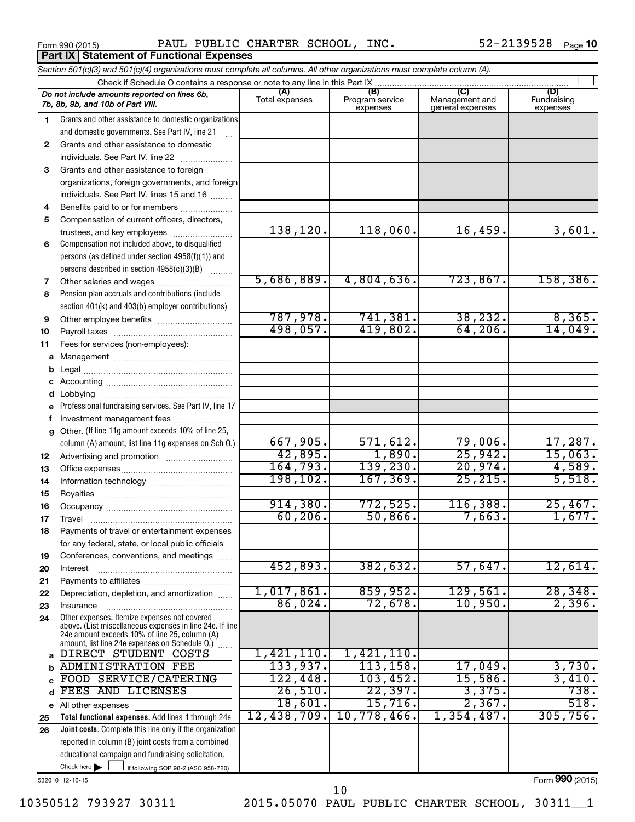**Part IX Statement of Functional Expenses** 

Form 990 (2015) Page PAUL PUBLIC CHARTER SCHOOL, INC. 52-2139528

52-2139528 Page 10

|              | Section 501(c)(3) and 501(c)(4) organizations must complete all columns. All other organizations must complete column (A).                                                                                 |                |                             |                                    |                         |
|--------------|------------------------------------------------------------------------------------------------------------------------------------------------------------------------------------------------------------|----------------|-----------------------------|------------------------------------|-------------------------|
|              | Check if Schedule O contains a response or note to any line in this Part IX                                                                                                                                | (A)            | (B)                         | (C)                                | (D)                     |
|              | Do not include amounts reported on lines 6b,<br>7b, 8b, 9b, and 10b of Part VIII.                                                                                                                          | Total expenses | Program service<br>expenses | Management and<br>general expenses | Fundraising<br>expenses |
| 1            | Grants and other assistance to domestic organizations                                                                                                                                                      |                |                             |                                    |                         |
|              | and domestic governments. See Part IV, line 21                                                                                                                                                             |                |                             |                                    |                         |
| $\mathbf{2}$ | Grants and other assistance to domestic                                                                                                                                                                    |                |                             |                                    |                         |
|              | individuals. See Part IV, line 22                                                                                                                                                                          |                |                             |                                    |                         |
| 3            | Grants and other assistance to foreign                                                                                                                                                                     |                |                             |                                    |                         |
|              | organizations, foreign governments, and foreign                                                                                                                                                            |                |                             |                                    |                         |
|              | individuals. See Part IV, lines 15 and 16                                                                                                                                                                  |                |                             |                                    |                         |
| 4            | Benefits paid to or for members                                                                                                                                                                            |                |                             |                                    |                         |
| 5            | Compensation of current officers, directors,                                                                                                                                                               |                |                             |                                    |                         |
|              | trustees, and key employees                                                                                                                                                                                | 138,120.       | 118,060.                    | 16,459.                            | 3,601.                  |
| 6            | Compensation not included above, to disqualified                                                                                                                                                           |                |                             |                                    |                         |
|              | persons (as defined under section 4958(f)(1)) and                                                                                                                                                          |                |                             |                                    |                         |
|              | persons described in section 4958(c)(3)(B)                                                                                                                                                                 | 5,686,889.     | 4,804,636.                  | 723,867.                           | 158, 386.               |
| 7            |                                                                                                                                                                                                            |                |                             |                                    |                         |
| 8            | Pension plan accruals and contributions (include                                                                                                                                                           |                |                             |                                    |                         |
|              | section 401(k) and 403(b) employer contributions)                                                                                                                                                          | 787,978.       | 741,381.                    | 38, 232.                           | 8,365.                  |
| 9            |                                                                                                                                                                                                            | 498,057.       | 419,802.                    | 64, 206.                           | 14,049.                 |
| 10           |                                                                                                                                                                                                            |                |                             |                                    |                         |
| 11           | Fees for services (non-employees):                                                                                                                                                                         |                |                             |                                    |                         |
| а            |                                                                                                                                                                                                            |                |                             |                                    |                         |
| b            |                                                                                                                                                                                                            |                |                             |                                    |                         |
| с<br>d       |                                                                                                                                                                                                            |                |                             |                                    |                         |
| е            | Professional fundraising services. See Part IV, line 17                                                                                                                                                    |                |                             |                                    |                         |
| f            | Investment management fees                                                                                                                                                                                 |                |                             |                                    |                         |
| g            | Other. (If line 11g amount exceeds 10% of line 25,                                                                                                                                                         |                |                             |                                    |                         |
|              | column (A) amount, list line 11g expenses on Sch O.)                                                                                                                                                       | 667,905.       | 571,612.                    | 79,006.                            | 17,287.                 |
| 12           |                                                                                                                                                                                                            | 42,895.        | 1,890.                      | 25,942.                            | 15,063.                 |
| 13           |                                                                                                                                                                                                            | 164, 793.      | 139,230.                    | 20,974.                            | 4,589.                  |
| 14           |                                                                                                                                                                                                            | 198, 102.      | 167, 369.                   | 25, 215.                           | 5,518.                  |
| 15           |                                                                                                                                                                                                            |                |                             |                                    |                         |
| 16           |                                                                                                                                                                                                            | 914,380.       | 772,525.                    | 116,388.                           | 25,467.                 |
| 17           |                                                                                                                                                                                                            | 60, 206.       | 50,866.                     | 7,663.                             | 1,677.                  |
| 18           | Payments of travel or entertainment expenses                                                                                                                                                               |                |                             |                                    |                         |
|              | for any federal, state, or local public officials                                                                                                                                                          |                |                             |                                    |                         |
| 19           | Conferences, conventions, and meetings                                                                                                                                                                     |                |                             |                                    |                         |
| 20           | Interest                                                                                                                                                                                                   | 452,893.       | 382,632.                    | 57,647.                            | 12,614.                 |
| 21           |                                                                                                                                                                                                            |                |                             |                                    |                         |
| 22           | Depreciation, depletion, and amortization                                                                                                                                                                  | 1,017,861.     | 859,952.                    | 129,561.                           | 28,348.                 |
| 23           | Insurance                                                                                                                                                                                                  | 86,024.        | 72,678.                     | 10,950.                            | 2,396.                  |
| 24           | Other expenses. Itemize expenses not covered<br>above. (List miscellaneous expenses in line 24e. If line<br>24e amount exceeds 10% of line 25, column (A)<br>amount, list line 24e expenses on Schedule 0. |                |                             |                                    |                         |
| a            | DIRECT STUDENT COSTS                                                                                                                                                                                       | 1,421,110.     | 1,421,110.                  |                                    |                         |
| b            | <b>ADMINISTRATION FEE</b>                                                                                                                                                                                  | 133,937.       | 113, 158.                   | 17,049.                            | 3,730.                  |
|              | FOOD SERVICE/CATERING                                                                                                                                                                                      | 122,448.       | 103,452.                    | 15,586.                            | 3,410.                  |
| d            | FEES AND LICENSES                                                                                                                                                                                          | 26,510.        | 22,397.                     | 3,375.                             | 738.                    |
|              | e All other expenses                                                                                                                                                                                       | 18,601.        | 15,716.                     | 2,367.                             | 518.                    |
| 25           | Total functional expenses. Add lines 1 through 24e                                                                                                                                                         | 12,438,709.    | 10,778,466.                 | 1,354,487.                         | 305,756.                |
| 26           | Joint costs. Complete this line only if the organization                                                                                                                                                   |                |                             |                                    |                         |
|              | reported in column (B) joint costs from a combined                                                                                                                                                         |                |                             |                                    |                         |
|              | educational campaign and fundraising solicitation.                                                                                                                                                         |                |                             |                                    |                         |
|              | Check here<br>if following SOP 98-2 (ASC 958-720)                                                                                                                                                          |                |                             |                                    |                         |

532010 12-16-15

Form (2015) **990**

10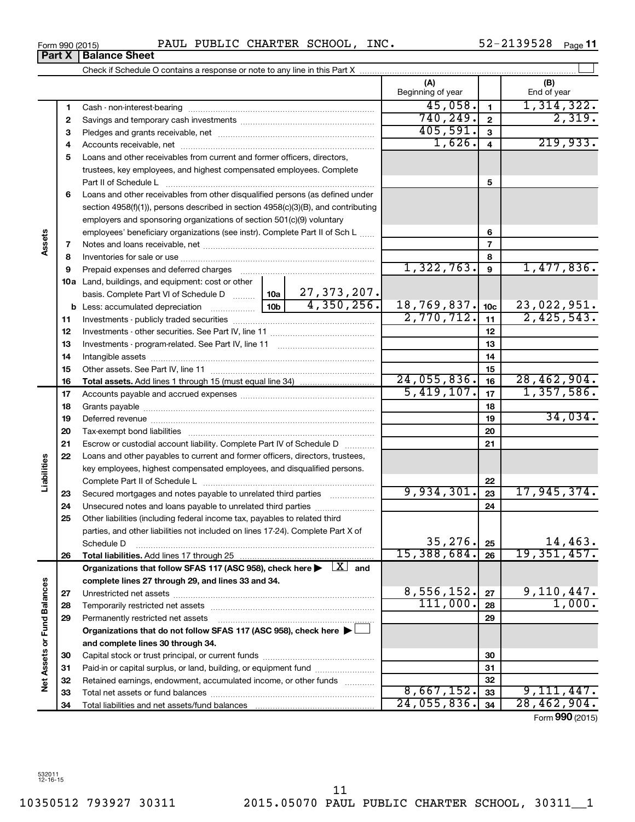10350512 793927 30311 2015.05070 PAUL PUBLIC CHARTER SCHOOL, 30311\_\_1 11

|                             |    |                                                                                                                           | (A)<br>Beginning of year |                 | (B)<br>End of year |
|-----------------------------|----|---------------------------------------------------------------------------------------------------------------------------|--------------------------|-----------------|--------------------|
|                             | 1  |                                                                                                                           | 45,058.                  | $\mathbf{1}$    | 1,314,322.         |
|                             | 2  |                                                                                                                           | 740, 249.                | $\overline{2}$  | 2,319.             |
|                             | З  |                                                                                                                           | 405,591.                 | $\mathbf{3}$    |                    |
|                             | 4  |                                                                                                                           | 1,626.                   | $\overline{4}$  | 219,933.           |
|                             | 5  | Loans and other receivables from current and former officers, directors,                                                  |                          |                 |                    |
|                             |    | trustees, key employees, and highest compensated employees. Complete                                                      |                          |                 |                    |
|                             |    | Part II of Schedule L                                                                                                     |                          | 5               |                    |
|                             | 6  | Loans and other receivables from other disqualified persons (as defined under                                             |                          |                 |                    |
|                             |    | section 4958(f)(1)), persons described in section 4958(c)(3)(B), and contributing                                         |                          |                 |                    |
|                             |    | employers and sponsoring organizations of section 501(c)(9) voluntary                                                     |                          |                 |                    |
|                             |    | employees' beneficiary organizations (see instr). Complete Part II of Sch L                                               |                          | 6               |                    |
|                             | 7  |                                                                                                                           |                          | $\overline{7}$  |                    |
|                             | 8  |                                                                                                                           |                          | 8               |                    |
|                             | 9  |                                                                                                                           | 1,322,763.               | $\mathbf{9}$    | 1,477,836.         |
|                             |    | 10a Land, buildings, and equipment: cost or other                                                                         |                          |                 |                    |
|                             |    | 27,373,207.<br>basis. Complete Part VI of Schedule D  10a                                                                 |                          |                 |                    |
|                             |    | 4,350,256.                                                                                                                | 18,769,837.              | 10 <sub>c</sub> | 23,022,951.        |
|                             | 11 |                                                                                                                           | 2,770,712.               | 11              | 2,425,543.         |
|                             | 12 |                                                                                                                           |                          | 12              |                    |
|                             | 13 |                                                                                                                           |                          | 13              |                    |
|                             | 14 |                                                                                                                           |                          | 14              |                    |
|                             | 15 |                                                                                                                           |                          | 15              |                    |
|                             | 16 |                                                                                                                           | 24,055,836.              | 16              | 28,462,904.        |
|                             | 17 |                                                                                                                           | 5,419,107.               | 17              | 1,357,586.         |
|                             | 18 |                                                                                                                           |                          | 18              |                    |
|                             | 19 |                                                                                                                           |                          | 19              | 34,034.            |
|                             | 20 |                                                                                                                           |                          | 20              |                    |
|                             | 21 | Escrow or custodial account liability. Complete Part IV of Schedule D                                                     |                          | 21              |                    |
|                             | 22 | Loans and other payables to current and former officers, directors, trustees,                                             |                          |                 |                    |
|                             |    | key employees, highest compensated employees, and disqualified persons.                                                   |                          |                 |                    |
| Liabilities                 |    |                                                                                                                           | 9,934,301.               | 22              |                    |
|                             | 23 | Secured mortgages and notes payable to unrelated third parties                                                            |                          | 23              | 17,945,374.        |
|                             | 24 | Unsecured notes and loans payable to unrelated third parties                                                              |                          | 24              |                    |
|                             | 25 | Other liabilities (including federal income tax, payables to related third                                                |                          |                 |                    |
|                             |    | parties, and other liabilities not included on lines 17-24). Complete Part X of                                           | 35,276.                  |                 | 14,463.            |
|                             |    | Schedule D                                                                                                                | 15,388,684.              | 25<br>26        | 19,351,457.        |
|                             | 26 | Organizations that follow SFAS 117 (ASC 958), check here $\blacktriangleright \begin{array}{c} \boxed{X} \end{array}$ and |                          |                 |                    |
|                             |    | complete lines 27 through 29, and lines 33 and 34.                                                                        |                          |                 |                    |
|                             | 27 |                                                                                                                           | 8,556,152.               | 27              | 9,110,447.         |
|                             | 28 |                                                                                                                           | 111,000.                 | 28              | 1,000.             |
|                             | 29 | Permanently restricted net assets                                                                                         |                          | 29              |                    |
|                             |    | Organizations that do not follow SFAS 117 (ASC 958), check here ▶                                                         |                          |                 |                    |
| Net Assets or Fund Balances |    | and complete lines 30 through 34.                                                                                         |                          |                 |                    |
|                             | 30 |                                                                                                                           |                          | 30              |                    |
|                             | 31 | Paid-in or capital surplus, or land, building, or equipment fund                                                          |                          | 31              |                    |
|                             | 32 | Retained earnings, endowment, accumulated income, or other funds                                                          |                          | 32              |                    |
|                             | 33 |                                                                                                                           | 8,667,152.               | 33              | 9,111,447.         |
|                             | 34 |                                                                                                                           | 24,055,836.              | 34              | 28,462,904.        |

Form (2015) **990**

**Assets**

**Liabilities**

Net Assets or Fund Balances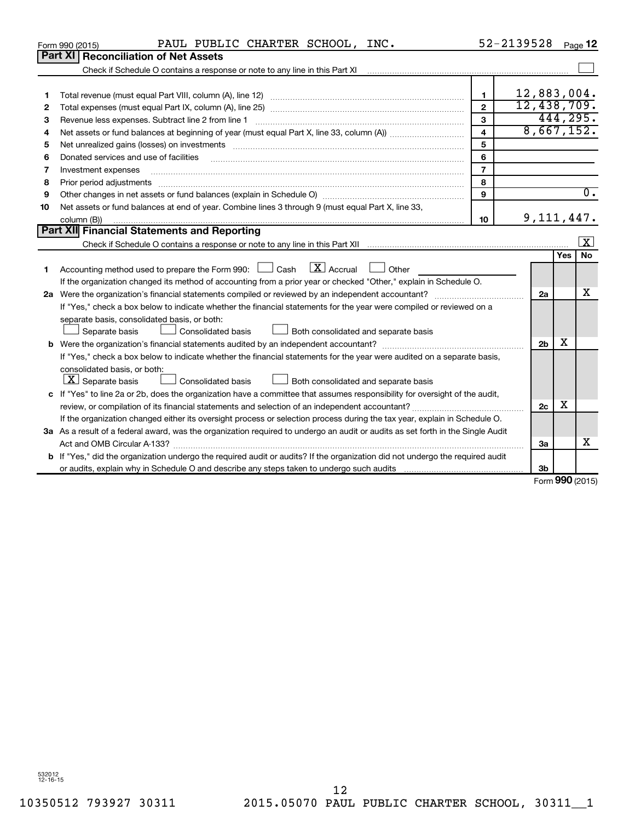|    | PAUL PUBLIC CHARTER SCHOOL, INC.<br>Form 990 (2015)                                                                                  |                | 52-2139528     |     | Page 12             |
|----|--------------------------------------------------------------------------------------------------------------------------------------|----------------|----------------|-----|---------------------|
|    | <b>Part XI   Reconciliation of Net Assets</b>                                                                                        |                |                |     |                     |
|    |                                                                                                                                      |                |                |     |                     |
|    |                                                                                                                                      |                |                |     |                     |
| 1  |                                                                                                                                      | 1              | 12,883,004.    |     |                     |
| 2  |                                                                                                                                      | $\overline{2}$ | 12,438,709.    |     |                     |
| з  | Revenue less expenses. Subtract line 2 from line 1                                                                                   | 3              |                |     | 444, 295.           |
| 4  |                                                                                                                                      | $\overline{4}$ | 8,667,152.     |     |                     |
| 5  | Net unrealized gains (losses) on investments [111] www.martime.community.community.community.community.communi                       | 5              |                |     |                     |
| 6  | Donated services and use of facilities                                                                                               | 6              |                |     |                     |
| 7  | Investment expenses                                                                                                                  | $\overline{7}$ |                |     |                     |
| 8  | Prior period adjustments                                                                                                             | 8              |                |     |                     |
| 9  |                                                                                                                                      | 9              |                |     | $\overline{0}$ .    |
| 10 | Net assets or fund balances at end of year. Combine lines 3 through 9 (must equal Part X, line 33,                                   |                |                |     |                     |
|    | column (B))                                                                                                                          | 10             | 9, 111, 447.   |     |                     |
|    | Part XII Financial Statements and Reporting                                                                                          |                |                |     |                     |
|    |                                                                                                                                      |                |                |     | $\mathbf{x}$        |
|    |                                                                                                                                      |                |                | Yes | <b>No</b>           |
| 1  | $\lfloor \mathbf{X} \rfloor$ Accrual<br>Accounting method used to prepare the Form 990: [130] Cash<br>Other                          |                |                |     |                     |
|    | If the organization changed its method of accounting from a prior year or checked "Other," explain in Schedule O.                    |                |                |     |                     |
|    |                                                                                                                                      |                | 2a             |     | x                   |
|    | If "Yes," check a box below to indicate whether the financial statements for the year were compiled or reviewed on a                 |                |                |     |                     |
|    | separate basis, consolidated basis, or both:                                                                                         |                |                |     |                     |
|    | Consolidated basis<br>Both consolidated and separate basis<br>Separate basis                                                         |                |                |     |                     |
|    |                                                                                                                                      |                | 2 <sub>b</sub> | x   |                     |
|    | If "Yes," check a box below to indicate whether the financial statements for the year were audited on a separate basis,              |                |                |     |                     |
|    | consolidated basis, or both:                                                                                                         |                |                |     |                     |
|    | $\lfloor x \rfloor$ Separate basis<br>Consolidated basis<br>Both consolidated and separate basis                                     |                |                |     |                     |
|    | c If "Yes" to line 2a or 2b, does the organization have a committee that assumes responsibility for oversight of the audit,          |                |                |     |                     |
|    |                                                                                                                                      |                | 2c             | x   |                     |
|    | If the organization changed either its oversight process or selection process during the tax year, explain in Schedule O.            |                |                |     |                     |
|    | 3a As a result of a federal award, was the organization required to undergo an audit or audits as set forth in the Single Audit      |                |                |     |                     |
|    | Act and OMB Circular A-133?                                                                                                          |                | 3a             |     | х                   |
|    | <b>b</b> If "Yes," did the organization undergo the required audit or audits? If the organization did not undergo the required audit |                |                |     |                     |
|    |                                                                                                                                      |                | 3b             |     |                     |
|    |                                                                                                                                      |                |                |     | $000 \text{ hours}$ |

Form (2015) **990**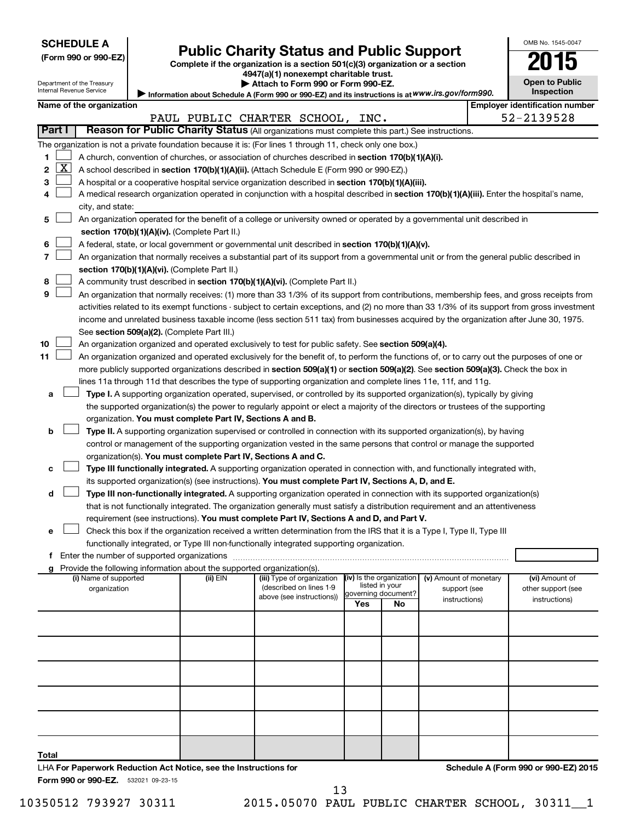Department of the Treasury Internal Revenue Service

| (Form 990 or 990-EZ |  |  |  |  |
|---------------------|--|--|--|--|
|---------------------|--|--|--|--|

# **Public Charity Status and Public Support**<br> **2015**

**(Form 990 or 990-EZ) Complete if the organization is a section 501(c)(3) organization or a section**

**4947(a)(1) nonexempt charitable trust.**

| Attach to Form 990 or Form 990-EZ. |  |  |
|------------------------------------|--|--|
|------------------------------------|--|--|

Information about Schedule A (Form 990 or 990-EZ) and its instructions is at WWW.irs.gov/form990. **Open to Public Inspection**

OMB No. 1545-0047

|       |              | Name of the organization                                                                                                                                                                                                        |          |                                                      |                          |                |                        |  | <b>Employer identification number</b> |  |
|-------|--------------|---------------------------------------------------------------------------------------------------------------------------------------------------------------------------------------------------------------------------------|----------|------------------------------------------------------|--------------------------|----------------|------------------------|--|---------------------------------------|--|
|       |              |                                                                                                                                                                                                                                 |          | PAUL PUBLIC CHARTER SCHOOL, INC.                     |                          |                |                        |  | 52-2139528                            |  |
|       | Part I       | Reason for Public Charity Status (All organizations must complete this part.) See instructions.                                                                                                                                 |          |                                                      |                          |                |                        |  |                                       |  |
|       |              | The organization is not a private foundation because it is: (For lines 1 through 11, check only one box.)                                                                                                                       |          |                                                      |                          |                |                        |  |                                       |  |
| 1     |              | A church, convention of churches, or association of churches described in section 170(b)(1)(A)(i).                                                                                                                              |          |                                                      |                          |                |                        |  |                                       |  |
| 2     | $\mathbf{X}$ | A school described in section 170(b)(1)(A)(ii). (Attach Schedule E (Form 990 or 990-EZ).)                                                                                                                                       |          |                                                      |                          |                |                        |  |                                       |  |
| 3     |              | A hospital or a cooperative hospital service organization described in section 170(b)(1)(A)(iii).                                                                                                                               |          |                                                      |                          |                |                        |  |                                       |  |
| 4     |              | A medical research organization operated in conjunction with a hospital described in section 170(b)(1)(A)(iii). Enter the hospital's name,                                                                                      |          |                                                      |                          |                |                        |  |                                       |  |
|       |              | city, and state:                                                                                                                                                                                                                |          |                                                      |                          |                |                        |  |                                       |  |
| 5     |              | An organization operated for the benefit of a college or university owned or operated by a governmental unit described in                                                                                                       |          |                                                      |                          |                |                        |  |                                       |  |
|       |              | section 170(b)(1)(A)(iv). (Complete Part II.)                                                                                                                                                                                   |          |                                                      |                          |                |                        |  |                                       |  |
| 6     |              | A federal, state, or local government or governmental unit described in section 170(b)(1)(A)(v).                                                                                                                                |          |                                                      |                          |                |                        |  |                                       |  |
| 7     |              | An organization that normally receives a substantial part of its support from a governmental unit or from the general public described in                                                                                       |          |                                                      |                          |                |                        |  |                                       |  |
|       |              | section 170(b)(1)(A)(vi). (Complete Part II.)                                                                                                                                                                                   |          |                                                      |                          |                |                        |  |                                       |  |
| 8     |              | A community trust described in section 170(b)(1)(A)(vi). (Complete Part II.)                                                                                                                                                    |          |                                                      |                          |                |                        |  |                                       |  |
| 9     |              | An organization that normally receives: (1) more than 33 1/3% of its support from contributions, membership fees, and gross receipts from                                                                                       |          |                                                      |                          |                |                        |  |                                       |  |
|       |              | activities related to its exempt functions - subject to certain exceptions, and (2) no more than 33 1/3% of its support from gross investment                                                                                   |          |                                                      |                          |                |                        |  |                                       |  |
|       |              | income and unrelated business taxable income (less section 511 tax) from businesses acquired by the organization after June 30, 1975.                                                                                           |          |                                                      |                          |                |                        |  |                                       |  |
|       |              | See section 509(a)(2). (Complete Part III.)                                                                                                                                                                                     |          |                                                      |                          |                |                        |  |                                       |  |
| 10    |              | An organization organized and operated exclusively to test for public safety. See section 509(a)(4).                                                                                                                            |          |                                                      |                          |                |                        |  |                                       |  |
| 11    |              | An organization organized and operated exclusively for the benefit of, to perform the functions of, or to carry out the purposes of one or                                                                                      |          |                                                      |                          |                |                        |  |                                       |  |
|       |              | more publicly supported organizations described in section 509(a)(1) or section 509(a)(2). See section 509(a)(3). Check the box in                                                                                              |          |                                                      |                          |                |                        |  |                                       |  |
|       |              | lines 11a through 11d that describes the type of supporting organization and complete lines 11e, 11f, and 11g.                                                                                                                  |          |                                                      |                          |                |                        |  |                                       |  |
| а     |              | Type I. A supporting organization operated, supervised, or controlled by its supported organization(s), typically by giving                                                                                                     |          |                                                      |                          |                |                        |  |                                       |  |
|       |              | the supported organization(s) the power to regularly appoint or elect a majority of the directors or trustees of the supporting                                                                                                 |          |                                                      |                          |                |                        |  |                                       |  |
|       |              | organization. You must complete Part IV, Sections A and B.                                                                                                                                                                      |          |                                                      |                          |                |                        |  |                                       |  |
| b     |              | Type II. A supporting organization supervised or controlled in connection with its supported organization(s), by having                                                                                                         |          |                                                      |                          |                |                        |  |                                       |  |
|       |              | control or management of the supporting organization vested in the same persons that control or manage the supported                                                                                                            |          |                                                      |                          |                |                        |  |                                       |  |
|       |              | organization(s). You must complete Part IV, Sections A and C.                                                                                                                                                                   |          |                                                      |                          |                |                        |  |                                       |  |
|       |              | Type III functionally integrated. A supporting organization operated in connection with, and functionally integrated with,                                                                                                      |          |                                                      |                          |                |                        |  |                                       |  |
| d     |              | its supported organization(s) (see instructions). You must complete Part IV, Sections A, D, and E.<br>Type III non-functionally integrated. A supporting organization operated in connection with its supported organization(s) |          |                                                      |                          |                |                        |  |                                       |  |
|       |              | that is not functionally integrated. The organization generally must satisfy a distribution requirement and an attentiveness                                                                                                    |          |                                                      |                          |                |                        |  |                                       |  |
|       |              | requirement (see instructions). You must complete Part IV, Sections A and D, and Part V.                                                                                                                                        |          |                                                      |                          |                |                        |  |                                       |  |
| е     |              | Check this box if the organization received a written determination from the IRS that it is a Type I, Type II, Type III                                                                                                         |          |                                                      |                          |                |                        |  |                                       |  |
|       |              | functionally integrated, or Type III non-functionally integrated supporting organization.                                                                                                                                       |          |                                                      |                          |                |                        |  |                                       |  |
|       |              |                                                                                                                                                                                                                                 |          |                                                      |                          |                |                        |  |                                       |  |
|       |              | g Provide the following information about the supported organization(s).                                                                                                                                                        |          |                                                      |                          |                |                        |  |                                       |  |
|       |              | (i) Name of supported                                                                                                                                                                                                           | (ii) EIN | (iii) Type of organization                           | (iv) Is the organization |                | (v) Amount of monetary |  | (vi) Amount of                        |  |
|       |              | organization                                                                                                                                                                                                                    |          | (described on lines 1-9<br>above (see instructions)) | governing document?      | listed in your | support (see           |  | other support (see                    |  |
|       |              |                                                                                                                                                                                                                                 |          |                                                      | Yes                      | No             | instructions)          |  | instructions)                         |  |
|       |              |                                                                                                                                                                                                                                 |          |                                                      |                          |                |                        |  |                                       |  |
|       |              |                                                                                                                                                                                                                                 |          |                                                      |                          |                |                        |  |                                       |  |
|       |              |                                                                                                                                                                                                                                 |          |                                                      |                          |                |                        |  |                                       |  |
|       |              |                                                                                                                                                                                                                                 |          |                                                      |                          |                |                        |  |                                       |  |
|       |              |                                                                                                                                                                                                                                 |          |                                                      |                          |                |                        |  |                                       |  |
|       |              |                                                                                                                                                                                                                                 |          |                                                      |                          |                |                        |  |                                       |  |
|       |              |                                                                                                                                                                                                                                 |          |                                                      |                          |                |                        |  |                                       |  |
|       |              |                                                                                                                                                                                                                                 |          |                                                      |                          |                |                        |  |                                       |  |
|       |              |                                                                                                                                                                                                                                 |          |                                                      |                          |                |                        |  |                                       |  |
|       |              |                                                                                                                                                                                                                                 |          |                                                      |                          |                |                        |  |                                       |  |
|       |              |                                                                                                                                                                                                                                 |          |                                                      |                          |                |                        |  |                                       |  |
| Total |              |                                                                                                                                                                                                                                 |          |                                                      |                          |                |                        |  |                                       |  |

Form 990 or 990-EZ. 532021 09-23-15 LHA **For Paperwork Reduction Act Notice, see the Instructions for** 

10350512 793927 30311 2015.05070 PAUL PUBLIC CHARTER SCHOOL, 30311\_\_1 13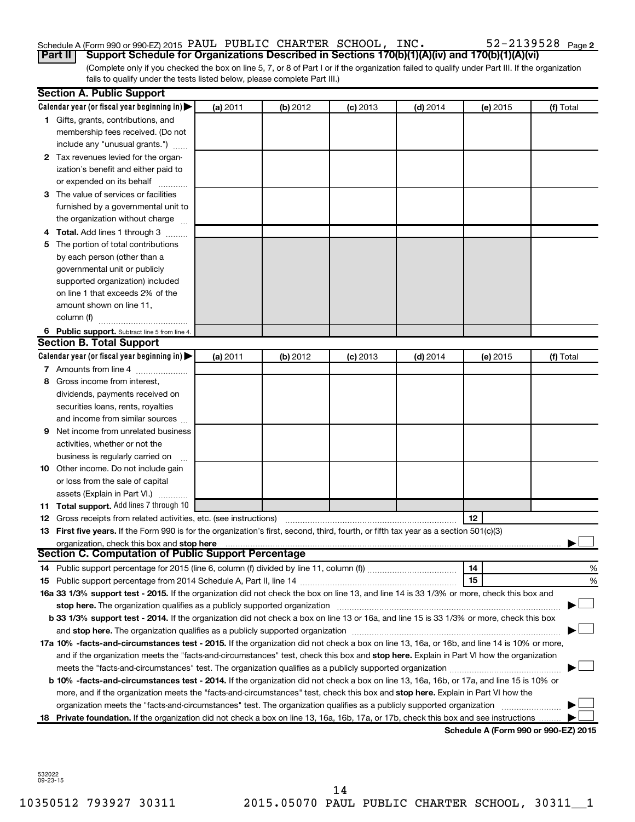# Schedule A (Form 990 or 990-EZ) 2015 PAUL PUBLIC CHARTER SCHOOL, INC.  $52-2139528$   $_{\rm Page}$

52-2139528 Page 2

(Complete only if you checked the box on line 5, 7, or 8 of Part I or if the organization failed to qualify under Part III. If the organization fails to qualify under the tests listed below, please complete Part III.) **Part II Support Schedule for Organizations Described in Sections 170(b)(1)(A)(iv) and 170(b)(1)(A)(vi)**

|   | <b>Section A. Public Support</b>                                                                                                                                                                                               |          |          |            |            |          |                                      |
|---|--------------------------------------------------------------------------------------------------------------------------------------------------------------------------------------------------------------------------------|----------|----------|------------|------------|----------|--------------------------------------|
|   | Calendar year (or fiscal year beginning in)                                                                                                                                                                                    | (a) 2011 | (b) 2012 | $(c)$ 2013 | $(d)$ 2014 | (e) 2015 | (f) Total                            |
|   | 1 Gifts, grants, contributions, and                                                                                                                                                                                            |          |          |            |            |          |                                      |
|   | membership fees received. (Do not                                                                                                                                                                                              |          |          |            |            |          |                                      |
|   | include any "unusual grants.")                                                                                                                                                                                                 |          |          |            |            |          |                                      |
|   | 2 Tax revenues levied for the organ-                                                                                                                                                                                           |          |          |            |            |          |                                      |
|   | ization's benefit and either paid to                                                                                                                                                                                           |          |          |            |            |          |                                      |
|   | or expended on its behalf                                                                                                                                                                                                      |          |          |            |            |          |                                      |
|   | 3 The value of services or facilities                                                                                                                                                                                          |          |          |            |            |          |                                      |
|   | furnished by a governmental unit to                                                                                                                                                                                            |          |          |            |            |          |                                      |
|   | the organization without charge                                                                                                                                                                                                |          |          |            |            |          |                                      |
|   | 4 Total. Add lines 1 through 3                                                                                                                                                                                                 |          |          |            |            |          |                                      |
|   | 5 The portion of total contributions                                                                                                                                                                                           |          |          |            |            |          |                                      |
|   | by each person (other than a                                                                                                                                                                                                   |          |          |            |            |          |                                      |
|   | governmental unit or publicly                                                                                                                                                                                                  |          |          |            |            |          |                                      |
|   | supported organization) included                                                                                                                                                                                               |          |          |            |            |          |                                      |
|   | on line 1 that exceeds 2% of the                                                                                                                                                                                               |          |          |            |            |          |                                      |
|   | amount shown on line 11,                                                                                                                                                                                                       |          |          |            |            |          |                                      |
|   | column (f)                                                                                                                                                                                                                     |          |          |            |            |          |                                      |
|   | 6 Public support. Subtract line 5 from line 4.                                                                                                                                                                                 |          |          |            |            |          |                                      |
|   | <b>Section B. Total Support</b>                                                                                                                                                                                                |          |          |            |            |          |                                      |
|   | Calendar year (or fiscal year beginning in)                                                                                                                                                                                    | (a) 2011 | (b) 2012 | $(c)$ 2013 | $(d)$ 2014 | (e) 2015 | (f) Total                            |
|   | 7 Amounts from line 4                                                                                                                                                                                                          |          |          |            |            |          |                                      |
|   | 8 Gross income from interest.                                                                                                                                                                                                  |          |          |            |            |          |                                      |
|   | dividends, payments received on                                                                                                                                                                                                |          |          |            |            |          |                                      |
|   | securities loans, rents, royalties                                                                                                                                                                                             |          |          |            |            |          |                                      |
|   | and income from similar sources                                                                                                                                                                                                |          |          |            |            |          |                                      |
| 9 | Net income from unrelated business                                                                                                                                                                                             |          |          |            |            |          |                                      |
|   | activities, whether or not the                                                                                                                                                                                                 |          |          |            |            |          |                                      |
|   | business is regularly carried on                                                                                                                                                                                               |          |          |            |            |          |                                      |
|   | 10 Other income. Do not include gain                                                                                                                                                                                           |          |          |            |            |          |                                      |
|   | or loss from the sale of capital                                                                                                                                                                                               |          |          |            |            |          |                                      |
|   | assets (Explain in Part VI.)                                                                                                                                                                                                   |          |          |            |            |          |                                      |
|   | 11 Total support. Add lines 7 through 10                                                                                                                                                                                       |          |          |            |            |          |                                      |
|   | <b>12</b> Gross receipts from related activities, etc. (see instructions)                                                                                                                                                      |          |          |            |            | 12       |                                      |
|   | 13 First five years. If the Form 990 is for the organization's first, second, third, fourth, or fifth tax year as a section 501(c)(3)                                                                                          |          |          |            |            |          |                                      |
|   | organization, check this box and stop here                                                                                                                                                                                     |          |          |            |            |          |                                      |
|   | Section C. Computation of Public Support Percentage                                                                                                                                                                            |          |          |            |            |          |                                      |
|   |                                                                                                                                                                                                                                |          |          |            |            | 14       | %                                    |
|   |                                                                                                                                                                                                                                |          |          |            |            | 15       | %                                    |
|   | 16a 33 1/3% support test - 2015. If the organization did not check the box on line 13, and line 14 is 33 1/3% or more, check this box and                                                                                      |          |          |            |            |          |                                      |
|   | stop here. The organization qualifies as a publicly supported organization matchinary material content and the                                                                                                                 |          |          |            |            |          |                                      |
|   | b 33 1/3% support test - 2014. If the organization did not check a box on line 13 or 16a, and line 15 is 33 1/3% or more, check this box                                                                                       |          |          |            |            |          |                                      |
|   | and stop here. The organization qualifies as a publicly supported organization manufaction manufacture. The organization of the state of the state of the state of the state of the state of the state of the state of the sta |          |          |            |            |          |                                      |
|   | 17a 10% -facts-and-circumstances test - 2015. If the organization did not check a box on line 13, 16a, or 16b, and line 14 is 10% or more,                                                                                     |          |          |            |            |          |                                      |
|   | and if the organization meets the "facts-and-circumstances" test, check this box and stop here. Explain in Part VI how the organization                                                                                        |          |          |            |            |          |                                      |
|   | meets the "facts-and-circumstances" test. The organization qualifies as a publicly supported organization <i>manumumumumum</i>                                                                                                 |          |          |            |            |          |                                      |
|   | b 10% -facts-and-circumstances test - 2014. If the organization did not check a box on line 13, 16a, 16b, or 17a, and line 15 is 10% or                                                                                        |          |          |            |            |          |                                      |
|   | more, and if the organization meets the "facts-and-circumstances" test, check this box and stop here. Explain in Part VI how the                                                                                               |          |          |            |            |          |                                      |
|   | organization meets the "facts-and-circumstances" test. The organization qualifies as a publicly supported organization                                                                                                         |          |          |            |            |          |                                      |
|   | 18 Private foundation. If the organization did not check a box on line 13, 16a, 16b, 17a, or 17b, check this box and see instructions                                                                                          |          |          |            |            |          |                                      |
|   |                                                                                                                                                                                                                                |          |          |            |            |          | Schodule A (Form 990 or 990-F7) 2015 |

**Schedule A (Form 990 or 990-EZ) 2015**

532022 09-23-15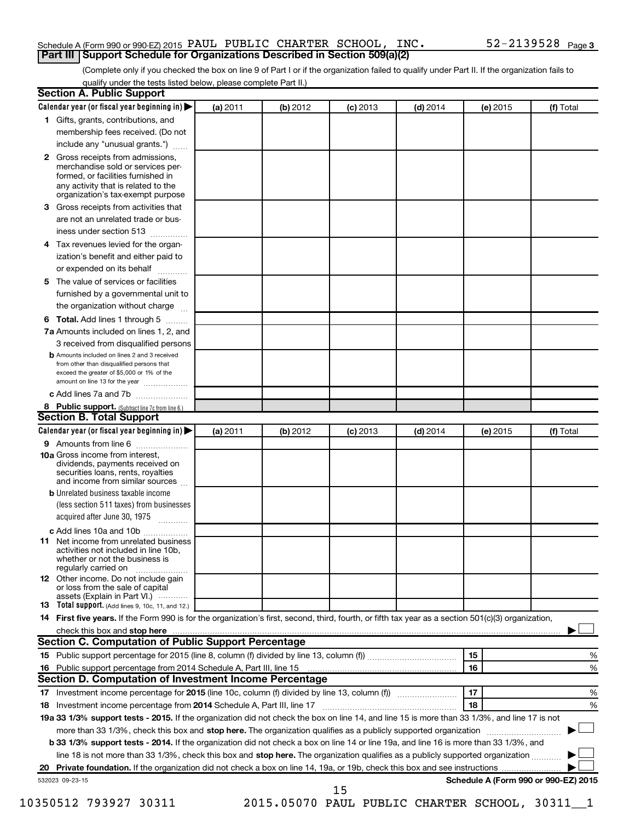### Schedule A (Form 990 or 990-EZ) 2015 PAUL PUBLIC CHARTER SCHOOL, INC.  $52-2139528$   $_{\rm Page}$ **Part III Support Schedule for Organizations Described in Section 509(a)(2)**

(Complete only if you checked the box on line 9 of Part I or if the organization failed to qualify under Part II. If the organization fails to qualify under the tests listed below, please complete Part II.)

| <b>Section A. Public Support</b>                                                                                                                                                                                               |          |          |            |            |          |                                      |
|--------------------------------------------------------------------------------------------------------------------------------------------------------------------------------------------------------------------------------|----------|----------|------------|------------|----------|--------------------------------------|
| Calendar year (or fiscal year beginning in)                                                                                                                                                                                    | (a) 2011 | (b) 2012 | $(c)$ 2013 | $(d)$ 2014 | (e) 2015 | (f) Total                            |
| 1 Gifts, grants, contributions, and                                                                                                                                                                                            |          |          |            |            |          |                                      |
| membership fees received. (Do not                                                                                                                                                                                              |          |          |            |            |          |                                      |
| include any "unusual grants.")                                                                                                                                                                                                 |          |          |            |            |          |                                      |
| 2 Gross receipts from admissions,<br>merchandise sold or services per-<br>formed, or facilities furnished in<br>any activity that is related to the<br>organization's tax-exempt purpose                                       |          |          |            |            |          |                                      |
| 3 Gross receipts from activities that                                                                                                                                                                                          |          |          |            |            |          |                                      |
| are not an unrelated trade or bus-                                                                                                                                                                                             |          |          |            |            |          |                                      |
| iness under section 513                                                                                                                                                                                                        |          |          |            |            |          |                                      |
| 4 Tax revenues levied for the organ-                                                                                                                                                                                           |          |          |            |            |          |                                      |
| ization's benefit and either paid to<br>or expended on its behalf                                                                                                                                                              |          |          |            |            |          |                                      |
| 5 The value of services or facilities                                                                                                                                                                                          |          |          |            |            |          |                                      |
| furnished by a governmental unit to                                                                                                                                                                                            |          |          |            |            |          |                                      |
| the organization without charge                                                                                                                                                                                                |          |          |            |            |          |                                      |
| 6 Total. Add lines 1 through 5                                                                                                                                                                                                 |          |          |            |            |          |                                      |
| 7a Amounts included on lines 1, 2, and                                                                                                                                                                                         |          |          |            |            |          |                                      |
| 3 received from disqualified persons                                                                                                                                                                                           |          |          |            |            |          |                                      |
| <b>b</b> Amounts included on lines 2 and 3 received<br>from other than disqualified persons that<br>exceed the greater of \$5,000 or 1% of the<br>amount on line 13 for the year                                               |          |          |            |            |          |                                      |
| c Add lines 7a and 7b                                                                                                                                                                                                          |          |          |            |            |          |                                      |
| 8 Public support. (Subtract line 7c from line 6.)                                                                                                                                                                              |          |          |            |            |          |                                      |
| <b>Section B. Total Support</b>                                                                                                                                                                                                |          |          |            |            |          |                                      |
| Calendar year (or fiscal year beginning in)                                                                                                                                                                                    | (a) 2011 | (b) 2012 | $(c)$ 2013 | $(d)$ 2014 | (e) 2015 | (f) Total                            |
| <b>9</b> Amounts from line 6                                                                                                                                                                                                   |          |          |            |            |          |                                      |
| <b>10a</b> Gross income from interest,<br>dividends, payments received on<br>securities loans, rents, royalties<br>and income from similar sources                                                                             |          |          |            |            |          |                                      |
| <b>b</b> Unrelated business taxable income<br>(less section 511 taxes) from businesses<br>acquired after June 30, 1975                                                                                                         |          |          |            |            |          |                                      |
| c Add lines 10a and 10b<br>11 Net income from unrelated business<br>activities not included in line 10b.<br>whether or not the business is<br>regularly carried on                                                             |          |          |            |            |          |                                      |
| <b>12</b> Other income. Do not include gain<br>or loss from the sale of capital<br>assets (Explain in Part VI.)                                                                                                                |          |          |            |            |          |                                      |
| <b>13</b> Total support. (Add lines 9, 10c, 11, and 12.)                                                                                                                                                                       |          |          |            |            |          |                                      |
| 14 First five years. If the Form 990 is for the organization's first, second, third, fourth, or fifth tax year as a section 501(c)(3) organization,                                                                            |          |          |            |            |          |                                      |
| check this box and stop here manufactured and stop here and stop here are manufactured and stop here and stop here and stop here and stop here and stop here and stop here and stop here are all the stop of the stop of the s |          |          |            |            |          |                                      |
| Section C. Computation of Public Support Percentage                                                                                                                                                                            |          |          |            |            |          |                                      |
|                                                                                                                                                                                                                                |          |          |            |            | 15       | ℅                                    |
| 16 Public support percentage from 2014 Schedule A, Part III, line 15                                                                                                                                                           |          |          |            |            | 16       | %                                    |
| Section D. Computation of Investment Income Percentage                                                                                                                                                                         |          |          |            |            |          |                                      |
|                                                                                                                                                                                                                                |          |          |            |            | 17       | %                                    |
| 18 Investment income percentage from 2014 Schedule A, Part III, line 17                                                                                                                                                        |          |          |            |            | 18       | %                                    |
| 19a 33 1/3% support tests - 2015. If the organization did not check the box on line 14, and line 15 is more than 33 1/3%, and line 17 is not                                                                                   |          |          |            |            |          |                                      |
| more than 33 1/3%, check this box and stop here. The organization qualifies as a publicly supported organization                                                                                                               |          |          |            |            |          |                                      |
| b 33 1/3% support tests - 2014. If the organization did not check a box on line 14 or line 19a, and line 16 is more than 33 1/3%, and                                                                                          |          |          |            |            |          |                                      |
| line 18 is not more than 33 1/3%, check this box and stop here. The organization qualifies as a publicly supported organization                                                                                                |          |          |            |            |          |                                      |
|                                                                                                                                                                                                                                |          |          |            |            |          |                                      |
| 532023 09-23-15                                                                                                                                                                                                                |          |          | 15         |            |          | Schedule A (Form 990 or 990-EZ) 2015 |

10350512 793927 30311 2015.05070 PAUL PUBLIC CHARTER SCHOOL, 30311\_\_1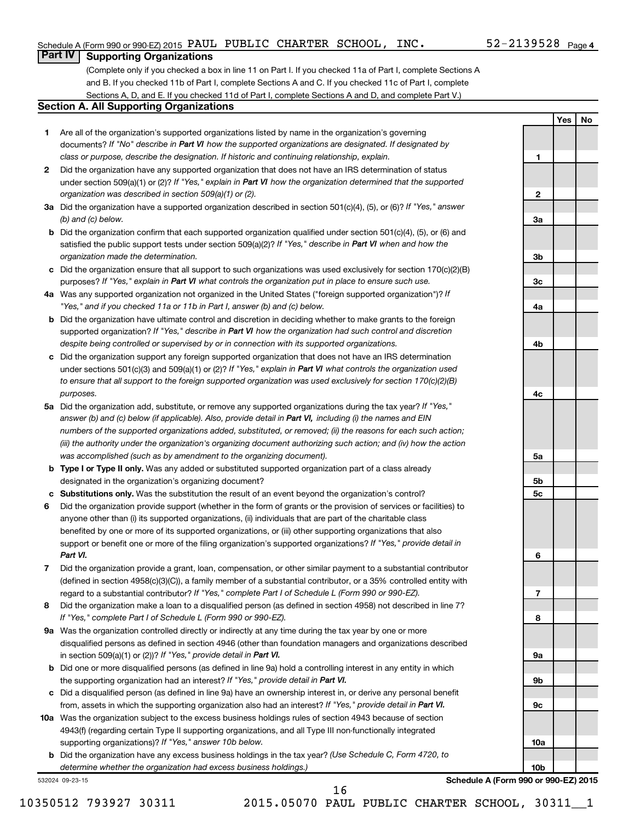**1**

**2**

**3a**

**3b**

**3c**

**4a**

**4b**

**4c**

**5a**

**5b 5c**

**6**

**7**

**8**

**9a**

**9b**

**9c**

**10a**

**10b**

**Yes No**

# **Part IV Supporting Organizations**

(Complete only if you checked a box in line 11 on Part I. If you checked 11a of Part I, complete Sections A and B. If you checked 11b of Part I, complete Sections A and C. If you checked 11c of Part I, complete Sections A, D, and E. If you checked 11d of Part I, complete Sections A and D, and complete Part V.)

### **Section A. All Supporting Organizations**

- **1** Are all of the organization's supported organizations listed by name in the organization's governing documents? If "No" describe in Part VI how the supported organizations are designated. If designated by *class or purpose, describe the designation. If historic and continuing relationship, explain.*
- **2** Did the organization have any supported organization that does not have an IRS determination of status under section 509(a)(1) or (2)? If "Yes," explain in Part VI how the organization determined that the supported *organization was described in section 509(a)(1) or (2).*
- **3a** Did the organization have a supported organization described in section 501(c)(4), (5), or (6)? If "Yes," answer *(b) and (c) below.*
- **b** Did the organization confirm that each supported organization qualified under section 501(c)(4), (5), or (6) and satisfied the public support tests under section 509(a)(2)? If "Yes," describe in Part VI when and how the *organization made the determination.*
- **c** Did the organization ensure that all support to such organizations was used exclusively for section 170(c)(2)(B) purposes? If "Yes," explain in Part VI what controls the organization put in place to ensure such use.
- **4 a** *If* Was any supported organization not organized in the United States ("foreign supported organization")? *"Yes," and if you checked 11a or 11b in Part I, answer (b) and (c) below.*
- **b** Did the organization have ultimate control and discretion in deciding whether to make grants to the foreign supported organization? If "Yes," describe in Part VI how the organization had such control and discretion *despite being controlled or supervised by or in connection with its supported organizations.*
- **c** Did the organization support any foreign supported organization that does not have an IRS determination under sections 501(c)(3) and 509(a)(1) or (2)? If "Yes," explain in Part VI what controls the organization used *to ensure that all support to the foreign supported organization was used exclusively for section 170(c)(2)(B) purposes.*
- **5a** Did the organization add, substitute, or remove any supported organizations during the tax year? If "Yes," answer (b) and (c) below (if applicable). Also, provide detail in Part VI, including (i) the names and EIN *numbers of the supported organizations added, substituted, or removed; (ii) the reasons for each such action; (iii) the authority under the organization's organizing document authorizing such action; and (iv) how the action was accomplished (such as by amendment to the organizing document).*
- **b Type I or Type II only.** Was any added or substituted supported organization part of a class already designated in the organization's organizing document?
- **c Substitutions only.**  Was the substitution the result of an event beyond the organization's control?
- **6** Did the organization provide support (whether in the form of grants or the provision of services or facilities) to support or benefit one or more of the filing organization's supported organizations? If "Yes," provide detail in anyone other than (i) its supported organizations, (ii) individuals that are part of the charitable class benefited by one or more of its supported organizations, or (iii) other supporting organizations that also *Part VI.*
- **7** Did the organization provide a grant, loan, compensation, or other similar payment to a substantial contributor regard to a substantial contributor? If "Yes," complete Part I of Schedule L (Form 990 or 990-EZ). (defined in section 4958(c)(3)(C)), a family member of a substantial contributor, or a 35% controlled entity with
- **8** Did the organization make a loan to a disqualified person (as defined in section 4958) not described in line 7? *If "Yes," complete Part I of Schedule L (Form 990 or 990-EZ).*
- **9 a** Was the organization controlled directly or indirectly at any time during the tax year by one or more in section 509(a)(1) or (2))? If "Yes," provide detail in Part VI. disqualified persons as defined in section 4946 (other than foundation managers and organizations described
- **b** Did one or more disqualified persons (as defined in line 9a) hold a controlling interest in any entity in which the supporting organization had an interest? If "Yes," provide detail in Part VI.
- **c** Did a disqualified person (as defined in line 9a) have an ownership interest in, or derive any personal benefit from, assets in which the supporting organization also had an interest? If "Yes," provide detail in Part VI.
- **10 a** Was the organization subject to the excess business holdings rules of section 4943 because of section supporting organizations)? If "Yes," answer 10b below. 4943(f) (regarding certain Type II supporting organizations, and all Type III non-functionally integrated
	- **b** Did the organization have any excess business holdings in the tax year? (Use Schedule C, Form 4720, to *determine whether the organization had excess business holdings.)*

532024 09-23-15

**Schedule A (Form 990 or 990-EZ) 2015**

10350512 793927 30311 2015.05070 PAUL PUBLIC CHARTER SCHOOL, 30311\_\_1

16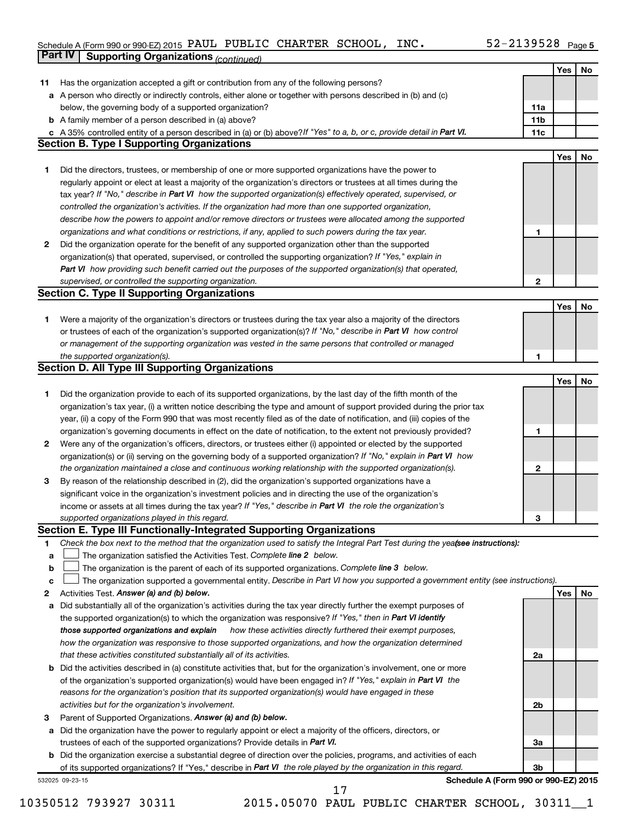### Schedule A (Form 990 or 990-EZ) 2015 PAUL PUBLIC CHARTER SCHOOL,  $\sf INC\bullet$   $\sf I\!N\!C\bullet$   $\sf I\!N\!C\bullet$ **Part IV Supporting Organizations** *(continued)* PAUL PUBLIC CHARTER SCHOOL, INC. 52-2139528

|              |                                                                                                                                 |                 | Yes        | No |
|--------------|---------------------------------------------------------------------------------------------------------------------------------|-----------------|------------|----|
| 11.          | Has the organization accepted a gift or contribution from any of the following persons?                                         |                 |            |    |
|              | a A person who directly or indirectly controls, either alone or together with persons described in (b) and (c)                  |                 |            |    |
|              | below, the governing body of a supported organization?                                                                          | 11a             |            |    |
|              | <b>b</b> A family member of a person described in (a) above?                                                                    | 11 <sub>b</sub> |            |    |
|              | c A 35% controlled entity of a person described in (a) or (b) above? If "Yes" to a, b, or c, provide detail in Part VI.         | 11c             |            |    |
|              | <b>Section B. Type I Supporting Organizations</b>                                                                               |                 |            |    |
|              |                                                                                                                                 |                 | Yes        | No |
| 1            | Did the directors, trustees, or membership of one or more supported organizations have the power to                             |                 |            |    |
|              | regularly appoint or elect at least a majority of the organization's directors or trustees at all times during the              |                 |            |    |
|              | tax year? If "No," describe in Part VI how the supported organization(s) effectively operated, supervised, or                   |                 |            |    |
|              | controlled the organization's activities. If the organization had more than one supported organization,                         |                 |            |    |
|              | describe how the powers to appoint and/or remove directors or trustees were allocated among the supported                       |                 |            |    |
|              | organizations and what conditions or restrictions, if any, applied to such powers during the tax year.                          | 1               |            |    |
| $\mathbf{2}$ | Did the organization operate for the benefit of any supported organization other than the supported                             |                 |            |    |
|              | organization(s) that operated, supervised, or controlled the supporting organization? If "Yes," explain in                      |                 |            |    |
|              | Part VI how providing such benefit carried out the purposes of the supported organization(s) that operated,                     |                 |            |    |
|              | supervised, or controlled the supporting organization.                                                                          | $\mathbf{2}$    |            |    |
|              | <b>Section C. Type II Supporting Organizations</b>                                                                              |                 |            |    |
|              |                                                                                                                                 |                 | <b>Yes</b> | No |
| 1.           | Were a majority of the organization's directors or trustees during the tax year also a majority of the directors                |                 |            |    |
|              | or trustees of each of the organization's supported organization(s)? If "No," describe in Part VI how control                   |                 |            |    |
|              | or management of the supporting organization was vested in the same persons that controlled or managed                          |                 |            |    |
|              | the supported organization(s).                                                                                                  | 1               |            |    |
|              | <b>Section D. All Type III Supporting Organizations</b>                                                                         |                 |            |    |
|              |                                                                                                                                 |                 | Yes        | No |
| 1            | Did the organization provide to each of its supported organizations, by the last day of the fifth month of the                  |                 |            |    |
|              | organization's tax year, (i) a written notice describing the type and amount of support provided during the prior tax           |                 |            |    |
|              | year, (ii) a copy of the Form 990 that was most recently filed as of the date of notification, and (iii) copies of the          |                 |            |    |
|              | organization's governing documents in effect on the date of notification, to the extent not previously provided?                | 1               |            |    |
|              | 2 Were any of the organization's officers, directors, or trustees either (i) appointed or elected by the supported              |                 |            |    |
|              | organization(s) or (ii) serving on the governing body of a supported organization? If "No," explain in Part VI how              |                 |            |    |
|              | the organization maintained a close and continuous working relationship with the supported organization(s).                     | 2               |            |    |
| 3            | By reason of the relationship described in (2), did the organization's supported organizations have a                           |                 |            |    |
|              | significant voice in the organization's investment policies and in directing the use of the organization's                      |                 |            |    |
|              | income or assets at all times during the tax year? If "Yes," describe in Part VI the role the organization's                    |                 |            |    |
|              | supported organizations played in this regard.                                                                                  | З               |            |    |
|              | Section E. Type III Functionally-Integrated Supporting Organizations                                                            |                 |            |    |
| 1            | Check the box next to the method that the organization used to satisfy the Integral Part Test during the yeafsee instructions): |                 |            |    |
| a            | The organization satisfied the Activities Test. Complete line 2 below.                                                          |                 |            |    |
| b            | The organization is the parent of each of its supported organizations. Complete line 3 below.                                   |                 |            |    |
| с            | The organization supported a governmental entity. Describe in Part VI how you supported a government entity (see instructions). |                 |            |    |
| 2            | Activities Test. Answer (a) and (b) below.                                                                                      |                 | Yes        | No |
| а            | Did substantially all of the organization's activities during the tax year directly further the exempt purposes of              |                 |            |    |
|              | the supported organization(s) to which the organization was responsive? If "Yes," then in Part VI identify                      |                 |            |    |
|              | those supported organizations and explain<br>how these activities directly furthered their exempt purposes,                     |                 |            |    |
|              | how the organization was responsive to those supported organizations, and how the organization determined                       |                 |            |    |
|              | that these activities constituted substantially all of its activities.                                                          | 2a              |            |    |
|              | <b>b</b> Did the activities described in (a) constitute activities that, but for the organization's involvement, one or more    |                 |            |    |
|              | of the organization's supported organization(s) would have been engaged in? If "Yes," explain in Part VI the                    |                 |            |    |
|              | reasons for the organization's position that its supported organization(s) would have engaged in these                          |                 |            |    |
|              | activities but for the organization's involvement.                                                                              | 2b              |            |    |
| з            | Parent of Supported Organizations. Answer (a) and (b) below.                                                                    |                 |            |    |
|              | a Did the organization have the power to regularly appoint or elect a majority of the officers, directors, or                   |                 |            |    |
|              | trustees of each of the supported organizations? Provide details in Part VI.                                                    | За              |            |    |
|              | <b>b</b> Did the organization exercise a substantial degree of direction over the policies, programs, and activities of each    |                 |            |    |
|              | of its supported organizations? If "Yes," describe in Part VI the role played by the organization in this regard.               | Зb              |            |    |
|              | Schedule A (Form 990 or 990-EZ) 2015<br>532025 09-23-15                                                                         |                 |            |    |

**Schedule A (Form 990 or 990-EZ) 2015**

10350512 793927 30311 2015.05070 PAUL PUBLIC CHARTER SCHOOL, 30311\_\_1

17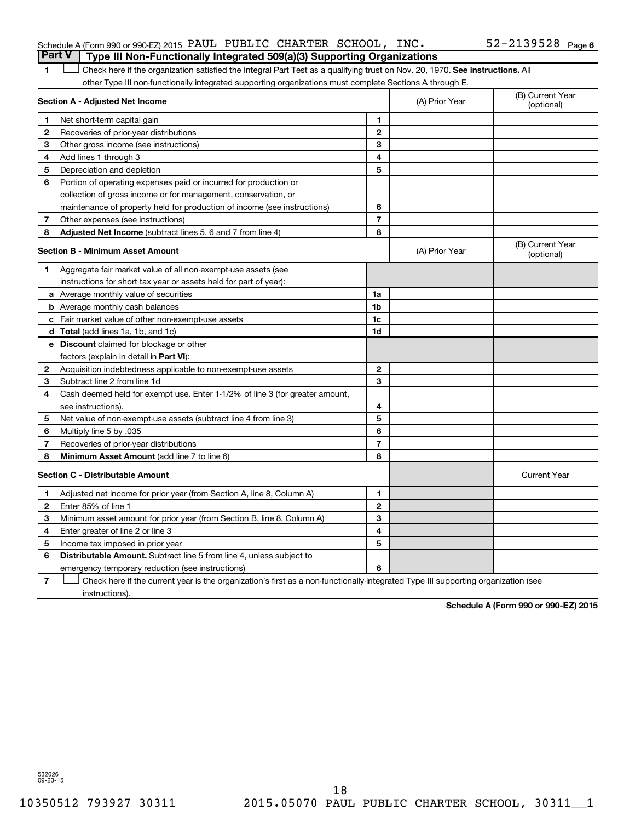1 **Letter on Reck here if the organization satisfied the Integral Part Test as a qualifying trust on Nov. 20, 1970. See instructions. All** other Type III non-functionally integrated supporting organizations must complete Sections A through E.

| Section A - Adjusted Net Income |                                                                              | (A) Prior Year | (B) Current Year<br>(optional) |                                |
|---------------------------------|------------------------------------------------------------------------------|----------------|--------------------------------|--------------------------------|
| 1                               | Net short-term capital gain                                                  | 1              |                                |                                |
| 2                               | Recoveries of prior-year distributions                                       | $\mathbf{2}$   |                                |                                |
| З                               | Other gross income (see instructions)                                        | 3              |                                |                                |
| 4                               | Add lines 1 through 3                                                        | 4              |                                |                                |
| 5                               | Depreciation and depletion                                                   | 5              |                                |                                |
| 6                               | Portion of operating expenses paid or incurred for production or             |                |                                |                                |
|                                 | collection of gross income or for management, conservation, or               |                |                                |                                |
|                                 | maintenance of property held for production of income (see instructions)     | 6              |                                |                                |
| 7                               | Other expenses (see instructions)                                            | $\overline{7}$ |                                |                                |
| 8                               | Adjusted Net Income (subtract lines 5, 6 and 7 from line 4)                  | 8              |                                |                                |
|                                 | <b>Section B - Minimum Asset Amount</b>                                      |                | (A) Prior Year                 | (B) Current Year<br>(optional) |
| 1                               | Aggregate fair market value of all non-exempt-use assets (see                |                |                                |                                |
|                                 | instructions for short tax year or assets held for part of year):            |                |                                |                                |
|                                 | <b>a</b> Average monthly value of securities                                 | 1a             |                                |                                |
|                                 | <b>b</b> Average monthly cash balances                                       | 1 <sub>b</sub> |                                |                                |
|                                 | <b>c</b> Fair market value of other non-exempt-use assets                    | 1c             |                                |                                |
|                                 | d Total (add lines 1a, 1b, and 1c)                                           | 1d             |                                |                                |
|                                 | e Discount claimed for blockage or other                                     |                |                                |                                |
|                                 | factors (explain in detail in Part VI):                                      |                |                                |                                |
| 2                               | Acquisition indebtedness applicable to non-exempt-use assets                 | $\mathbf{2}$   |                                |                                |
| 3                               | Subtract line 2 from line 1d                                                 | 3              |                                |                                |
| 4                               | Cash deemed held for exempt use. Enter 1-1/2% of line 3 (for greater amount, |                |                                |                                |
|                                 | see instructions).                                                           | 4              |                                |                                |
| 5                               | Net value of non-exempt-use assets (subtract line 4 from line 3)             | 5              |                                |                                |
| 6                               | Multiply line 5 by .035                                                      | 6              |                                |                                |
| 7                               | Recoveries of prior-year distributions                                       | $\overline{7}$ |                                |                                |
| 8                               | <b>Minimum Asset Amount (add line 7 to line 6)</b>                           | 8              |                                |                                |
|                                 | <b>Section C - Distributable Amount</b>                                      |                |                                | <b>Current Year</b>            |
| 1                               | Adjusted net income for prior year (from Section A, line 8, Column A)        | 1              |                                |                                |
| $\mathbf{2}$                    | Enter 85% of line 1                                                          | $\mathbf{2}$   |                                |                                |
| 3                               | Minimum asset amount for prior year (from Section B, line 8, Column A)       | 3              |                                |                                |
| 4                               | Enter greater of line 2 or line 3                                            | 4              |                                |                                |
| 5                               | Income tax imposed in prior year                                             | 5              |                                |                                |
| 6                               | <b>Distributable Amount.</b> Subtract line 5 from line 4, unless subject to  |                |                                |                                |
|                                 | emergency temporary reduction (see instructions)                             | 6              |                                |                                |
|                                 |                                                                              |                |                                |                                |

**7** Check here if the current year is the organization's first as a non-functionally-integrated Type III supporting organization (see † instructions).

**Schedule A (Form 990 or 990-EZ) 2015**

532026 09-23-15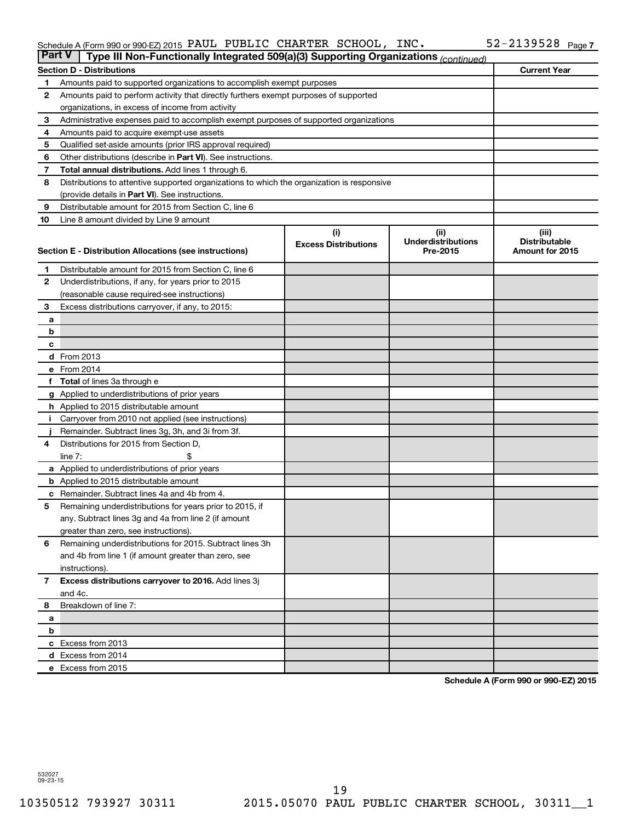### Schedule A (Form 990 or 990-EZ) 2015 PAUL PUBLIC CHARTER SCHOOL,  $\sf INC\bullet$   $\sf I\!N\!C\bullet$   $\sf I\!N\!C\bullet$ PAUL PUBLIC CHARTER SCHOOL, INC. 52-2139528

| <b>Part V</b>  | Type III Non-Functionally Integrated 509(a)(3) Supporting Organizations (continued)         |                             |                                       |                                         |
|----------------|---------------------------------------------------------------------------------------------|-----------------------------|---------------------------------------|-----------------------------------------|
|                | <b>Section D - Distributions</b>                                                            |                             |                                       | <b>Current Year</b>                     |
| 1              | Amounts paid to supported organizations to accomplish exempt purposes                       |                             |                                       |                                         |
| $\mathbf{2}$   | Amounts paid to perform activity that directly furthers exempt purposes of supported        |                             |                                       |                                         |
|                | organizations, in excess of income from activity                                            |                             |                                       |                                         |
| 3              | Administrative expenses paid to accomplish exempt purposes of supported organizations       |                             |                                       |                                         |
| 4              | Amounts paid to acquire exempt-use assets                                                   |                             |                                       |                                         |
| 5              | Qualified set-aside amounts (prior IRS approval required)                                   |                             |                                       |                                         |
| 6              | Other distributions (describe in <b>Part VI</b> ). See instructions.                        |                             |                                       |                                         |
| 7              | Total annual distributions. Add lines 1 through 6.                                          |                             |                                       |                                         |
| 8              | Distributions to attentive supported organizations to which the organization is responsive  |                             |                                       |                                         |
|                | (provide details in Part VI). See instructions.                                             |                             |                                       |                                         |
| 9              | Distributable amount for 2015 from Section C, line 6                                        |                             |                                       |                                         |
| 10             | Line 8 amount divided by Line 9 amount                                                      |                             |                                       |                                         |
|                |                                                                                             | (i)                         | (ii)                                  | (iii)                                   |
|                | Section E - Distribution Allocations (see instructions)                                     | <b>Excess Distributions</b> | <b>Underdistributions</b><br>Pre-2015 | <b>Distributable</b><br>Amount for 2015 |
|                |                                                                                             |                             |                                       |                                         |
| 1              | Distributable amount for 2015 from Section C, line 6                                        |                             |                                       |                                         |
| $\mathbf{2}$   | Underdistributions, if any, for years prior to 2015                                         |                             |                                       |                                         |
|                | (reasonable cause required-see instructions)                                                |                             |                                       |                                         |
| 3              | Excess distributions carryover, if any, to 2015:                                            |                             |                                       |                                         |
| a              |                                                                                             |                             |                                       |                                         |
| b              |                                                                                             |                             |                                       |                                         |
| с              |                                                                                             |                             |                                       |                                         |
|                | <b>d</b> From 2013                                                                          |                             |                                       |                                         |
|                | e From 2014                                                                                 |                             |                                       |                                         |
|                | f Total of lines 3a through e                                                               |                             |                                       |                                         |
|                | g Applied to underdistributions of prior years                                              |                             |                                       |                                         |
|                | h Applied to 2015 distributable amount                                                      |                             |                                       |                                         |
| Ť.             | Carryover from 2010 not applied (see instructions)                                          |                             |                                       |                                         |
| 4              | Remainder. Subtract lines 3g, 3h, and 3i from 3f.<br>Distributions for 2015 from Section D, |                             |                                       |                                         |
|                | line $7:$                                                                                   |                             |                                       |                                         |
|                | a Applied to underdistributions of prior years                                              |                             |                                       |                                         |
|                | <b>b</b> Applied to 2015 distributable amount                                               |                             |                                       |                                         |
| c              | Remainder. Subtract lines 4a and 4b from 4.                                                 |                             |                                       |                                         |
| 5              | Remaining underdistributions for years prior to 2015, if                                    |                             |                                       |                                         |
|                | any. Subtract lines 3g and 4a from line 2 (if amount                                        |                             |                                       |                                         |
|                | greater than zero, see instructions).                                                       |                             |                                       |                                         |
| 6              | Remaining underdistributions for 2015. Subtract lines 3h                                    |                             |                                       |                                         |
|                | and 4b from line 1 (if amount greater than zero, see                                        |                             |                                       |                                         |
|                | instructions).                                                                              |                             |                                       |                                         |
| $\overline{7}$ | Excess distributions carryover to 2016. Add lines 3j                                        |                             |                                       |                                         |
|                | and 4c.                                                                                     |                             |                                       |                                         |
| 8              | Breakdown of line 7:                                                                        |                             |                                       |                                         |
| а              |                                                                                             |                             |                                       |                                         |
| b              |                                                                                             |                             |                                       |                                         |
|                | c Excess from 2013                                                                          |                             |                                       |                                         |
|                | d Excess from 2014                                                                          |                             |                                       |                                         |
|                | e Excess from 2015                                                                          |                             |                                       |                                         |

**Schedule A (Form 990 or 990-EZ) 2015**

532027 09-23-15

10350512 793927 30311 2015.05070 PAUL PUBLIC CHARTER SCHOOL, 30311\_\_1 19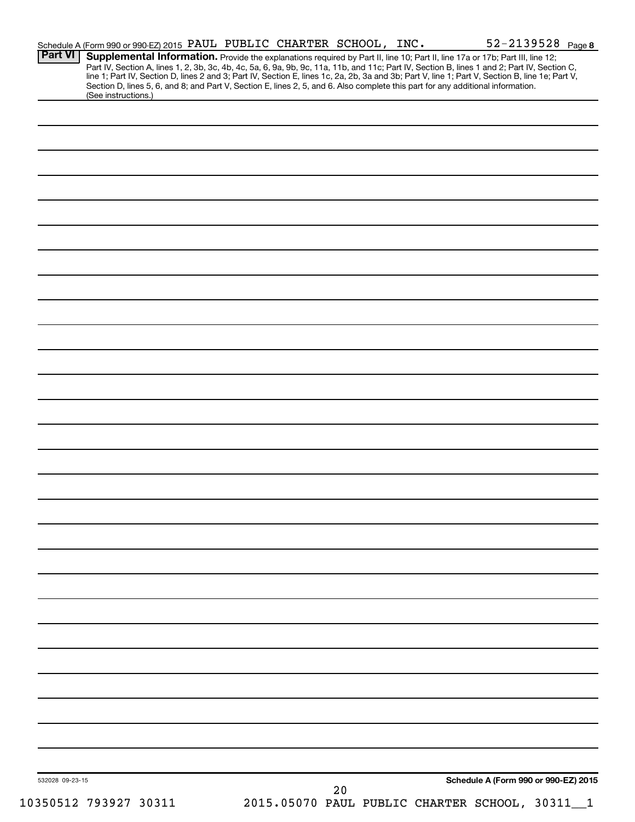| Supplemental Information. Provide the explanations required by Part II, line 10; Part II, line 17a or 17b; Part III, line 12;<br>Part IV, Section A, lines 1, 2, 3b, 3c, 4b, 4c, 5a, 6, 9a, 9b, 9c, 11a, 11b, and 11c; Part IV, Section B, lines 1 and 2; Part IV, Section C,<br>line 1; Part IV, Section D, lines 2 and 3; Part IV, Section E, lines 1c, 2a, 2b, 3a and 3b; Part V, line 1; Part V, Section B, line 1e; Part V, |
|----------------------------------------------------------------------------------------------------------------------------------------------------------------------------------------------------------------------------------------------------------------------------------------------------------------------------------------------------------------------------------------------------------------------------------|
|                                                                                                                                                                                                                                                                                                                                                                                                                                  |
|                                                                                                                                                                                                                                                                                                                                                                                                                                  |
|                                                                                                                                                                                                                                                                                                                                                                                                                                  |
|                                                                                                                                                                                                                                                                                                                                                                                                                                  |
|                                                                                                                                                                                                                                                                                                                                                                                                                                  |
|                                                                                                                                                                                                                                                                                                                                                                                                                                  |
|                                                                                                                                                                                                                                                                                                                                                                                                                                  |
|                                                                                                                                                                                                                                                                                                                                                                                                                                  |
|                                                                                                                                                                                                                                                                                                                                                                                                                                  |
|                                                                                                                                                                                                                                                                                                                                                                                                                                  |
|                                                                                                                                                                                                                                                                                                                                                                                                                                  |
|                                                                                                                                                                                                                                                                                                                                                                                                                                  |
|                                                                                                                                                                                                                                                                                                                                                                                                                                  |
|                                                                                                                                                                                                                                                                                                                                                                                                                                  |
|                                                                                                                                                                                                                                                                                                                                                                                                                                  |
|                                                                                                                                                                                                                                                                                                                                                                                                                                  |
|                                                                                                                                                                                                                                                                                                                                                                                                                                  |
|                                                                                                                                                                                                                                                                                                                                                                                                                                  |
|                                                                                                                                                                                                                                                                                                                                                                                                                                  |
|                                                                                                                                                                                                                                                                                                                                                                                                                                  |
|                                                                                                                                                                                                                                                                                                                                                                                                                                  |
|                                                                                                                                                                                                                                                                                                                                                                                                                                  |
|                                                                                                                                                                                                                                                                                                                                                                                                                                  |
|                                                                                                                                                                                                                                                                                                                                                                                                                                  |
|                                                                                                                                                                                                                                                                                                                                                                                                                                  |
|                                                                                                                                                                                                                                                                                                                                                                                                                                  |
|                                                                                                                                                                                                                                                                                                                                                                                                                                  |
|                                                                                                                                                                                                                                                                                                                                                                                                                                  |
|                                                                                                                                                                                                                                                                                                                                                                                                                                  |
|                                                                                                                                                                                                                                                                                                                                                                                                                                  |
|                                                                                                                                                                                                                                                                                                                                                                                                                                  |
|                                                                                                                                                                                                                                                                                                                                                                                                                                  |
|                                                                                                                                                                                                                                                                                                                                                                                                                                  |
|                                                                                                                                                                                                                                                                                                                                                                                                                                  |
|                                                                                                                                                                                                                                                                                                                                                                                                                                  |
|                                                                                                                                                                                                                                                                                                                                                                                                                                  |
|                                                                                                                                                                                                                                                                                                                                                                                                                                  |
|                                                                                                                                                                                                                                                                                                                                                                                                                                  |
|                                                                                                                                                                                                                                                                                                                                                                                                                                  |
|                                                                                                                                                                                                                                                                                                                                                                                                                                  |
|                                                                                                                                                                                                                                                                                                                                                                                                                                  |
|                                                                                                                                                                                                                                                                                                                                                                                                                                  |
|                                                                                                                                                                                                                                                                                                                                                                                                                                  |
|                                                                                                                                                                                                                                                                                                                                                                                                                                  |
|                                                                                                                                                                                                                                                                                                                                                                                                                                  |
|                                                                                                                                                                                                                                                                                                                                                                                                                                  |
|                                                                                                                                                                                                                                                                                                                                                                                                                                  |
|                                                                                                                                                                                                                                                                                                                                                                                                                                  |
|                                                                                                                                                                                                                                                                                                                                                                                                                                  |
| Schedule A (Form 990 or 990-EZ) 2015                                                                                                                                                                                                                                                                                                                                                                                             |
|                                                                                                                                                                                                                                                                                                                                                                                                                                  |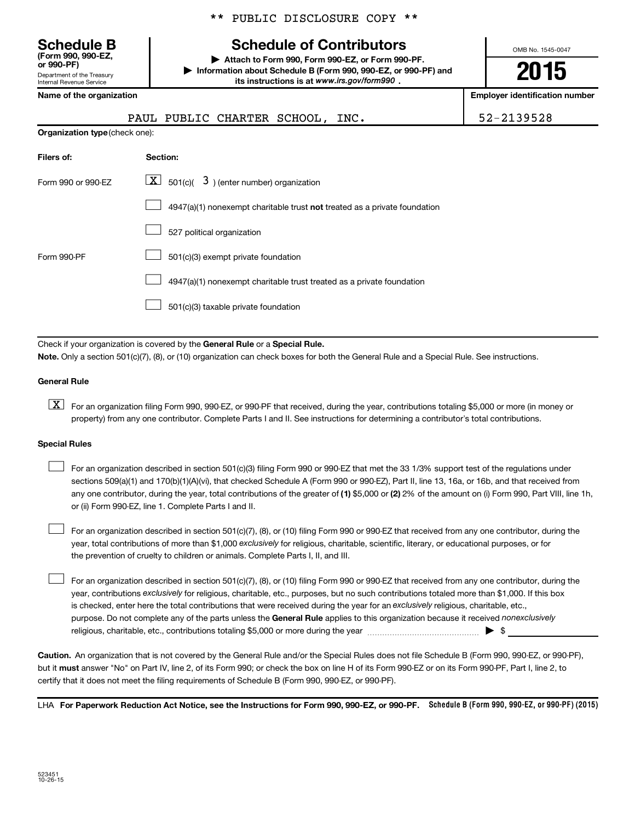\*\* PUBLIC DISCLOSURE COPY \*\*

# **Schedule B Schedule of Contributors**

**or 990-PF) | Attach to Form 990, Form 990-EZ, or Form 990-PF. | Information about Schedule B (Form 990, 990-EZ, or 990-PF) and** its instructions is at www.irs.gov/form990.

OMB No. 1545-0047

**2015**

**Name of the organization Employer identification number**

| 01 990-FF)                                                    |  |
|---------------------------------------------------------------|--|
| Department of the Treasury<br><b>Internal Revenue Service</b> |  |
|                                                               |  |

**(Form 990, 990-EZ,**

**Organization type** (check one): **Filers of: Section:** PAUL PUBLIC CHARTER SCHOOL, INC. | 52-2139528

| Form 990 or 990-EZ | $\boxed{\textbf{X}}$ 501(c)( 3) (enter number) organization                        |
|--------------------|------------------------------------------------------------------------------------|
|                    | $4947(a)(1)$ nonexempt charitable trust <b>not</b> treated as a private foundation |
|                    | 527 political organization                                                         |
| Form 990-PF        | 501(c)(3) exempt private foundation                                                |
|                    | 4947(a)(1) nonexempt charitable trust treated as a private foundation              |
|                    | 501(c)(3) taxable private foundation                                               |

Check if your organization is covered by the General Rule or a Special Rule.

**Note.**  Only a section 501(c)(7), (8), or (10) organization can check boxes for both the General Rule and a Special Rule. See instructions.

### **General Rule**

**K** For an organization filing Form 990, 990-EZ, or 990-PF that received, during the year, contributions totaling \$5,000 or more (in money or property) from any one contributor. Complete Parts I and II. See instructions for determining a contributor's total contributions.

### **Special Rules**

 $\Box$ 

any one contributor, during the year, total contributions of the greater of **(1)** \$5,000 or **(2)** 2% of the amount on (i) Form 990, Part VIII, line 1h, For an organization described in section 501(c)(3) filing Form 990 or 990-EZ that met the 33 1/3% support test of the regulations under sections 509(a)(1) and 170(b)(1)(A)(vi), that checked Schedule A (Form 990 or 990-EZ), Part II, line 13, 16a, or 16b, and that received from or (ii) Form 990-EZ, line 1. Complete Parts I and II.  $\Box$ 

year, total contributions of more than \$1,000 *exclusively* for religious, charitable, scientific, literary, or educational purposes, or for For an organization described in section 501(c)(7), (8), or (10) filing Form 990 or 990-EZ that received from any one contributor, during the the prevention of cruelty to children or animals. Complete Parts I, II, and III.  $\Box$ 

purpose. Do not complete any of the parts unless the General Rule applies to this organization because it received nonexclusively year, contributions exclusively for religious, charitable, etc., purposes, but no such contributions totaled more than \$1,000. If this box is checked, enter here the total contributions that were received during the year for an exclusively religious, charitable, etc., For an organization described in section 501(c)(7), (8), or (10) filing Form 990 or 990-EZ that received from any one contributor, during the religious, charitable, etc., contributions totaling \$5,000 or more during the year  $\ldots$  $\ldots$  $\ldots$  $\ldots$  $\ldots$  $\ldots$ 

**Caution.** An organization that is not covered by the General Rule and/or the Special Rules does not file Schedule B (Form 990, 990-EZ, or 990-PF),  **must** but it answer "No" on Part IV, line 2, of its Form 990; or check the box on line H of its Form 990-EZ or on its Form 990-PF, Part I, line 2, to certify that it does not meet the filing requirements of Schedule B (Form 990, 990-EZ, or 990-PF).

LHA For Paperwork Reduction Act Notice, see the Instructions for Form 990, 990-EZ, or 990-PF. Schedule B (Form 990, 990-EZ, or 990-PF) (2015)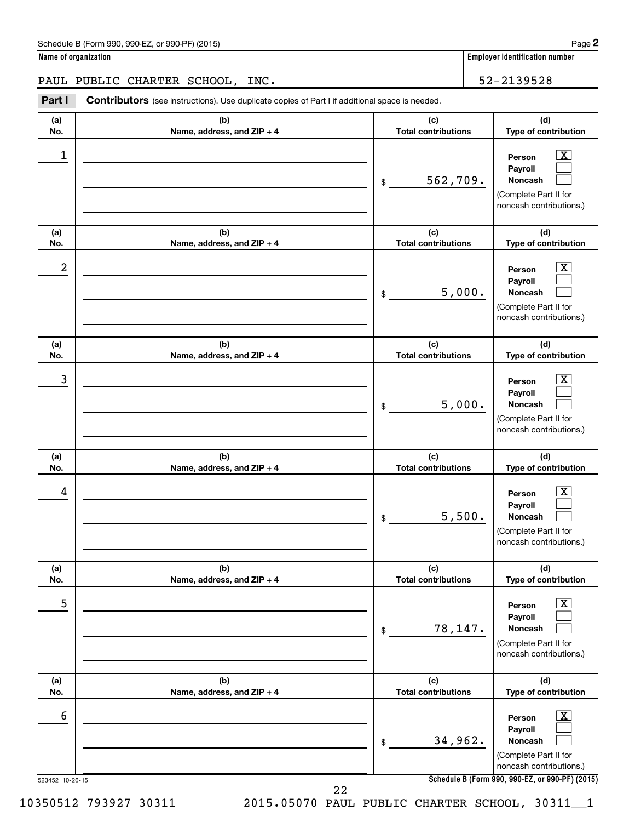| Schedule B (Form 990, 990-EZ, or 990-PF) (2015)<br>$\sqrt{2}$ and $\sqrt{2}$ and $\sqrt{2}$ and $\sqrt{2}$ and $\sqrt{2}$ and $\sqrt{2}$ and $\sqrt{2}$ and $\sqrt{2}$ and $\sqrt{2}$ and $\sqrt{2}$ and $\sqrt{2}$ and $\sqrt{2}$ and $\sqrt{2}$ and $\sqrt{2}$ and $\sqrt{2}$ and $\sqrt{2}$ and $\sqrt{2}$ and $\sqrt{2}$ and $\sqrt{2$ | Page |  |
|--------------------------------------------------------------------------------------------------------------------------------------------------------------------------------------------------------------------------------------------------------------------------------------------------------------------------------------------|------|--|
|--------------------------------------------------------------------------------------------------------------------------------------------------------------------------------------------------------------------------------------------------------------------------------------------------------------------------------------------|------|--|

**Name of organization Employer identification number**

PAUL PUBLIC CHARTER SCHOOL, INC. 52-2139528

**Part I** Contributors (see instructions). Use duplicate copies of Part I if additional space is needed.

| (a)              | (b)                          | (c)                        | (d)                                                                                                                |
|------------------|------------------------------|----------------------------|--------------------------------------------------------------------------------------------------------------------|
| No.              | Name, address, and ZIP + 4   | <b>Total contributions</b> | Type of contribution                                                                                               |
| 1                |                              | 562,709.<br>\$             | $\overline{\mathbf{X}}$<br>Person<br>Payroll<br><b>Noncash</b><br>(Complete Part II for<br>noncash contributions.) |
| (a)              | (b)                          | (c)                        | (d)                                                                                                                |
| No.              | Name, address, and ZIP + 4   | <b>Total contributions</b> | Type of contribution                                                                                               |
| $\boldsymbol{2}$ |                              | 5,000.<br>\$               | x<br>Person<br>Payroll<br>Noncash<br>(Complete Part II for<br>noncash contributions.)                              |
| (a)              | (b)                          | (c)                        | (d)                                                                                                                |
| No.              | Name, address, and ZIP + 4   | <b>Total contributions</b> | Type of contribution                                                                                               |
| 3                |                              | 5,000.<br>\$               | X.<br>Person<br>Payroll<br><b>Noncash</b><br>(Complete Part II for<br>noncash contributions.)                      |
| (a)              | (b)                          | (c)                        | (d)                                                                                                                |
| No.              | Name, address, and ZIP + 4   | <b>Total contributions</b> | Type of contribution                                                                                               |
| 4                |                              | 5,500.<br>\$               | x<br>Person<br>Payroll<br><b>Noncash</b><br>(Complete Part II for<br>noncash contributions.)                       |
| (a)              | (b)                          | (c)                        | (d)                                                                                                                |
| No.              | Name, address, and $ZIP + 4$ | <b>Total contributions</b> | Type of contribution                                                                                               |
| 5                |                              | 78,147.<br>\$              | $\overline{\text{X}}$<br>Person<br>Payroll<br>Noncash<br>(Complete Part II for<br>noncash contributions.)          |
| (a)              | (b)                          | (c)                        | (d)                                                                                                                |
| No.              | Name, address, and ZIP + 4   | <b>Total contributions</b> | Type of contribution                                                                                               |
| 6                |                              | 34,962.<br>\$              | $\boxed{\textbf{X}}$<br>Person<br>Payroll<br>Noncash<br>(Complete Part II for                                      |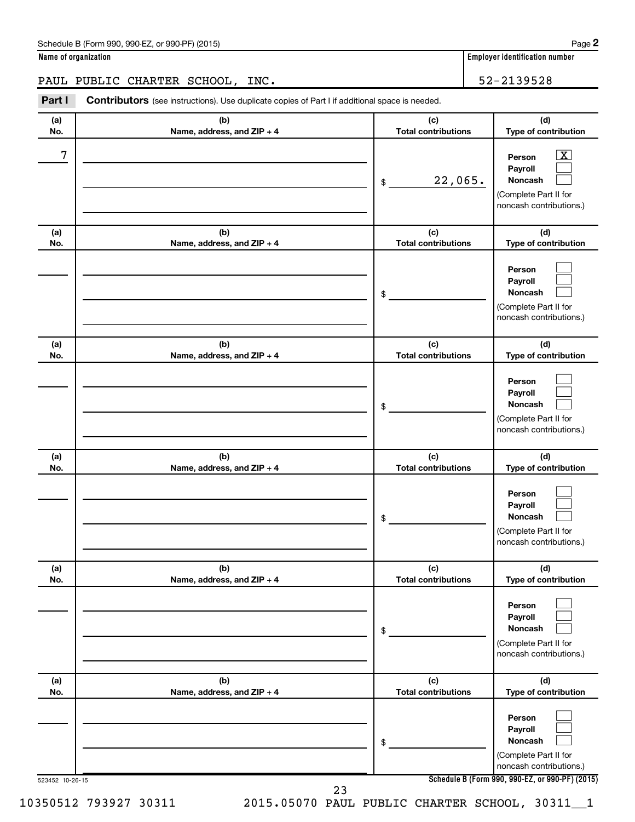| Schedule B (Form 990, 990-EZ, or 990-PF) (2015)<br>$\sqrt{2}$ and $\sqrt{2}$ and $\sqrt{2}$ and $\sqrt{2}$ and $\sqrt{2}$ and $\sqrt{2}$ and $\sqrt{2}$ and $\sqrt{2}$ and $\sqrt{2}$ and $\sqrt{2}$ and $\sqrt{2}$ and $\sqrt{2}$ and $\sqrt{2}$ and $\sqrt{2}$ and $\sqrt{2}$ and $\sqrt{2}$ and $\sqrt{2}$ and $\sqrt{2}$ and $\sqrt{2$ | Page |  |
|--------------------------------------------------------------------------------------------------------------------------------------------------------------------------------------------------------------------------------------------------------------------------------------------------------------------------------------------|------|--|
|--------------------------------------------------------------------------------------------------------------------------------------------------------------------------------------------------------------------------------------------------------------------------------------------------------------------------------------------|------|--|

**Name of organization Employer identification number**

PAUL PUBLIC CHARTER SCHOOL, INC. 52-2139528

**Part I** Contributors (see instructions). Use duplicate copies of Part I if additional space is needed.

| (a)<br>No. | (b)<br>Name, address, and ZIP + 4 | (c)<br><b>Total contributions</b> | (d)<br>Type of contribution                                                                                 |
|------------|-----------------------------------|-----------------------------------|-------------------------------------------------------------------------------------------------------------|
| 7          |                                   | 22,065.<br>\$                     | $\overline{\textbf{X}}$<br>Person<br>Payroll<br>Noncash<br>(Complete Part II for<br>noncash contributions.) |
| (a)<br>No. | (b)<br>Name, address, and ZIP + 4 | (c)<br><b>Total contributions</b> | (d)<br>Type of contribution                                                                                 |
|            |                                   | \$                                | Person<br>Payroll<br>Noncash<br>(Complete Part II for<br>noncash contributions.)                            |
| (a)<br>No. | (b)<br>Name, address, and ZIP + 4 | (c)<br><b>Total contributions</b> | (d)<br>Type of contribution                                                                                 |
|            |                                   | \$                                | Person<br>Payroll<br><b>Noncash</b><br>(Complete Part II for<br>noncash contributions.)                     |
| (a)<br>No. | (b)<br>Name, address, and ZIP + 4 | (c)<br><b>Total contributions</b> | (d)<br>Type of contribution                                                                                 |
|            |                                   | \$                                | Person<br>Payroll<br><b>Noncash</b><br>(Complete Part II for<br>noncash contributions.)                     |
| (a)<br>No. | (b)<br>Name, address, and ZIP + 4 | (c)<br><b>Total contributions</b> | (d)<br>Type of contribution                                                                                 |
|            |                                   | \$                                | Person<br>Payroll<br>Noncash<br>(Complete Part II for<br>noncash contributions.)                            |
| (a)<br>No. | (b)<br>Name, address, and ZIP + 4 | (c)<br><b>Total contributions</b> | (d)<br>Type of contribution                                                                                 |
|            |                                   | \$                                | Person<br>Payroll<br>Noncash<br>(Complete Part II for<br>noncash contributions.)                            |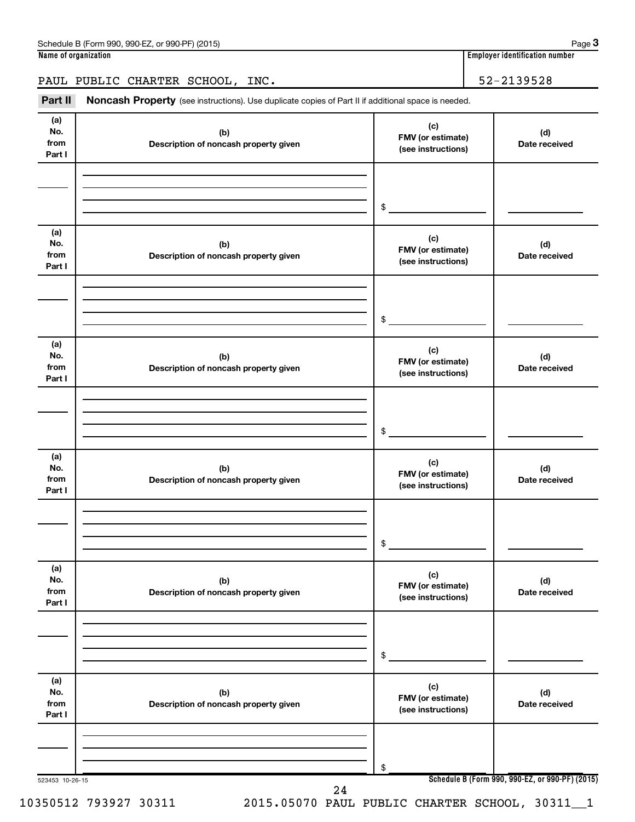## PAUL PUBLIC CHARTER SCHOOL, INC. 52-2139528

Part II Noncash Property (see instructions). Use duplicate copies of Part II if additional space is needed.

| (a)<br>No.<br>from<br>Part I | (b)<br>Description of noncash property given | (c)<br>FMV (or estimate)<br>(see instructions) | (d)<br>Date received |
|------------------------------|----------------------------------------------|------------------------------------------------|----------------------|
|                              |                                              | \$                                             |                      |
| (a)<br>No.<br>from<br>Part I | (b)<br>Description of noncash property given | (c)<br>FMV (or estimate)<br>(see instructions) | (d)<br>Date received |
|                              |                                              | \$                                             |                      |
| (a)<br>No.<br>from<br>Part I | (b)<br>Description of noncash property given | (c)<br>FMV (or estimate)<br>(see instructions) | (d)<br>Date received |
|                              |                                              | \$                                             |                      |
| (a)<br>No.<br>from<br>Part I | (b)<br>Description of noncash property given | (c)<br>FMV (or estimate)<br>(see instructions) | (d)<br>Date received |
|                              |                                              | \$                                             |                      |
| (a)<br>No.<br>from<br>Part I | (b)<br>Description of noncash property given | (c)<br>FMV (or estimate)<br>(see instructions) | (d)<br>Date received |
|                              |                                              | \$                                             |                      |
| (a)<br>No.<br>from<br>Part I | (b)<br>Description of noncash property given | (c)<br>FMV (or estimate)<br>(see instructions) | (d)<br>Date received |
|                              |                                              | \$                                             |                      |

10350512 793927 30311 2015.05070 PAUL PUBLIC CHARTER SCHOOL, 30311\_\_1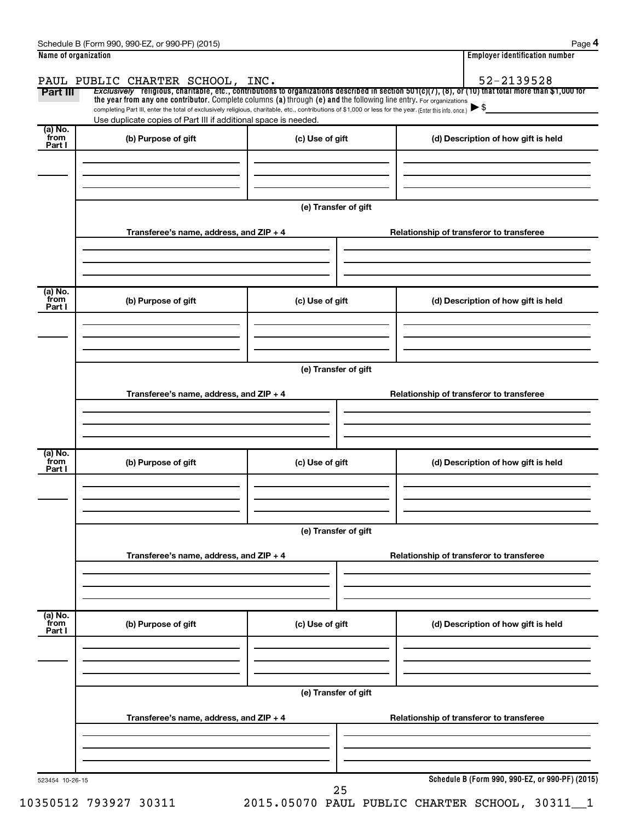| Name of organization |                                                                                                                                                          |                      |  | <b>Employer identification number</b>                                                                                                                 |  |  |
|----------------------|----------------------------------------------------------------------------------------------------------------------------------------------------------|----------------------|--|-------------------------------------------------------------------------------------------------------------------------------------------------------|--|--|
|                      | PAUL PUBLIC CHARTER SCHOOL, INC.                                                                                                                         |                      |  | 52-2139528                                                                                                                                            |  |  |
| Part III             | the year from any one contributor. Complete columns (a) through (e) and the following line entry. For organizations                                      |                      |  | Exclusively religious, charitable, etc., contributions to organizations described in section 501(c)(7), (8), or (10) that total more than \$1,000 for |  |  |
|                      | completing Part III, enter the total of exclusively religious, charitable, etc., contributions of \$1,000 or less for the year. (Enter this info. once.) |                      |  |                                                                                                                                                       |  |  |
|                      | Use duplicate copies of Part III if additional space is needed.                                                                                          |                      |  |                                                                                                                                                       |  |  |
| (a) No.<br>from      | (b) Purpose of gift                                                                                                                                      | (c) Use of gift      |  | (d) Description of how gift is held                                                                                                                   |  |  |
| Part I               |                                                                                                                                                          |                      |  |                                                                                                                                                       |  |  |
|                      |                                                                                                                                                          |                      |  |                                                                                                                                                       |  |  |
|                      |                                                                                                                                                          |                      |  |                                                                                                                                                       |  |  |
|                      |                                                                                                                                                          | (e) Transfer of gift |  |                                                                                                                                                       |  |  |
|                      |                                                                                                                                                          |                      |  |                                                                                                                                                       |  |  |
|                      | Transferee's name, address, and $ZIP + 4$                                                                                                                |                      |  | Relationship of transferor to transferee                                                                                                              |  |  |
|                      |                                                                                                                                                          |                      |  |                                                                                                                                                       |  |  |
|                      |                                                                                                                                                          |                      |  |                                                                                                                                                       |  |  |
| (a) No.<br>from      | (b) Purpose of gift                                                                                                                                      | (c) Use of gift      |  | (d) Description of how gift is held                                                                                                                   |  |  |
| Part I               |                                                                                                                                                          |                      |  |                                                                                                                                                       |  |  |
|                      |                                                                                                                                                          |                      |  |                                                                                                                                                       |  |  |
|                      |                                                                                                                                                          |                      |  |                                                                                                                                                       |  |  |
|                      |                                                                                                                                                          | (e) Transfer of gift |  |                                                                                                                                                       |  |  |
|                      |                                                                                                                                                          |                      |  |                                                                                                                                                       |  |  |
|                      | Transferee's name, address, and ZIP + 4                                                                                                                  |                      |  | Relationship of transferor to transferee                                                                                                              |  |  |
|                      |                                                                                                                                                          |                      |  |                                                                                                                                                       |  |  |
|                      |                                                                                                                                                          |                      |  |                                                                                                                                                       |  |  |
|                      |                                                                                                                                                          |                      |  |                                                                                                                                                       |  |  |
| (a) No.<br>from      | (b) Purpose of gift                                                                                                                                      | (c) Use of gift      |  | (d) Description of how gift is held                                                                                                                   |  |  |
| Part I               |                                                                                                                                                          |                      |  |                                                                                                                                                       |  |  |
|                      |                                                                                                                                                          |                      |  |                                                                                                                                                       |  |  |
|                      |                                                                                                                                                          |                      |  |                                                                                                                                                       |  |  |
|                      |                                                                                                                                                          |                      |  |                                                                                                                                                       |  |  |
|                      |                                                                                                                                                          | (e) Transfer of gift |  |                                                                                                                                                       |  |  |
|                      | Transferee's name, address, and ZIP + 4                                                                                                                  |                      |  | Relationship of transferor to transferee                                                                                                              |  |  |
|                      |                                                                                                                                                          |                      |  |                                                                                                                                                       |  |  |
|                      |                                                                                                                                                          |                      |  |                                                                                                                                                       |  |  |
| (a) No.              |                                                                                                                                                          |                      |  |                                                                                                                                                       |  |  |
| from<br>Part I       | (b) Purpose of gift                                                                                                                                      | (c) Use of gift      |  | (d) Description of how gift is held                                                                                                                   |  |  |
|                      |                                                                                                                                                          |                      |  |                                                                                                                                                       |  |  |
|                      |                                                                                                                                                          |                      |  |                                                                                                                                                       |  |  |
|                      | (e) Transfer of gift                                                                                                                                     |                      |  |                                                                                                                                                       |  |  |
|                      |                                                                                                                                                          |                      |  |                                                                                                                                                       |  |  |
|                      | Transferee's name, address, and ZIP + 4                                                                                                                  |                      |  | Relationship of transferor to transferee                                                                                                              |  |  |
|                      |                                                                                                                                                          |                      |  |                                                                                                                                                       |  |  |
|                      |                                                                                                                                                          |                      |  |                                                                                                                                                       |  |  |
| 523454 10-26-15      |                                                                                                                                                          |                      |  | Schedule B (Form 990, 990-EZ, or 990-PF) (2015)                                                                                                       |  |  |
|                      |                                                                                                                                                          | 25                   |  |                                                                                                                                                       |  |  |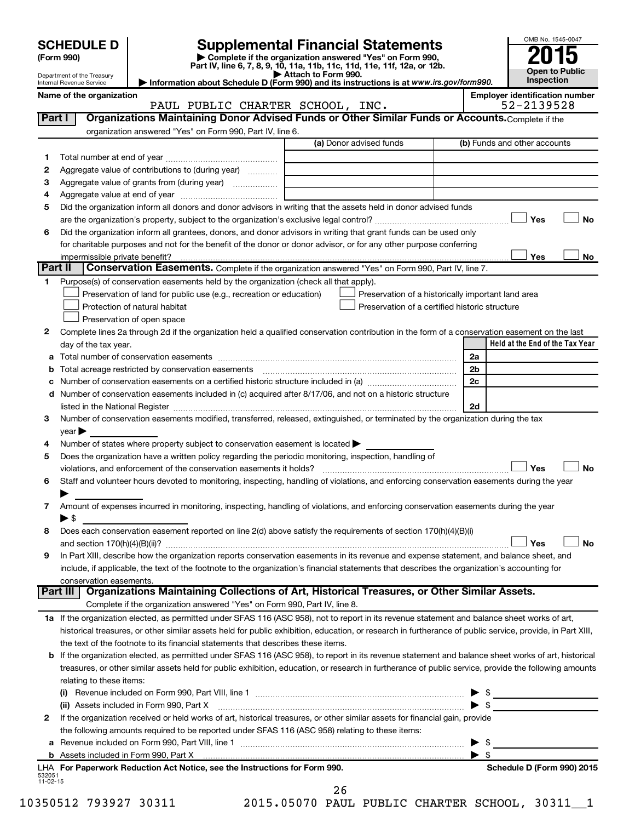|              |                                                        |                                                                                                                                                                                                                                       |                                                                                                                                      |                         | OMB No. 1545-0047                     |           |
|--------------|--------------------------------------------------------|---------------------------------------------------------------------------------------------------------------------------------------------------------------------------------------------------------------------------------------|--------------------------------------------------------------------------------------------------------------------------------------|-------------------------|---------------------------------------|-----------|
|              | <b>SCHEDULE D</b>                                      |                                                                                                                                                                                                                                       | <b>Supplemental Financial Statements</b>                                                                                             |                         |                                       |           |
|              | (Form 990)                                             |                                                                                                                                                                                                                                       | Complete if the organization answered "Yes" on Form 990,<br>Part IV, line 6, 7, 8, 9, 10, 11a, 11b, 11c, 11d, 11e, 11f, 12a, or 12b. |                         |                                       |           |
|              | Department of the Treasury<br>Internal Revenue Service |                                                                                                                                                                                                                                       | Attach to Form 990.<br>Information about Schedule D (Form 990) and its instructions is at www.irs.gov/form990.                       |                         | <b>Open to Public</b><br>Inspection   |           |
|              | Name of the organization                               |                                                                                                                                                                                                                                       |                                                                                                                                      |                         | <b>Employer identification number</b> |           |
|              |                                                        | PAUL PUBLIC CHARTER SCHOOL, INC.                                                                                                                                                                                                      |                                                                                                                                      |                         | 52-2139528                            |           |
| Part I       |                                                        | Organizations Maintaining Donor Advised Funds or Other Similar Funds or Accounts. Complete if the                                                                                                                                     |                                                                                                                                      |                         |                                       |           |
|              |                                                        | organization answered "Yes" on Form 990, Part IV, line 6.                                                                                                                                                                             |                                                                                                                                      |                         |                                       |           |
|              |                                                        |                                                                                                                                                                                                                                       | (a) Donor advised funds                                                                                                              |                         | (b) Funds and other accounts          |           |
| 1.           |                                                        |                                                                                                                                                                                                                                       |                                                                                                                                      |                         |                                       |           |
| 2            |                                                        | Aggregate value of contributions to (during year)                                                                                                                                                                                     |                                                                                                                                      |                         |                                       |           |
| 3            |                                                        |                                                                                                                                                                                                                                       |                                                                                                                                      |                         |                                       |           |
| 4<br>5       |                                                        | Did the organization inform all donors and donor advisors in writing that the assets held in donor advised funds                                                                                                                      |                                                                                                                                      |                         |                                       |           |
|              |                                                        |                                                                                                                                                                                                                                       |                                                                                                                                      |                         | Yes                                   | <b>No</b> |
| 6            |                                                        | Did the organization inform all grantees, donors, and donor advisors in writing that grant funds can be used only                                                                                                                     |                                                                                                                                      |                         |                                       |           |
|              |                                                        | for charitable purposes and not for the benefit of the donor or donor advisor, or for any other purpose conferring                                                                                                                    |                                                                                                                                      |                         |                                       |           |
|              | impermissible private benefit?                         |                                                                                                                                                                                                                                       |                                                                                                                                      |                         | Yes                                   | No        |
| Part II      |                                                        | Conservation Easements. Complete if the organization answered "Yes" on Form 990, Part IV, line 7.                                                                                                                                     |                                                                                                                                      |                         |                                       |           |
| 1.           |                                                        | Purpose(s) of conservation easements held by the organization (check all that apply).                                                                                                                                                 |                                                                                                                                      |                         |                                       |           |
|              |                                                        | Preservation of land for public use (e.g., recreation or education)                                                                                                                                                                   | Preservation of a historically important land area                                                                                   |                         |                                       |           |
|              |                                                        | Protection of natural habitat                                                                                                                                                                                                         | Preservation of a certified historic structure                                                                                       |                         |                                       |           |
|              |                                                        | Preservation of open space                                                                                                                                                                                                            |                                                                                                                                      |                         |                                       |           |
| $\mathbf{2}$ |                                                        | Complete lines 2a through 2d if the organization held a qualified conservation contribution in the form of a conservation easement on the last                                                                                        |                                                                                                                                      |                         | Held at the End of the Tax Year       |           |
|              | day of the tax year.                                   |                                                                                                                                                                                                                                       |                                                                                                                                      | 2a                      |                                       |           |
| b            |                                                        |                                                                                                                                                                                                                                       |                                                                                                                                      | 2 <sub>b</sub>          |                                       |           |
|              |                                                        |                                                                                                                                                                                                                                       |                                                                                                                                      | 2c                      |                                       |           |
| d            |                                                        | Number of conservation easements included in (c) acquired after 8/17/06, and not on a historic structure                                                                                                                              |                                                                                                                                      |                         |                                       |           |
|              |                                                        |                                                                                                                                                                                                                                       |                                                                                                                                      | 2d                      |                                       |           |
| 3            |                                                        | Number of conservation easements modified, transferred, released, extinguished, or terminated by the organization during the tax                                                                                                      |                                                                                                                                      |                         |                                       |           |
|              | year                                                   |                                                                                                                                                                                                                                       |                                                                                                                                      |                         |                                       |           |
| 4            |                                                        | Number of states where property subject to conservation easement is located $\blacktriangleright$                                                                                                                                     |                                                                                                                                      |                         |                                       |           |
| 5            |                                                        | Does the organization have a written policy regarding the periodic monitoring, inspection, handling of                                                                                                                                |                                                                                                                                      |                         |                                       |           |
|              |                                                        | violations, and enforcement of the conservation easements it holds?                                                                                                                                                                   |                                                                                                                                      |                         | Yes                                   | <b>No</b> |
| 6            |                                                        | Staff and volunteer hours devoted to monitoring, inspecting, handling of violations, and enforcing conservation easements during the year                                                                                             |                                                                                                                                      |                         |                                       |           |
| 7            |                                                        | Amount of expenses incurred in monitoring, inspecting, handling of violations, and enforcing conservation easements during the year                                                                                                   |                                                                                                                                      |                         |                                       |           |
|              | $\blacktriangleright$ \$                               |                                                                                                                                                                                                                                       |                                                                                                                                      |                         |                                       |           |
| 8            |                                                        | Does each conservation easement reported on line 2(d) above satisfy the requirements of section 170(h)(4)(B)(i)                                                                                                                       |                                                                                                                                      |                         |                                       |           |
|              |                                                        |                                                                                                                                                                                                                                       |                                                                                                                                      |                         | Yes                                   | No        |
| 9            |                                                        | In Part XIII, describe how the organization reports conservation easements in its revenue and expense statement, and balance sheet, and                                                                                               |                                                                                                                                      |                         |                                       |           |
|              |                                                        | include, if applicable, the text of the footnote to the organization's financial statements that describes the organization's accounting for                                                                                          |                                                                                                                                      |                         |                                       |           |
|              | conservation easements.                                |                                                                                                                                                                                                                                       |                                                                                                                                      |                         |                                       |           |
|              | Part III                                               | Organizations Maintaining Collections of Art, Historical Treasures, or Other Similar Assets.                                                                                                                                          |                                                                                                                                      |                         |                                       |           |
|              |                                                        | Complete if the organization answered "Yes" on Form 990, Part IV, line 8.                                                                                                                                                             |                                                                                                                                      |                         |                                       |           |
|              |                                                        | 1a If the organization elected, as permitted under SFAS 116 (ASC 958), not to report in its revenue statement and balance sheet works of art,                                                                                         |                                                                                                                                      |                         |                                       |           |
|              |                                                        | historical treasures, or other similar assets held for public exhibition, education, or research in furtherance of public service, provide, in Part XIII,                                                                             |                                                                                                                                      |                         |                                       |           |
| b            |                                                        | the text of the footnote to its financial statements that describes these items.<br>If the organization elected, as permitted under SFAS 116 (ASC 958), to report in its revenue statement and balance sheet works of art, historical |                                                                                                                                      |                         |                                       |           |
|              |                                                        | treasures, or other similar assets held for public exhibition, education, or research in furtherance of public service, provide the following amounts                                                                                 |                                                                                                                                      |                         |                                       |           |
|              | relating to these items:                               |                                                                                                                                                                                                                                       |                                                                                                                                      |                         |                                       |           |
|              |                                                        | (i) Revenue included on Form 990, Part VIII, line 1 [2000] [2010] Contract the included on Form 990, Part VIII, line 1                                                                                                                |                                                                                                                                      |                         | $\frac{1}{2}$                         |           |
|              |                                                        | (ii) Assets included in Form 990, Part X                                                                                                                                                                                              |                                                                                                                                      |                         |                                       |           |
| 2            |                                                        | If the organization received or held works of art, historical treasures, or other similar assets for financial gain, provide                                                                                                          |                                                                                                                                      |                         |                                       |           |
|              |                                                        | the following amounts required to be reported under SFAS 116 (ASC 958) relating to these items:                                                                                                                                       |                                                                                                                                      |                         |                                       |           |
| а            |                                                        |                                                                                                                                                                                                                                       |                                                                                                                                      | \$                      |                                       |           |
|              |                                                        |                                                                                                                                                                                                                                       |                                                                                                                                      | $\blacktriangleright$ s |                                       |           |
|              |                                                        | LHA For Paperwork Reduction Act Notice, see the Instructions for Form 990.                                                                                                                                                            |                                                                                                                                      |                         | Schedule D (Form 990) 2015            |           |

| LHA For Paperwork Reduction Act Notice, see the Instructions for Forr |
|-----------------------------------------------------------------------|
| 532051<br>11-02-15                                                    |
|                                                                       |

10350512 793927 30311 2015.05070 PAUL PUBLIC CHARTER SCHOOL, 30311\_\_1 26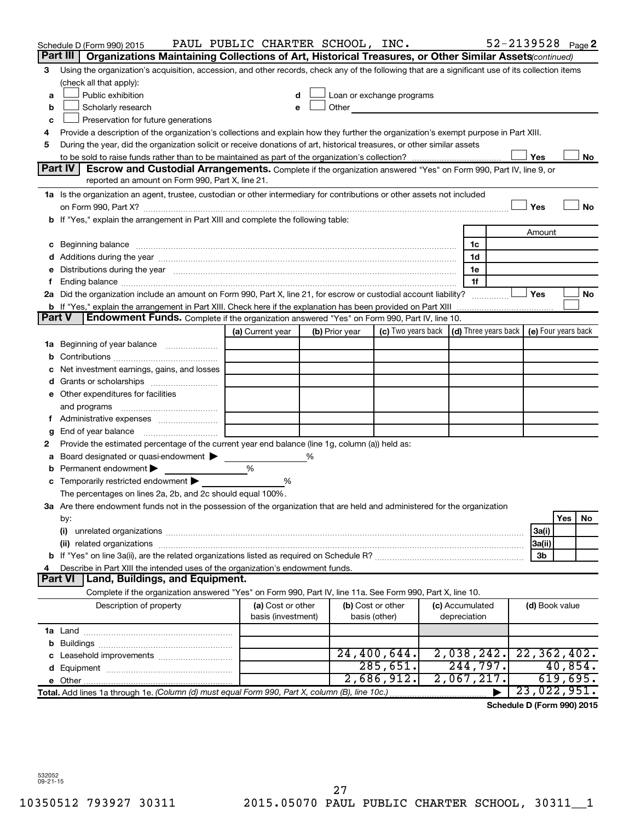|               | Schedule D (Form 990) 2015                                                                                                                                                                                                     | PAUL PUBLIC CHARTER SCHOOL, INC. |   |                                                                                                                                                                                                                               |                    |                 | 52-2139528 Page 2                          |                |          |    |
|---------------|--------------------------------------------------------------------------------------------------------------------------------------------------------------------------------------------------------------------------------|----------------------------------|---|-------------------------------------------------------------------------------------------------------------------------------------------------------------------------------------------------------------------------------|--------------------|-----------------|--------------------------------------------|----------------|----------|----|
|               | Organizations Maintaining Collections of Art, Historical Treasures, or Other Similar Assets(continued)<br>Part III                                                                                                             |                                  |   |                                                                                                                                                                                                                               |                    |                 |                                            |                |          |    |
| 3             | Using the organization's acquisition, accession, and other records, check any of the following that are a significant use of its collection items                                                                              |                                  |   |                                                                                                                                                                                                                               |                    |                 |                                            |                |          |    |
|               | (check all that apply):                                                                                                                                                                                                        |                                  |   |                                                                                                                                                                                                                               |                    |                 |                                            |                |          |    |
| a             | Public exhibition                                                                                                                                                                                                              |                                  |   | Loan or exchange programs                                                                                                                                                                                                     |                    |                 |                                            |                |          |    |
| b             | Scholarly research                                                                                                                                                                                                             | e                                |   | Other and the contract of the contract of the contract of the contract of the contract of the contract of the contract of the contract of the contract of the contract of the contract of the contract of the contract of the |                    |                 |                                            |                |          |    |
| с             | Preservation for future generations                                                                                                                                                                                            |                                  |   |                                                                                                                                                                                                                               |                    |                 |                                            |                |          |    |
| 4             | Provide a description of the organization's collections and explain how they further the organization's exempt purpose in Part XIII.                                                                                           |                                  |   |                                                                                                                                                                                                                               |                    |                 |                                            |                |          |    |
| 5             | During the year, did the organization solicit or receive donations of art, historical treasures, or other similar assets                                                                                                       |                                  |   |                                                                                                                                                                                                                               |                    |                 |                                            |                |          |    |
|               |                                                                                                                                                                                                                                |                                  |   |                                                                                                                                                                                                                               |                    |                 |                                            | Yes            |          | No |
|               | Part IV<br><b>Escrow and Custodial Arrangements.</b> Complete if the organization answered "Yes" on Form 990, Part IV, line 9, or                                                                                              |                                  |   |                                                                                                                                                                                                                               |                    |                 |                                            |                |          |    |
|               | reported an amount on Form 990, Part X, line 21.                                                                                                                                                                               |                                  |   |                                                                                                                                                                                                                               |                    |                 |                                            |                |          |    |
|               | 1a Is the organization an agent, trustee, custodian or other intermediary for contributions or other assets not included                                                                                                       |                                  |   |                                                                                                                                                                                                                               |                    |                 |                                            |                |          |    |
|               |                                                                                                                                                                                                                                |                                  |   |                                                                                                                                                                                                                               |                    |                 |                                            | Yes            |          | No |
|               | <b>b</b> If "Yes," explain the arrangement in Part XIII and complete the following table:                                                                                                                                      |                                  |   |                                                                                                                                                                                                                               |                    |                 |                                            |                |          |    |
|               |                                                                                                                                                                                                                                |                                  |   |                                                                                                                                                                                                                               |                    |                 |                                            | Amount         |          |    |
| с             | Beginning balance manufactured and contact the contract of contact the contact of the contact of the contact of                                                                                                                |                                  |   |                                                                                                                                                                                                                               |                    | 1c              |                                            |                |          |    |
|               |                                                                                                                                                                                                                                |                                  |   |                                                                                                                                                                                                                               |                    | 1d              |                                            |                |          |    |
| е             | Distributions during the year manufactured and an account of the state of the state of the state of the state of the state of the state of the state of the state of the state of the state of the state of the state of the s |                                  |   |                                                                                                                                                                                                                               |                    | 1e              |                                            |                |          |    |
| f.            |                                                                                                                                                                                                                                |                                  |   |                                                                                                                                                                                                                               |                    | 1f              |                                            |                |          |    |
|               | 2a Did the organization include an amount on Form 990, Part X, line 21, for escrow or custodial account liability?                                                                                                             |                                  |   |                                                                                                                                                                                                                               |                    |                 |                                            | Yes            |          | No |
| <b>Part V</b> | <b>b</b> If "Yes," explain the arrangement in Part XIII. Check here if the explanation has been provided on Part XIII<br><b>Endowment Funds.</b> Complete if the organization answered "Yes" on Form 990, Part IV, line 10.    |                                  |   |                                                                                                                                                                                                                               |                    |                 |                                            |                |          |    |
|               |                                                                                                                                                                                                                                |                                  |   |                                                                                                                                                                                                                               |                    |                 |                                            |                |          |    |
|               |                                                                                                                                                                                                                                | (a) Current year                 |   | (b) Prior year                                                                                                                                                                                                                | (c) Two years back |                 | (d) Three years back   (e) Four years back |                |          |    |
| 1a            | Beginning of year balance                                                                                                                                                                                                      |                                  |   |                                                                                                                                                                                                                               |                    |                 |                                            |                |          |    |
| b             |                                                                                                                                                                                                                                |                                  |   |                                                                                                                                                                                                                               |                    |                 |                                            |                |          |    |
| с             | Net investment earnings, gains, and losses                                                                                                                                                                                     |                                  |   |                                                                                                                                                                                                                               |                    |                 |                                            |                |          |    |
| d             |                                                                                                                                                                                                                                |                                  |   |                                                                                                                                                                                                                               |                    |                 |                                            |                |          |    |
|               | e Other expenditures for facilities                                                                                                                                                                                            |                                  |   |                                                                                                                                                                                                                               |                    |                 |                                            |                |          |    |
|               | and programs                                                                                                                                                                                                                   |                                  |   |                                                                                                                                                                                                                               |                    |                 |                                            |                |          |    |
|               | f Administrative expenses                                                                                                                                                                                                      |                                  |   |                                                                                                                                                                                                                               |                    |                 |                                            |                |          |    |
| g             | Provide the estimated percentage of the current year end balance (line 1g, column (a)) held as:                                                                                                                                |                                  |   |                                                                                                                                                                                                                               |                    |                 |                                            |                |          |    |
| 2             | Board designated or quasi-endowment                                                                                                                                                                                            |                                  | % |                                                                                                                                                                                                                               |                    |                 |                                            |                |          |    |
| а<br>b        | Permanent endowment                                                                                                                                                                                                            | %                                |   |                                                                                                                                                                                                                               |                    |                 |                                            |                |          |    |
|               | Temporarily restricted endowment                                                                                                                                                                                               | %                                |   |                                                                                                                                                                                                                               |                    |                 |                                            |                |          |    |
| с             | The percentages on lines 2a, 2b, and 2c should equal 100%.                                                                                                                                                                     |                                  |   |                                                                                                                                                                                                                               |                    |                 |                                            |                |          |    |
|               | 3a Are there endowment funds not in the possession of the organization that are held and administered for the organization                                                                                                     |                                  |   |                                                                                                                                                                                                                               |                    |                 |                                            |                |          |    |
|               | by:                                                                                                                                                                                                                            |                                  |   |                                                                                                                                                                                                                               |                    |                 |                                            |                | Yes      | No |
|               | (i)                                                                                                                                                                                                                            |                                  |   |                                                                                                                                                                                                                               |                    |                 |                                            | 3a(i)          |          |    |
|               |                                                                                                                                                                                                                                |                                  |   |                                                                                                                                                                                                                               |                    |                 |                                            | 3a(ii)         |          |    |
| b             |                                                                                                                                                                                                                                |                                  |   |                                                                                                                                                                                                                               |                    |                 |                                            | 3b             |          |    |
|               | Describe in Part XIII the intended uses of the organization's endowment funds.                                                                                                                                                 |                                  |   |                                                                                                                                                                                                                               |                    |                 |                                            |                |          |    |
|               | Part VI   Land, Buildings, and Equipment.                                                                                                                                                                                      |                                  |   |                                                                                                                                                                                                                               |                    |                 |                                            |                |          |    |
|               | Complete if the organization answered "Yes" on Form 990, Part IV, line 11a. See Form 990, Part X, line 10.                                                                                                                     |                                  |   |                                                                                                                                                                                                                               |                    |                 |                                            |                |          |    |
|               | Description of property                                                                                                                                                                                                        | (a) Cost or other                |   |                                                                                                                                                                                                                               | (b) Cost or other  | (c) Accumulated |                                            | (d) Book value |          |    |
|               |                                                                                                                                                                                                                                | basis (investment)               |   |                                                                                                                                                                                                                               | basis (other)      | depreciation    |                                            |                |          |    |
|               |                                                                                                                                                                                                                                |                                  |   |                                                                                                                                                                                                                               |                    |                 |                                            |                |          |    |
| b             |                                                                                                                                                                                                                                |                                  |   |                                                                                                                                                                                                                               |                    |                 |                                            |                |          |    |
| c             | Leasehold improvements                                                                                                                                                                                                         |                                  |   |                                                                                                                                                                                                                               | 24,400,644.        | 2,038,242.      |                                            | 22, 362, 402.  |          |    |
| d             |                                                                                                                                                                                                                                |                                  |   |                                                                                                                                                                                                                               | 285,651.           | 244,797.        |                                            |                | 40,854.  |    |
|               |                                                                                                                                                                                                                                |                                  |   |                                                                                                                                                                                                                               | 2,686,912.         | 2,067,217.      |                                            |                | 619,695. |    |
|               | Total. Add lines 1a through 1e. (Column (d) must equal Form 990, Part X, column (B), line 10c.)                                                                                                                                |                                  |   |                                                                                                                                                                                                                               |                    |                 |                                            | 23,022,951.    |          |    |
|               |                                                                                                                                                                                                                                |                                  |   |                                                                                                                                                                                                                               |                    |                 |                                            |                |          |    |

**Schedule D (Form 990) 2015**

532052 09-21-15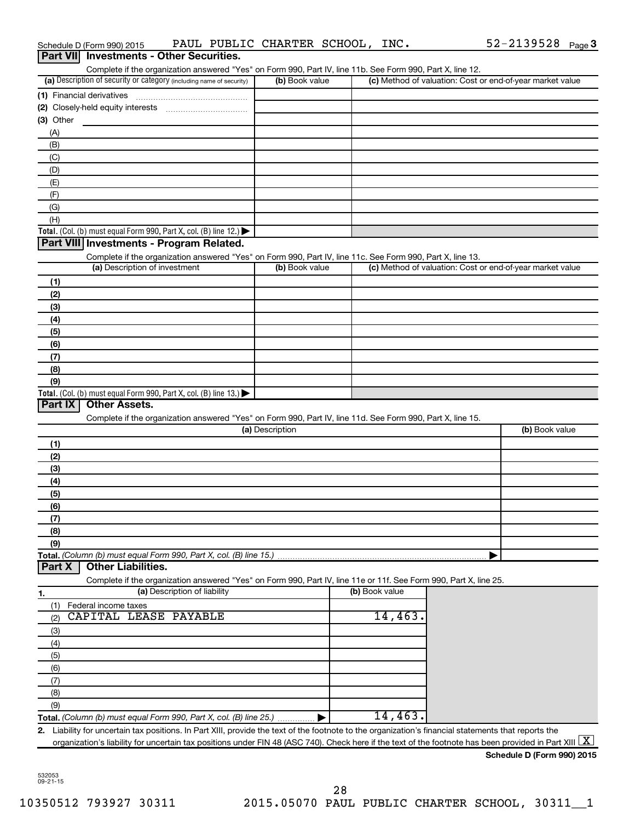| Part VII Investments - Other Securities.                                                                                                                                           |                 |                |                                                           |
|------------------------------------------------------------------------------------------------------------------------------------------------------------------------------------|-----------------|----------------|-----------------------------------------------------------|
| Complete if the organization answered "Yes" on Form 990, Part IV, line 11b. See Form 990, Part X, line 12.<br>(a) Description of security or category (including name of security) | (b) Book value  |                | (c) Method of valuation: Cost or end-of-year market value |
| (1) Financial derivatives                                                                                                                                                          |                 |                |                                                           |
|                                                                                                                                                                                    |                 |                |                                                           |
| $(3)$ Other                                                                                                                                                                        |                 |                |                                                           |
| (A)                                                                                                                                                                                |                 |                |                                                           |
| (B)                                                                                                                                                                                |                 |                |                                                           |
| (C)                                                                                                                                                                                |                 |                |                                                           |
| (D)                                                                                                                                                                                |                 |                |                                                           |
| (E)                                                                                                                                                                                |                 |                |                                                           |
| (F)                                                                                                                                                                                |                 |                |                                                           |
| (G)                                                                                                                                                                                |                 |                |                                                           |
| (H)                                                                                                                                                                                |                 |                |                                                           |
| Total. (Col. (b) must equal Form 990, Part X, col. (B) line 12.)                                                                                                                   |                 |                |                                                           |
| Part VIII Investments - Program Related.                                                                                                                                           |                 |                |                                                           |
| Complete if the organization answered "Yes" on Form 990, Part IV, line 11c. See Form 990, Part X, line 13.                                                                         |                 |                |                                                           |
| (a) Description of investment                                                                                                                                                      | (b) Book value  |                | (c) Method of valuation: Cost or end-of-year market value |
| (1)                                                                                                                                                                                |                 |                |                                                           |
| (2)                                                                                                                                                                                |                 |                |                                                           |
| (3)                                                                                                                                                                                |                 |                |                                                           |
| (4)                                                                                                                                                                                |                 |                |                                                           |
| (5)                                                                                                                                                                                |                 |                |                                                           |
| (6)                                                                                                                                                                                |                 |                |                                                           |
| (7)                                                                                                                                                                                |                 |                |                                                           |
| (8)                                                                                                                                                                                |                 |                |                                                           |
| (9)                                                                                                                                                                                |                 |                |                                                           |
| Total. (Col. (b) must equal Form 990, Part X, col. (B) line 13.) $\blacktriangleright$                                                                                             |                 |                |                                                           |
| Part IX<br><b>Other Assets.</b>                                                                                                                                                    |                 |                |                                                           |
| Complete if the organization answered "Yes" on Form 990, Part IV, line 11d. See Form 990, Part X, line 15.                                                                         |                 |                |                                                           |
|                                                                                                                                                                                    | (a) Description |                | (b) Book value                                            |
| (1)                                                                                                                                                                                |                 |                |                                                           |
| (2)                                                                                                                                                                                |                 |                |                                                           |
| (3)                                                                                                                                                                                |                 |                |                                                           |
| (4)                                                                                                                                                                                |                 |                |                                                           |
| (5)                                                                                                                                                                                |                 |                |                                                           |
| (6)                                                                                                                                                                                |                 |                |                                                           |
| (7)                                                                                                                                                                                |                 |                |                                                           |
| (8)                                                                                                                                                                                |                 |                |                                                           |
| (9)                                                                                                                                                                                |                 |                |                                                           |
| Total. (Column (b) must equal Form 990, Part X, col. (B) line 15.)                                                                                                                 |                 |                |                                                           |
| <b>Other Liabilities.</b><br>Part X                                                                                                                                                |                 |                |                                                           |
| Complete if the organization answered "Yes" on Form 990, Part IV, line 11e or 11f. See Form 990, Part X, line 25.                                                                  |                 |                |                                                           |
| (a) Description of liability<br>1.                                                                                                                                                 |                 | (b) Book value |                                                           |
| Federal income taxes<br>(1)                                                                                                                                                        |                 |                |                                                           |
| CAPITAL LEASE PAYABLE<br>(2)                                                                                                                                                       |                 | 14,463.        |                                                           |
| (3)                                                                                                                                                                                |                 |                |                                                           |
| (4)                                                                                                                                                                                |                 |                |                                                           |
| (5)                                                                                                                                                                                |                 |                |                                                           |
| (6)                                                                                                                                                                                |                 |                |                                                           |
| (7)                                                                                                                                                                                |                 |                |                                                           |
| (8)                                                                                                                                                                                |                 |                |                                                           |
| (9)                                                                                                                                                                                |                 |                |                                                           |
| Total. (Column (b) must equal Form 990, Part X, col. (B) line 25.)                                                                                                                 |                 | 14,463.        |                                                           |
| 2. Liability for uncertain tax positions. In Part XIII, provide the text of the footnote to the organization's financial statements that reports the                               |                 |                |                                                           |
| organization's liability for uncertain tax positions under FIN 48 (ASC 740). Check here if the text of the footnote has been provided in Part XIII $\lfloor \texttt{X} \rfloor$    |                 |                |                                                           |

Schedule D (Form 990) 2015 PAUL PUBLIC CHARTER SCHOOL,  $INC.$  52-2139528  $Page$ 

| Schedule D (Form 990) 2015 |  |  |
|----------------------------|--|--|
|                            |  |  |

52-2139528 Page 3

532053 09-21-15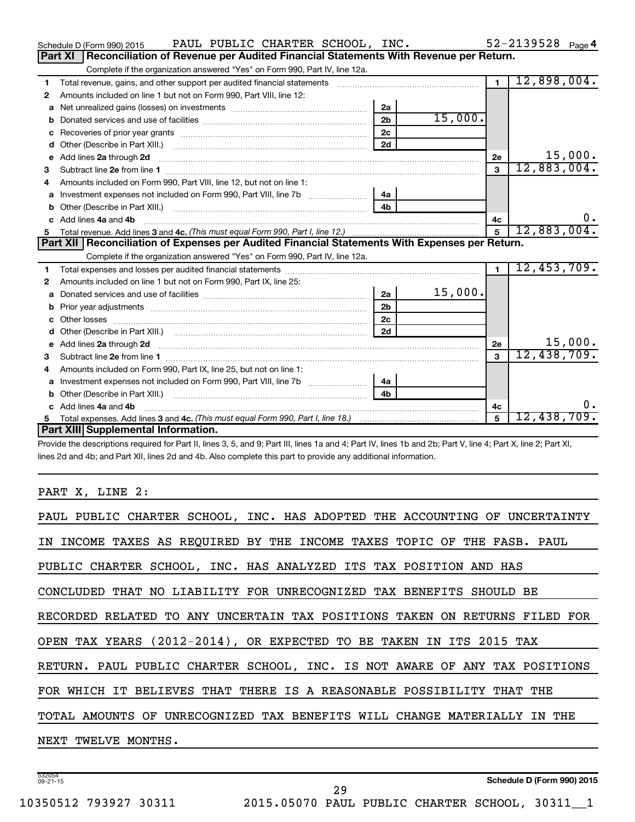|    | PAUL PUBLIC CHARTER SCHOOL, INC.<br>Schedule D (Form 990) 2015                                                                           |                |         |                | $52 - 2139528$ Page 4 |
|----|------------------------------------------------------------------------------------------------------------------------------------------|----------------|---------|----------------|-----------------------|
|    | Reconciliation of Revenue per Audited Financial Statements With Revenue per Return.<br>Part XI                                           |                |         |                |                       |
|    | Complete if the organization answered "Yes" on Form 990, Part IV, line 12a.                                                              |                |         |                |                       |
| 1  | Total revenue, gains, and other support per audited financial statements                                                                 |                |         | $\overline{1}$ | 12,898,004.           |
| 2  | Amounts included on line 1 but not on Form 990, Part VIII, line 12:                                                                      |                |         |                |                       |
| a  |                                                                                                                                          | 2a             |         |                |                       |
| b  |                                                                                                                                          | 2 <sub>b</sub> | 15,000. |                |                       |
| c  |                                                                                                                                          | 2 <sub>c</sub> |         |                |                       |
| d  | Other (Describe in Part XIII.) <b>Construction Contract Construction</b> [100]                                                           | 2d             |         |                |                       |
| е  | Add lines 2a through 2d                                                                                                                  |                |         | 2е             | 15,000.               |
| 3  |                                                                                                                                          |                |         | 3              | 12,883,004.           |
| 4  | Amounts included on Form 990, Part VIII, line 12, but not on line 1:                                                                     |                |         |                |                       |
|    |                                                                                                                                          |                |         |                |                       |
|    |                                                                                                                                          | 4 <sub>b</sub> |         |                |                       |
| c. | Add lines 4a and 4b                                                                                                                      |                |         | 4с             | $0$ .                 |
|    |                                                                                                                                          |                |         | 5              | 12,883,004.           |
|    |                                                                                                                                          |                |         |                |                       |
|    | Part XII   Reconciliation of Expenses per Audited Financial Statements With Expenses per Return.                                         |                |         |                |                       |
|    | Complete if the organization answered "Yes" on Form 990, Part IV, line 12a.                                                              |                |         |                |                       |
| 1. |                                                                                                                                          |                |         | $\blacksquare$ | 12,453,709.           |
| 2  | Amounts included on line 1 but not on Form 990, Part IX, line 25:                                                                        |                |         |                |                       |
| a  |                                                                                                                                          | 2a             | 15,000. |                |                       |
| b  |                                                                                                                                          | 2 <sub>b</sub> |         |                |                       |
|    |                                                                                                                                          | 2c             |         |                |                       |
| d  |                                                                                                                                          | 2d             |         |                |                       |
|    | e Add lines 2a through 2d <b>[10]</b> [20] <b>All and Provide Add lines</b> 21 through 21 <b>All and Provide Add lines 2a through 2d</b> |                |         | 2e             | 15,000.               |
|    |                                                                                                                                          |                |         | 3              | 12,438,709.           |
| 4  | Amounts included on Form 990, Part IX, line 25, but not on line 1:                                                                       |                |         |                |                       |
| a  | Investment expenses not included on Form 990, Part VIII, line 7b   4a                                                                    |                |         |                |                       |
|    |                                                                                                                                          | 4 <sub>b</sub> |         |                |                       |
|    | c Add lines 4a and 4b                                                                                                                    |                |         | 4c             | $0$ .                 |
|    | Part XIII Supplemental Information.                                                                                                      |                |         | $\overline{5}$ | 12,438,709.           |

Provide the descriptions required for Part II, lines 3, 5, and 9; Part III, lines 1a and 4; Part IV, lines 1b and 2b; Part V, line 4; Part X, line 2; Part XI, lines 2d and 4b; and Part XII, lines 2d and 4b. Also complete this part to provide any additional information.

# PART X, LINE 2:

| PAUL PUBLIC CHARTER SCHOOL, INC. HAS ADOPTED THE ACCOUNTING OF UNCERTAINTY |
|----------------------------------------------------------------------------|
| IN INCOME TAXES AS REOUIRED BY THE INCOME TAXES TOPIC OF THE FASB. PAUL    |
| PUBLIC CHARTER SCHOOL, INC. HAS ANALYZED ITS TAX POSITION AND HAS          |
| CONCLUDED THAT NO LIABILITY FOR UNRECOGNIZED TAX BENEFITS SHOULD BE        |
| RECORDED RELATED TO ANY UNCERTAIN TAX POSITIONS TAKEN ON RETURNS FILED FOR |
| OPEN TAX YEARS (2012-2014), OR EXPECTED TO BE TAKEN IN ITS 2015 TAX        |
| RETURN. PAUL PUBLIC CHARTER SCHOOL, INC. IS NOT AWARE OF ANY TAX POSITIONS |
| FOR WHICH IT BELIEVES THAT THERE IS A REASONABLE POSSIBILITY THAT THE      |
| TOTAL AMOUNTS OF UNRECOGNIZED TAX BENEFITS WILL CHANGE MATERIALLY IN THE   |
| NEXT TWELVE MONTHS.                                                        |
|                                                                            |

29

532054 09-21-15

**Schedule D (Form 990) 2015**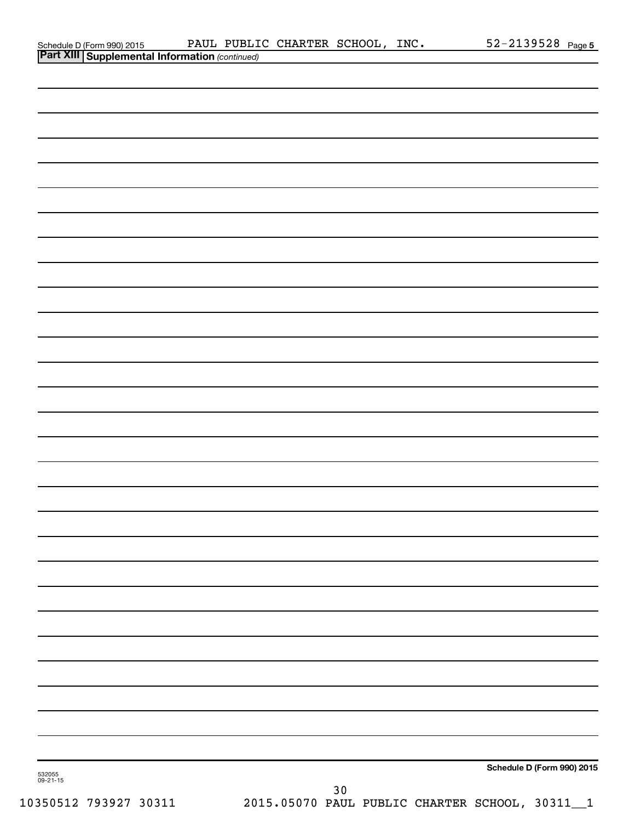|                    |                                                                                         |  | PAUL PUBLIC CHARTER SCHOOL, INC. |    | $52 - 2139528$ Page 5      |
|--------------------|-----------------------------------------------------------------------------------------|--|----------------------------------|----|----------------------------|
|                    | Schedule D (Form 990) 2015 PAUL PUBLI<br>Part XIII Supplemental Information (continued) |  |                                  |    |                            |
|                    |                                                                                         |  |                                  |    |                            |
|                    |                                                                                         |  |                                  |    |                            |
|                    |                                                                                         |  |                                  |    |                            |
|                    |                                                                                         |  |                                  |    |                            |
|                    |                                                                                         |  |                                  |    |                            |
|                    |                                                                                         |  |                                  |    |                            |
|                    |                                                                                         |  |                                  |    |                            |
|                    |                                                                                         |  |                                  |    |                            |
|                    |                                                                                         |  |                                  |    |                            |
|                    |                                                                                         |  |                                  |    |                            |
|                    |                                                                                         |  |                                  |    |                            |
|                    |                                                                                         |  |                                  |    |                            |
|                    |                                                                                         |  |                                  |    |                            |
|                    |                                                                                         |  |                                  |    |                            |
|                    |                                                                                         |  |                                  |    |                            |
|                    |                                                                                         |  |                                  |    |                            |
|                    |                                                                                         |  |                                  |    |                            |
|                    |                                                                                         |  |                                  |    |                            |
|                    |                                                                                         |  |                                  |    |                            |
|                    |                                                                                         |  |                                  |    |                            |
|                    |                                                                                         |  |                                  |    |                            |
|                    |                                                                                         |  |                                  |    |                            |
|                    |                                                                                         |  |                                  |    |                            |
|                    |                                                                                         |  |                                  |    |                            |
|                    |                                                                                         |  |                                  |    |                            |
|                    |                                                                                         |  |                                  |    |                            |
|                    |                                                                                         |  |                                  |    |                            |
|                    |                                                                                         |  |                                  |    |                            |
|                    |                                                                                         |  |                                  |    |                            |
|                    |                                                                                         |  |                                  |    |                            |
|                    |                                                                                         |  |                                  |    |                            |
|                    |                                                                                         |  |                                  |    |                            |
|                    |                                                                                         |  |                                  |    |                            |
|                    |                                                                                         |  |                                  |    |                            |
|                    |                                                                                         |  |                                  |    |                            |
|                    |                                                                                         |  |                                  |    |                            |
|                    |                                                                                         |  |                                  |    |                            |
|                    |                                                                                         |  |                                  |    |                            |
|                    |                                                                                         |  |                                  |    |                            |
|                    |                                                                                         |  |                                  |    |                            |
|                    |                                                                                         |  |                                  |    |                            |
|                    |                                                                                         |  |                                  |    |                            |
|                    |                                                                                         |  |                                  |    |                            |
|                    |                                                                                         |  |                                  |    |                            |
|                    |                                                                                         |  |                                  |    |                            |
|                    |                                                                                         |  |                                  |    |                            |
|                    |                                                                                         |  |                                  |    |                            |
|                    |                                                                                         |  |                                  |    |                            |
|                    |                                                                                         |  |                                  |    |                            |
|                    |                                                                                         |  |                                  |    | Schedule D (Form 990) 2015 |
| 532055<br>09-21-15 |                                                                                         |  |                                  | 30 |                            |
|                    |                                                                                         |  |                                  |    |                            |

10350512 793927 30311 2015.05070 PAUL PUBLIC CHARTER SCHOOL, 30311\_\_1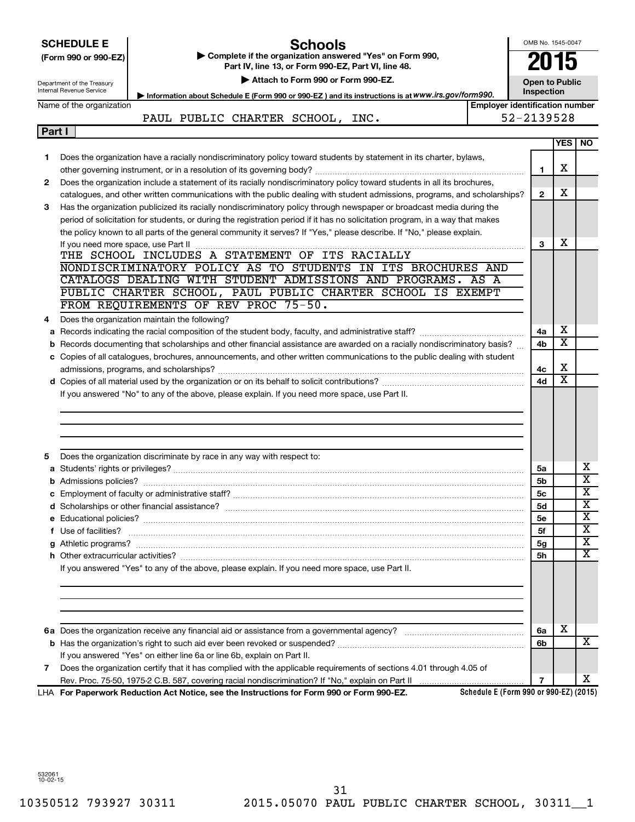|        | <b>SCHEDULE E</b><br>(Form 990 or 990-EZ)<br>Department of the Treasury<br>Internal Revenue Service | Schools<br>Complete if the organization answered "Yes" on Form 990,<br>Part IV, line 13, or Form 990-EZ, Part VI, line 48.<br>Attach to Form 990 or Form 990-EZ.                                                                   |                                        | OMB No. 1545-0047<br>2015<br><b>Open to Public</b><br><b>Inspection</b> |                         |                         |
|--------|-----------------------------------------------------------------------------------------------------|------------------------------------------------------------------------------------------------------------------------------------------------------------------------------------------------------------------------------------|----------------------------------------|-------------------------------------------------------------------------|-------------------------|-------------------------|
|        |                                                                                                     | Information about Schedule E (Form 990 or 990-EZ) and its instructions is at WWW.irs.gov/form990.                                                                                                                                  |                                        |                                                                         |                         |                         |
|        | Name of the organization                                                                            | PAUL PUBLIC CHARTER SCHOOL, INC.                                                                                                                                                                                                   | <b>Employer identification number</b>  | 52-2139528                                                              |                         |                         |
| Part I |                                                                                                     |                                                                                                                                                                                                                                    |                                        |                                                                         |                         |                         |
|        |                                                                                                     |                                                                                                                                                                                                                                    |                                        |                                                                         | <b>YES I</b>            | <b>NO</b>               |
| 1      |                                                                                                     | Does the organization have a racially nondiscriminatory policy toward students by statement in its charter, bylaws,                                                                                                                |                                        |                                                                         |                         |                         |
|        |                                                                                                     |                                                                                                                                                                                                                                    |                                        | 1                                                                       | х                       |                         |
| 2      |                                                                                                     | Does the organization include a statement of its racially nondiscriminatory policy toward students in all its brochures,                                                                                                           |                                        |                                                                         |                         |                         |
|        |                                                                                                     | catalogues, and other written communications with the public dealing with student admissions, programs, and scholarships?                                                                                                          |                                        | $\mathbf{2}$                                                            | х                       |                         |
| 3      |                                                                                                     | Has the organization publicized its racially nondiscriminatory policy through newspaper or broadcast media during the                                                                                                              |                                        |                                                                         |                         |                         |
|        |                                                                                                     | period of solicitation for students, or during the registration period if it has no solicitation program, in a way that makes                                                                                                      |                                        |                                                                         |                         |                         |
|        |                                                                                                     | the policy known to all parts of the general community it serves? If "Yes," please describe. If "No," please explain.                                                                                                              |                                        |                                                                         |                         |                         |
|        |                                                                                                     |                                                                                                                                                                                                                                    |                                        | 3                                                                       | х                       |                         |
|        |                                                                                                     | THE SCHOOL INCLUDES A STATEMENT OF ITS RACIALLY                                                                                                                                                                                    |                                        |                                                                         |                         |                         |
|        |                                                                                                     | NONDISCRIMINATORY POLICY AS TO STUDENTS IN ITS BROCHURES AND                                                                                                                                                                       |                                        |                                                                         |                         |                         |
|        |                                                                                                     | CATALOGS DEALING WITH STUDENT ADMISSIONS AND PROGRAMS. AS A                                                                                                                                                                        |                                        |                                                                         |                         |                         |
|        |                                                                                                     | PUBLIC CHARTER SCHOOL, PAUL PUBLIC CHARTER SCHOOL IS EXEMPT                                                                                                                                                                        |                                        |                                                                         |                         |                         |
|        |                                                                                                     | FROM REQUIREMENTS OF REV PROC 75-50.                                                                                                                                                                                               |                                        |                                                                         |                         |                         |
| 4      |                                                                                                     | Does the organization maintain the following?                                                                                                                                                                                      |                                        |                                                                         |                         |                         |
|        |                                                                                                     |                                                                                                                                                                                                                                    |                                        | 4a                                                                      | х                       |                         |
|        |                                                                                                     | <b>b</b> Records documenting that scholarships and other financial assistance are awarded on a racially nondiscriminatory basis?                                                                                                   |                                        | 4b                                                                      | х                       |                         |
|        |                                                                                                     | c Copies of all catalogues, brochures, announcements, and other written communications to the public dealing with student                                                                                                          |                                        |                                                                         |                         |                         |
|        |                                                                                                     |                                                                                                                                                                                                                                    |                                        | 4с                                                                      | х                       |                         |
|        |                                                                                                     | If you answered "No" to any of the above, please explain. If you need more space, use Part II.                                                                                                                                     |                                        | 4d                                                                      | $\overline{\textbf{x}}$ |                         |
|        |                                                                                                     |                                                                                                                                                                                                                                    |                                        |                                                                         |                         |                         |
| 5      |                                                                                                     | Does the organization discriminate by race in any way with respect to:                                                                                                                                                             |                                        | 5a                                                                      |                         | х                       |
|        |                                                                                                     |                                                                                                                                                                                                                                    |                                        | 5b                                                                      |                         | $\overline{\text{x}}$   |
|        |                                                                                                     |                                                                                                                                                                                                                                    |                                        | 5c                                                                      |                         | Y                       |
|        |                                                                                                     |                                                                                                                                                                                                                                    |                                        | 5d                                                                      |                         | $\overline{\text{X}}$   |
|        |                                                                                                     |                                                                                                                                                                                                                                    |                                        | 5е                                                                      |                         | x                       |
|        |                                                                                                     | f Use of facilities? <b>www.communities.</b> We can be a series of the contract of the contract of the contract of the contract of the contract of the contract of the contract of the contract of the contract of the contract of |                                        | 5f                                                                      |                         | $\overline{\text{X}}$   |
| g      |                                                                                                     |                                                                                                                                                                                                                                    |                                        | 5g                                                                      |                         | $\overline{\textbf{x}}$ |
|        |                                                                                                     |                                                                                                                                                                                                                                    |                                        | 5h                                                                      |                         | $\overline{\textbf{x}}$ |
|        |                                                                                                     | If you answered "Yes" to any of the above, please explain. If you need more space, use Part II.                                                                                                                                    |                                        |                                                                         |                         |                         |
|        |                                                                                                     |                                                                                                                                                                                                                                    |                                        | 6a                                                                      | X                       |                         |
|        |                                                                                                     |                                                                                                                                                                                                                                    |                                        | 6b                                                                      |                         | X                       |
|        |                                                                                                     | If you answered "Yes" on either line 6a or line 6b, explain on Part II.                                                                                                                                                            |                                        |                                                                         |                         |                         |
| 7      |                                                                                                     | Does the organization certify that it has complied with the applicable requirements of sections 4.01 through 4.05 of                                                                                                               |                                        |                                                                         |                         |                         |
|        |                                                                                                     |                                                                                                                                                                                                                                    |                                        | $\overline{7}$                                                          |                         | х                       |
|        |                                                                                                     | LHA For Paperwork Reduction Act Notice, see the Instructions for Form 990 or Form 990-EZ.                                                                                                                                          | Schedule E (Form 990 or 990-EZ) (2015) |                                                                         |                         |                         |

532061 10-02-15

10350512 793927 30311 2015.05070 PAUL PUBLIC CHARTER SCHOOL, 30311\_\_1 31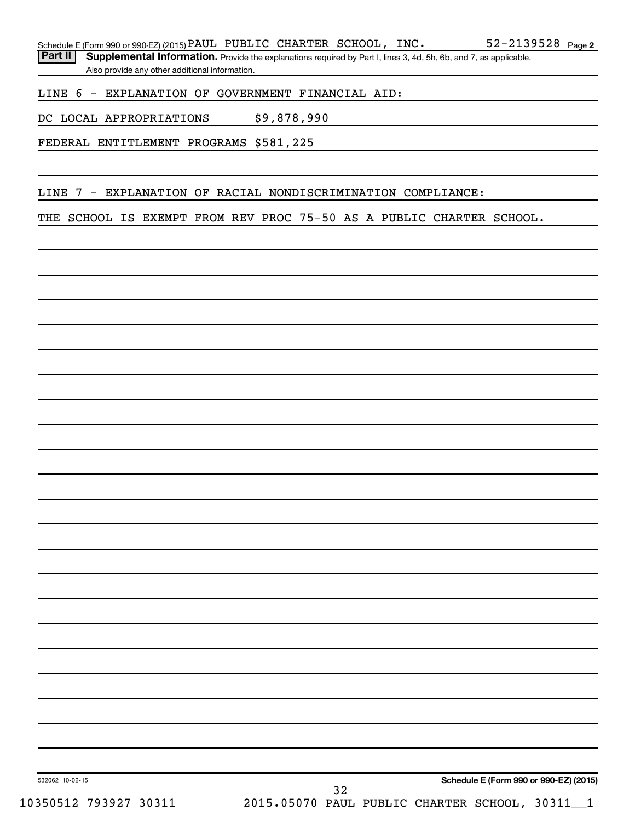Part II | Supplemental Information. Provide the explanations required by Part I, lines 3, 4d, 5h, 6b, and 7, as applicable. Also provide any other additional information.

LINE 6 - EXPLANATION OF GOVERNMENT FINANCIAL AID:

DC LOCAL APPROPRIATIONS \$9,878,990

FEDERAL ENTITLEMENT PROGRAMS \$581,225

LINE 7 - EXPLANATION OF RACIAL NONDISCRIMINATION COMPLIANCE:

THE SCHOOL IS EXEMPT FROM REV PROC 75-50 AS A PUBLIC CHARTER SCHOOL.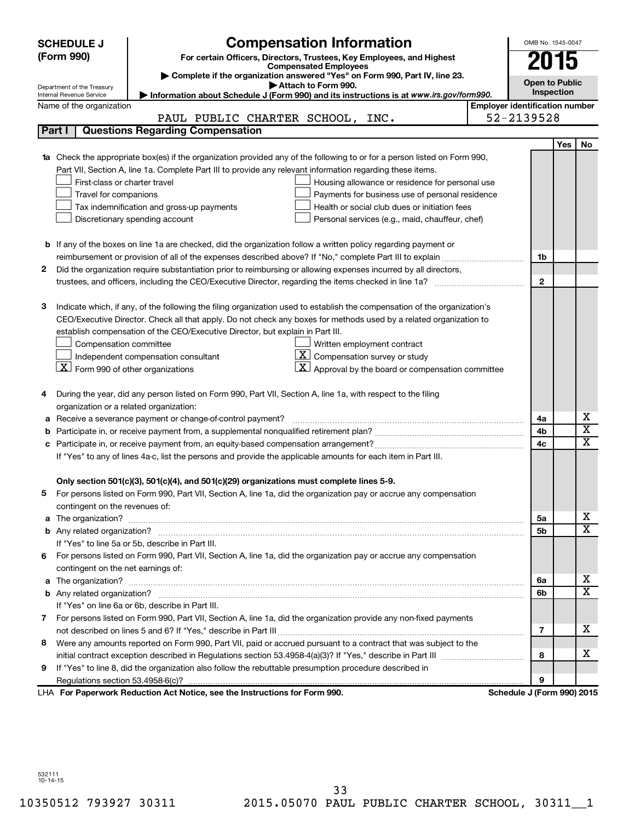|   | <b>SCHEDULE J</b>                                      | <b>Compensation Information</b>                                                                                           |                                       | OMB No. 1545-0047          |     |                         |
|---|--------------------------------------------------------|---------------------------------------------------------------------------------------------------------------------------|---------------------------------------|----------------------------|-----|-------------------------|
|   | (Form 990)                                             | For certain Officers, Directors, Trustees, Key Employees, and Highest                                                     |                                       | 2015                       |     |                         |
|   |                                                        | <b>Compensated Employees</b>                                                                                              |                                       |                            |     |                         |
|   |                                                        | Complete if the organization answered "Yes" on Form 990, Part IV, line 23.<br>Attach to Form 990.                         |                                       | <b>Open to Public</b>      |     |                         |
|   | Department of the Treasury<br>Internal Revenue Service | Information about Schedule J (Form 990) and its instructions is at www.irs.gov/form990.                                   |                                       | Inspection                 |     |                         |
|   | Name of the organization                               |                                                                                                                           | <b>Employer identification number</b> |                            |     |                         |
|   |                                                        | PAUL PUBLIC CHARTER SCHOOL, INC.                                                                                          |                                       | 52-2139528                 |     |                         |
|   | Part I                                                 | <b>Questions Regarding Compensation</b>                                                                                   |                                       |                            |     |                         |
|   |                                                        |                                                                                                                           |                                       |                            | Yes | No                      |
|   |                                                        | Check the appropriate box(es) if the organization provided any of the following to or for a person listed on Form 990,    |                                       |                            |     |                         |
|   |                                                        | Part VII, Section A, line 1a. Complete Part III to provide any relevant information regarding these items.                |                                       |                            |     |                         |
|   | First-class or charter travel                          | Housing allowance or residence for personal use                                                                           |                                       |                            |     |                         |
|   | Travel for companions                                  | Payments for business use of personal residence                                                                           |                                       |                            |     |                         |
|   |                                                        | Health or social club dues or initiation fees<br>Tax indemnification and gross-up payments                                |                                       |                            |     |                         |
|   |                                                        | Discretionary spending account<br>Personal services (e.g., maid, chauffeur, chef)                                         |                                       |                            |     |                         |
|   |                                                        |                                                                                                                           |                                       |                            |     |                         |
|   |                                                        | <b>b</b> If any of the boxes on line 1a are checked, did the organization follow a written policy regarding payment or    |                                       |                            |     |                         |
|   |                                                        |                                                                                                                           |                                       | 1b                         |     |                         |
| 2 |                                                        | Did the organization require substantiation prior to reimbursing or allowing expenses incurred by all directors,          |                                       |                            |     |                         |
|   |                                                        |                                                                                                                           |                                       | $\mathbf{2}$               |     |                         |
|   |                                                        |                                                                                                                           |                                       |                            |     |                         |
| з |                                                        | Indicate which, if any, of the following the filing organization used to establish the compensation of the organization's |                                       |                            |     |                         |
|   |                                                        | CEO/Executive Director. Check all that apply. Do not check any boxes for methods used by a related organization to        |                                       |                            |     |                         |
|   |                                                        | establish compensation of the CEO/Executive Director, but explain in Part III.                                            |                                       |                            |     |                         |
|   | Compensation committee                                 | Written employment contract                                                                                               |                                       |                            |     |                         |
|   |                                                        | $ \mathbf{X} $ Compensation survey or study<br>Independent compensation consultant                                        |                                       |                            |     |                         |
|   | $X$ Form 990 of other organizations                    | $ \mathbf{X} $ Approval by the board or compensation committee                                                            |                                       |                            |     |                         |
|   |                                                        |                                                                                                                           |                                       |                            |     |                         |
| 4 |                                                        | During the year, did any person listed on Form 990, Part VII, Section A, line 1a, with respect to the filing              |                                       |                            |     |                         |
|   | organization or a related organization:                |                                                                                                                           |                                       |                            |     |                         |
| а |                                                        | Receive a severance payment or change-of-control payment?                                                                 |                                       | 4a                         |     | х                       |
| b |                                                        |                                                                                                                           |                                       | 4b                         |     | $\overline{\textbf{x}}$ |
|   |                                                        |                                                                                                                           |                                       | 4c                         |     | $\mathbf x$             |
|   |                                                        | If "Yes" to any of lines 4a-c, list the persons and provide the applicable amounts for each item in Part III.             |                                       |                            |     |                         |
|   |                                                        |                                                                                                                           |                                       |                            |     |                         |
|   |                                                        | Only section 501(c)(3), 501(c)(4), and 501(c)(29) organizations must complete lines 5-9.                                  |                                       |                            |     |                         |
|   |                                                        | For persons listed on Form 990, Part VII, Section A, line 1a, did the organization pay or accrue any compensation         |                                       |                            |     |                         |
|   | contingent on the revenues of:                         |                                                                                                                           |                                       |                            |     | x                       |
| a |                                                        |                                                                                                                           |                                       | 5a                         |     | X                       |
|   |                                                        |                                                                                                                           |                                       | 5b                         |     |                         |
|   |                                                        | If "Yes" to line 5a or 5b, describe in Part III.                                                                          |                                       |                            |     |                         |
|   | contingent on the net earnings of:                     | 6 For persons listed on Form 990, Part VII, Section A, line 1a, did the organization pay or accrue any compensation       |                                       |                            |     |                         |
|   |                                                        |                                                                                                                           |                                       |                            |     | x                       |
| a |                                                        |                                                                                                                           |                                       | 6a<br>6b                   |     | $\overline{\mathbf{X}}$ |
|   |                                                        | If "Yes" on line 6a or 6b, describe in Part III.                                                                          |                                       |                            |     |                         |
|   |                                                        | 7 For persons listed on Form 990, Part VII, Section A, line 1a, did the organization provide any non-fixed payments       |                                       |                            |     |                         |
|   |                                                        |                                                                                                                           |                                       | 7                          |     | x                       |
| 8 |                                                        | Were any amounts reported on Form 990, Part VII, paid or accrued pursuant to a contract that was subject to the           |                                       |                            |     |                         |
|   |                                                        |                                                                                                                           |                                       | 8                          |     | x                       |
| 9 |                                                        | If "Yes" to line 8, did the organization also follow the rebuttable presumption procedure described in                    |                                       |                            |     |                         |
|   |                                                        |                                                                                                                           |                                       | 9                          |     |                         |
|   |                                                        | LHA For Paperwork Reduction Act Notice, see the Instructions for Form 990.                                                |                                       | Schedule J (Form 990) 2015 |     |                         |

532111 10-14-15

10350512 793927 30311 2015.05070 PAUL PUBLIC CHARTER SCHOOL, 30311\_\_1 33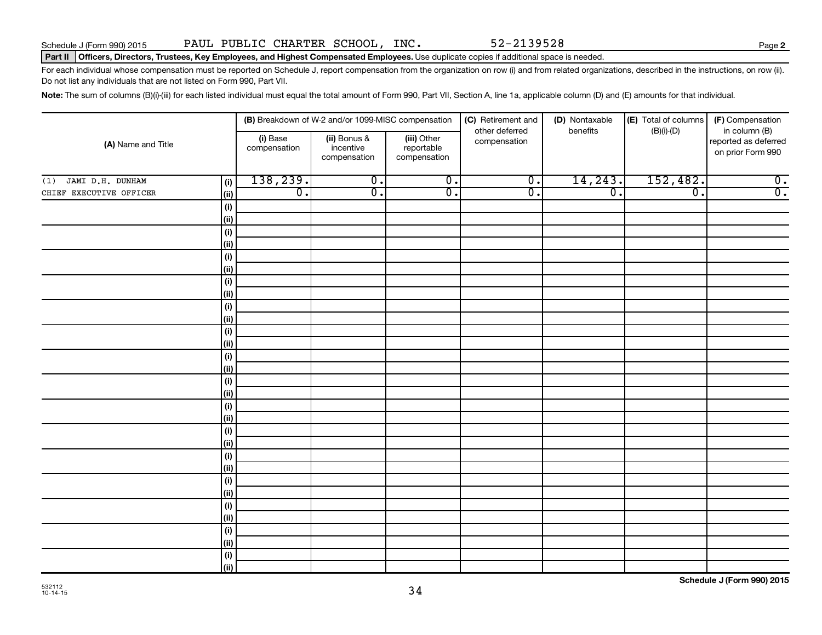### Part II | Officers, Directors, Trustees, Key Employees, and Highest Compensated Employees. Use duplicate copies if additional space is needed.

For each individual whose compensation must be reported on Schedule J, report compensation from the organization on row (i) and from related organizations, described in the instructions, on row (ii). Do not list any individuals that are not listed on Form 990, Part VII.

Note: The sum of columns (B)(i)-(iii) for each listed individual must equal the total amount of Form 990, Part VII, Section A, line 1a, applicable column (D) and (E) amounts for that individual.

|                         |                    |                          | (B) Breakdown of W-2 and/or 1099-MISC compensation |                                           | (C) Retirement and<br>other deferred | (D) Nontaxable<br>benefits  | (E) Total of columns<br>$(B)(i)-(D)$ | (F) Compensation<br>in column (B)         |
|-------------------------|--------------------|--------------------------|----------------------------------------------------|-------------------------------------------|--------------------------------------|-----------------------------|--------------------------------------|-------------------------------------------|
| (A) Name and Title      |                    | (i) Base<br>compensation | (ii) Bonus &<br>incentive<br>compensation          | (iii) Other<br>reportable<br>compensation | compensation                         |                             |                                      | reported as deferred<br>on prior Form 990 |
| JAMI D.H. DUNHAM<br>(1) | (i)                | 138,239.                 | $\overline{0}$ .                                   | $\overline{0}$ .                          | $\overline{0}$ .                     | 14, 243.                    | 152,482.                             | $\overline{0}$ .                          |
| CHIEF EXECUTIVE OFFICER | (ii)               | $\overline{0}$ .         | $\overline{0}$ .                                   | $\overline{0}$ .                          | $\overline{0}$ .                     | $\overline{\mathfrak{o}}$ . | $\overline{0}$ .                     | $\overline{0}$ .                          |
|                         | (i)                |                          |                                                    |                                           |                                      |                             |                                      |                                           |
|                         | (ii)               |                          |                                                    |                                           |                                      |                             |                                      |                                           |
|                         | (i)                |                          |                                                    |                                           |                                      |                             |                                      |                                           |
|                         | (ii)               |                          |                                                    |                                           |                                      |                             |                                      |                                           |
|                         | (i)                |                          |                                                    |                                           |                                      |                             |                                      |                                           |
|                         | (ii)               |                          |                                                    |                                           |                                      |                             |                                      |                                           |
|                         | (i)                |                          |                                                    |                                           |                                      |                             |                                      |                                           |
|                         | (ii)               |                          |                                                    |                                           |                                      |                             |                                      |                                           |
|                         | (i)                |                          |                                                    |                                           |                                      |                             |                                      |                                           |
|                         | (ii)               |                          |                                                    |                                           |                                      |                             |                                      |                                           |
|                         | (i)                |                          |                                                    |                                           |                                      |                             |                                      |                                           |
|                         | (ii)               |                          |                                                    |                                           |                                      |                             |                                      |                                           |
|                         | $(\sf{i})$         |                          |                                                    |                                           |                                      |                             |                                      |                                           |
|                         | (ii)               |                          |                                                    |                                           |                                      |                             |                                      |                                           |
|                         | $(\sf{i})$<br>(ii) |                          |                                                    |                                           |                                      |                             |                                      |                                           |
|                         | $(\sf{i})$         |                          |                                                    |                                           |                                      |                             |                                      |                                           |
|                         | (ii)               |                          |                                                    |                                           |                                      |                             |                                      |                                           |
|                         | $(\sf{i})$         |                          |                                                    |                                           |                                      |                             |                                      |                                           |
|                         | (ii)               |                          |                                                    |                                           |                                      |                             |                                      |                                           |
|                         | (i)                |                          |                                                    |                                           |                                      |                             |                                      |                                           |
|                         | (ii)               |                          |                                                    |                                           |                                      |                             |                                      |                                           |
|                         | (i)                |                          |                                                    |                                           |                                      |                             |                                      |                                           |
|                         | (ii)               |                          |                                                    |                                           |                                      |                             |                                      |                                           |
|                         | (i)                |                          |                                                    |                                           |                                      |                             |                                      |                                           |
|                         | (ii)               |                          |                                                    |                                           |                                      |                             |                                      |                                           |
|                         | (i)                |                          |                                                    |                                           |                                      |                             |                                      |                                           |
|                         | (ii)               |                          |                                                    |                                           |                                      |                             |                                      |                                           |
|                         | (i)                |                          |                                                    |                                           |                                      |                             |                                      |                                           |
|                         | (ii)               |                          |                                                    |                                           |                                      |                             |                                      |                                           |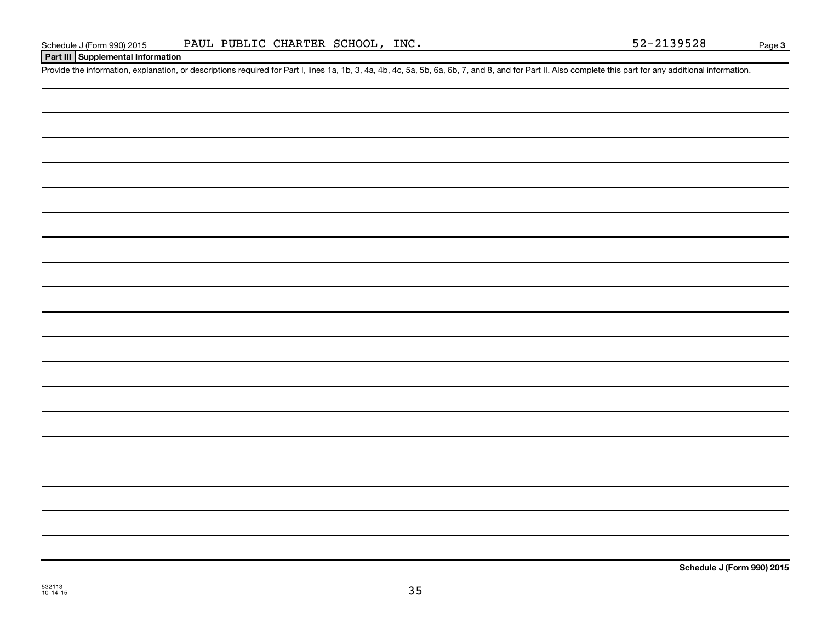### **Part III Supplemental Information**

Provide the information, explanation, or descriptions required for Part I, lines 1a, 1b, 3, 4a, 4b, 4c, 5a, 5b, 6a, 6b, 7, and 8, and for Part II. Also complete this part for any additional information.

532113 10-14-15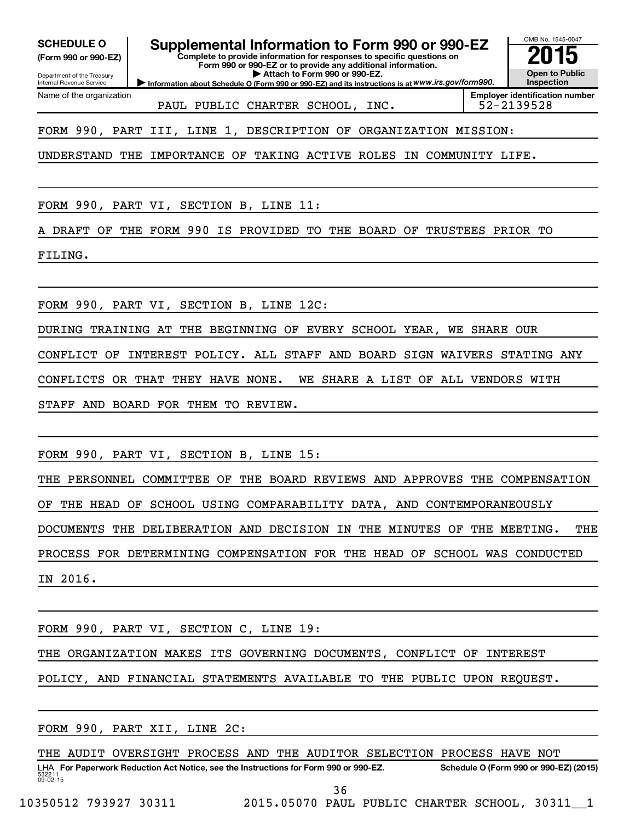**(Form 990 or 990-EZ)**

Department of the Treasury Internal Revenue Service

Name of the organization

**Complete to provide information for responses to specific questions on Form 990 or 990-EZ or to provide any additional information. | Attach to Form 990 or 990-EZ.** SCHEDULE O **Supplemental Information to Form 990 or 990-EZ** 2015<br>(Form 990 or 990-EZ) Complete to provide information for responses to specific questions on

**Information about Schedule O (Form 990 or 990-EZ) and its instructions is at WWW.irs.gov/form990.** 

**Employer identification number** PAUL PUBLIC CHARTER SCHOOL, INC. | 52-2139528

OMB No. 1545-0047

**Open to Public Inspection**

FORM 990, PART III, LINE 1, DESCRIPTION OF ORGANIZATION MISSION:

UNDERSTAND THE IMPORTANCE OF TAKING ACTIVE ROLES IN COMMUNITY LIFE.

FORM 990, PART VI, SECTION B, LINE 11:

A DRAFT OF THE FORM 990 IS PROVIDED TO THE BOARD OF TRUSTEES PRIOR TO

FILING.

FORM 990, PART VI, SECTION B, LINE 12C:

DURING TRAINING AT THE BEGINNING OF EVERY SCHOOL YEAR, WE SHARE OUR

CONFLICT OF INTEREST POLICY. ALL STAFF AND BOARD SIGN WAIVERS STATING ANY

CONFLICTS OR THAT THEY HAVE NONE. WE SHARE A LIST OF ALL VENDORS WITH

STAFF AND BOARD FOR THEM TO REVIEW.

FORM 990, PART VI, SECTION B, LINE 15:

THE PERSONNEL COMMITTEE OF THE BOARD REVIEWS AND APPROVES THE COMPENSATION OF THE HEAD OF SCHOOL USING COMPARABILITY DATA, AND CONTEMPORANEOUSLY DOCUMENTS THE DELIBERATION AND DECISION IN THE MINUTES OF THE MEETING. THE PROCESS FOR DETERMINING COMPENSATION FOR THE HEAD OF SCHOOL WAS CONDUCTED IN 2016.

FORM 990, PART VI, SECTION C, LINE 19:

THE ORGANIZATION MAKES ITS GOVERNING DOCUMENTS, CONFLICT OF INTEREST

POLICY, AND FINANCIAL STATEMENTS AVAILABLE TO THE PUBLIC UPON REQUEST.

FORM 990, PART XII, LINE 2C:

532211  $09 - 02 - 15$ LHA For Paperwork Reduction Act Notice, see the Instructions for Form 990 or 990-EZ. Schedule O (Form 990 or 990-EZ) (2015) THE AUDIT OVERSIGHT PROCESS AND THE AUDITOR SELECTION PROCESS HAVE NOT

36

10350512 793927 30311 2015.05070 PAUL PUBLIC CHARTER SCHOOL, 30311\_\_1